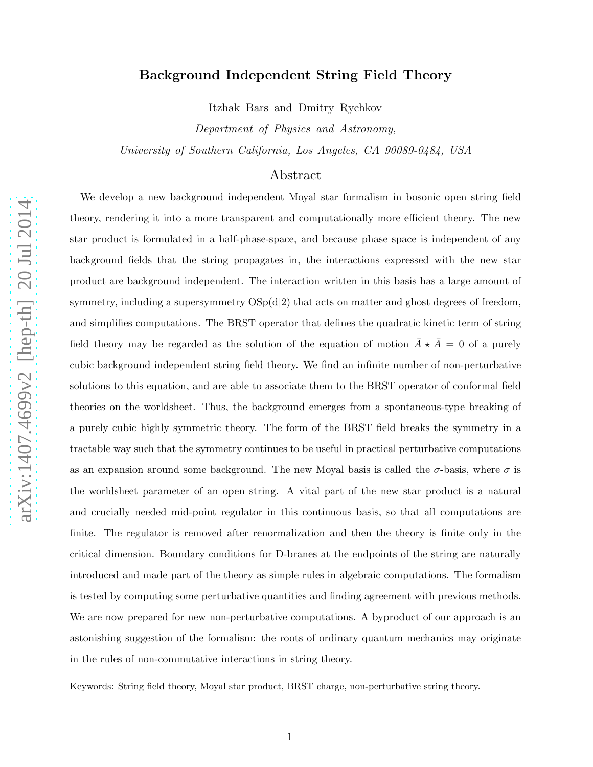# Background Independent String Field Theory

Itzhak Bars and Dmitry Rychkov

Department of Physics and Astronomy, University of Southern California, Los Angeles, CA 90089-0484, USA

# Abstract

We develop a new background independent Moyal star formalism in bosonic open string field theory, rendering it into a more transparent and computationally more efficient theory. The new star product is formulated in a half-phase-space, and because phase space is independent of any background fields that the string propagates in, the interactions expressed with the new star product are background independent. The interaction written in this basis has a large amount of symmetry, including a supersymmetry  $OSp(d|2)$  that acts on matter and ghost degrees of freedom, and simplifies computations. The BRST operator that defines the quadratic kinetic term of string field theory may be regarded as the solution of the equation of motion  $\bar{A} \star \bar{A} = 0$  of a purely cubic background independent string field theory. We find an infinite number of non-perturbative solutions to this equation, and are able to associate them to the BRST operator of conformal field theories on the worldsheet. Thus, the background emerges from a spontaneous-type breaking of a purely cubic highly symmetric theory. The form of the BRST field breaks the symmetry in a tractable way such that the symmetry continues to be useful in practical perturbative computations as an expansion around some background. The new Moyal basis is called the  $\sigma$ -basis, where  $\sigma$  is the worldsheet parameter of an open string. A vital part of the new star product is a natural and crucially needed mid-point regulator in this continuous basis, so that all computations are finite. The regulator is removed after renormalization and then the theory is finite only in the critical dimension. Boundary conditions for D-branes at the endpoints of the string are naturally introduced and made part of the theory as simple rules in algebraic computations. The formalism is tested by computing some perturbative quantities and finding agreement with previous methods. We are now prepared for new non-perturbative computations. A byproduct of our approach is an astonishing suggestion of the formalism: the roots of ordinary quantum mechanics may originate in the rules of non-commutative interactions in string theory.

Keywords: String field theory, Moyal star product, BRST charge, non-perturbative string theory.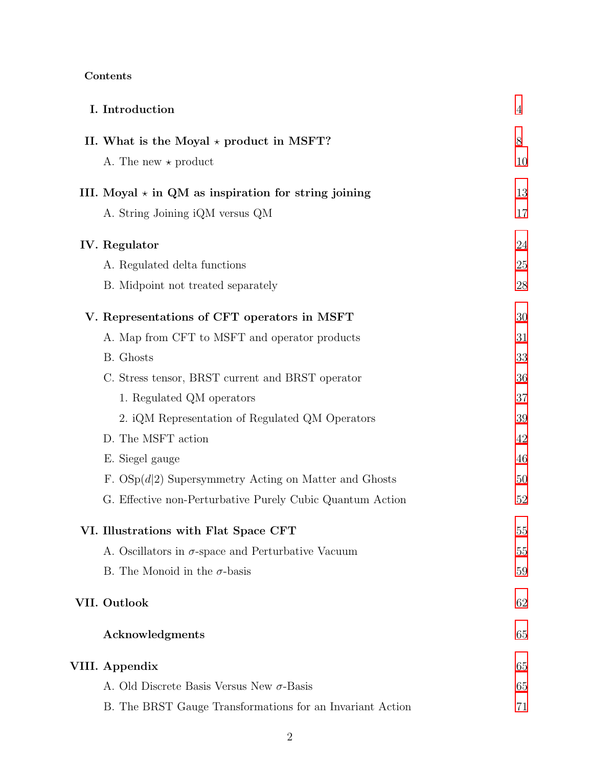| Contents |
|----------|
|----------|

| I. Introduction                                            | $\overline{4}$ |
|------------------------------------------------------------|----------------|
| II. What is the Moyal $\star$ product in MSFT?             | 8              |
| A. The new $\star$ product                                 | 10             |
| III. Moyal $\star$ in QM as inspiration for string joining | 13             |
| A. String Joining iQM versus QM                            | 17             |
| IV. Regulator                                              | 24             |
| A. Regulated delta functions                               | 25             |
| B. Midpoint not treated separately                         | 28             |
| V. Representations of CFT operators in MSFT                | 30             |
| A. Map from CFT to MSFT and operator products              | 31             |
| B. Ghosts                                                  | 33             |
| C. Stress tensor, BRST current and BRST operator           | 36             |
| 1. Regulated QM operators                                  | 37             |
| 2. iQM Representation of Regulated QM Operators            | 39             |
| D. The MSFT action                                         | 42             |
| E. Siegel gauge                                            | 46             |
| F. $OSp(d 2)$ Supersymmetry Acting on Matter and Ghosts    | 50             |
| G. Effective non-Perturbative Purely Cubic Quantum Action  | 52             |
| VI. Illustrations with Flat Space CFT                      | 55             |
| A. Oscillators in $\sigma$ -space and Perturbative Vacuum  | 55             |
| B. The Monoid in the $\sigma$ -basis                       | 59             |
| VII. Outlook                                               | 62             |
| Acknowledgments                                            | 65             |
| VIII. Appendix                                             | 65             |
| A. Old Discrete Basis Versus New $\sigma$ -Basis           | 65             |
| B. The BRST Gauge Transformations for an Invariant Action  | 71             |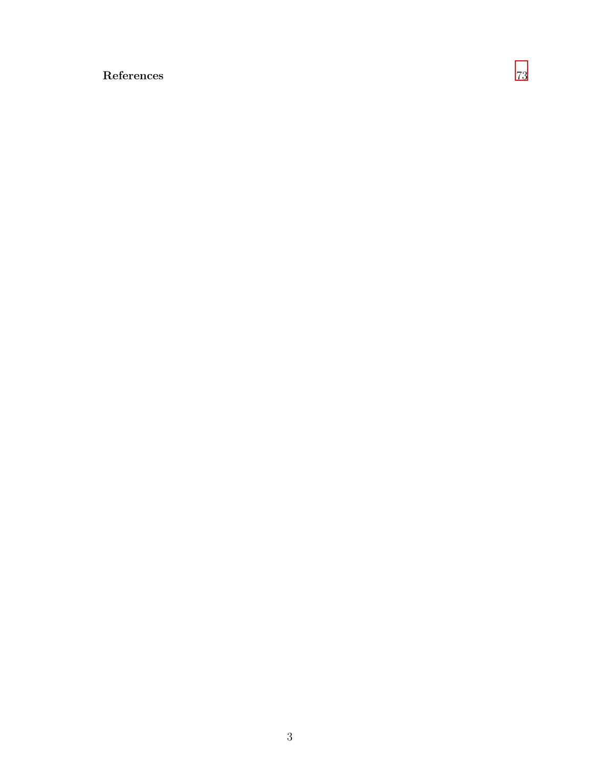# References [73](#page-72-0)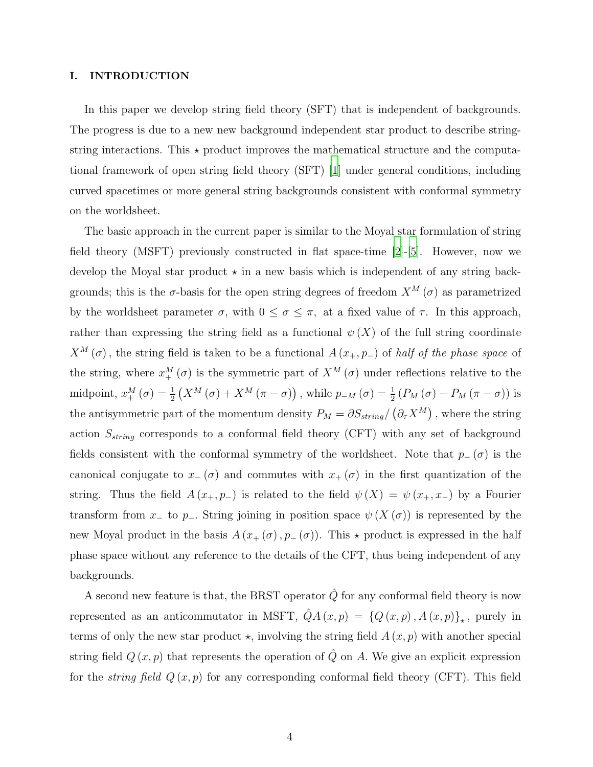## <span id="page-3-0"></span>I. INTRODUCTION

In this paper we develop string field theory (SFT) that is independent of backgrounds. The progress is due to a new new background independent star product to describe stringstring interactions. This  $\star$  product improves the mathematical structure and the computational framework of open string field theory (SFT) [\[1](#page-72-1)] under general conditions, including curved spacetimes or more general string backgrounds consistent with conformal symmetry on the worldsheet.

The basic approach in the current paper is similar to the Moyal star formulation of string field theory (MSFT) previously constructed in flat space-time [\[2\]](#page-72-2)-[\[5](#page-73-0)]. However, now we develop the Moyal star product  $\star$  in a new basis which is independent of any string backgrounds; this is the  $\sigma$ -basis for the open string degrees of freedom  $X^M(\sigma)$  as parametrized by the worldsheet parameter  $\sigma$ , with  $0 \leq \sigma \leq \pi$ , at a fixed value of  $\tau$ . In this approach, rather than expressing the string field as a functional  $\psi(X)$  of the full string coordinate  $X^M(\sigma)$ , the string field is taken to be a functional  $A(x_+, p_-)$  of half of the phase space of the string, where  $x_{+}^{M}(\sigma)$  is the symmetric part of  $X^{M}(\sigma)$  under reflections relative to the midpoint,  $x_{+}^{M}(\sigma) = \frac{1}{2}(X^{M}(\sigma) + X^{M}(\pi - \sigma))$ , while  $p_{-M}(\sigma) = \frac{1}{2}(P_{M}(\sigma) - P_{M}(\pi - \sigma))$  is the antisymmetric part of the momentum density  $P_M = \partial S_{string}/(\partial_{\tau} X^M)$ , where the string action  $S_{string}$  corresponds to a conformal field theory (CFT) with any set of background fields consistent with the conformal symmetry of the worldsheet. Note that  $p_-(\sigma)$  is the canonical conjugate to  $x_-(\sigma)$  and commutes with  $x_+(\sigma)$  in the first quantization of the string. Thus the field  $A(x_+, p_-)$  is related to the field  $\psi(X) = \psi(x_+, x_-)$  by a Fourier transform from x<sub>−</sub> to p<sub>−</sub>. String joining in position space  $\psi(X(\sigma))$  is represented by the new Moyal product in the basis  $A(x_+(\sigma), p_-(\sigma))$ . This  $\star$  product is expressed in the half phase space without any reference to the details of the CFT, thus being independent of any backgrounds.

A second new feature is that, the BRST operator  $\hat{Q}$  for any conformal field theory is now represented as an anticommutator in MSFT,  $\hat{Q}A(x,p) = \{Q(x,p), A(x,p)\}_\star$ , purely in terms of only the new star product  $\star$ , involving the string field  $A(x, p)$  with another special string field  $Q(x, p)$  that represents the operation of  $\hat{Q}$  on A. We give an explicit expression for the *string field*  $Q(x, p)$  for any corresponding conformal field theory (CFT). This field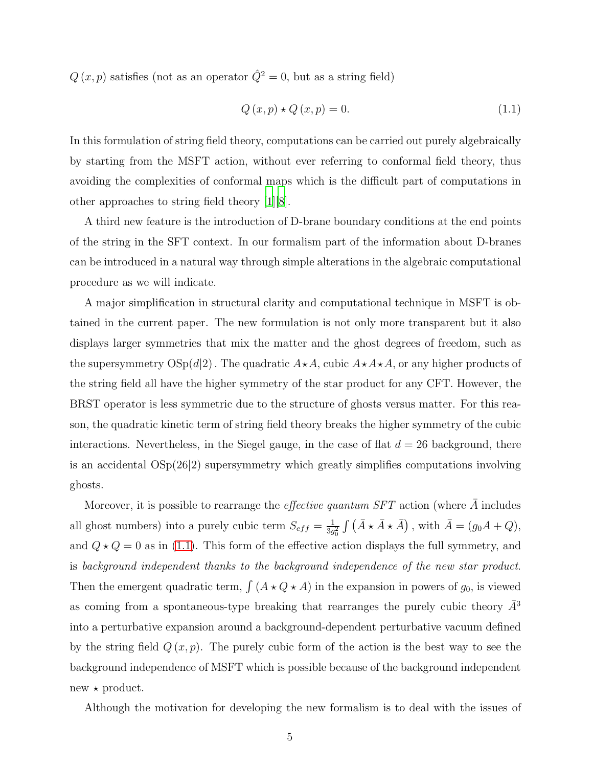$Q(x, p)$  satisfies (not as an operator  $\hat{Q}^2 = 0$ , but as a string field)

<span id="page-4-0"></span>
$$
Q(x, p) \star Q(x, p) = 0.
$$
\n
$$
(1.1)
$$

In this formulation of string field theory, computations can be carried out purely algebraically by starting from the MSFT action, without ever referring to conformal field theory, thus avoiding the complexities of conformal maps which is the difficult part of computations in other approaches to string field theory [\[1\]](#page-72-1)[\[8\]](#page-73-1).

A third new feature is the introduction of D-brane boundary conditions at the end points of the string in the SFT context. In our formalism part of the information about D-branes can be introduced in a natural way through simple alterations in the algebraic computational procedure as we will indicate.

A major simplification in structural clarity and computational technique in MSFT is obtained in the current paper. The new formulation is not only more transparent but it also displays larger symmetries that mix the matter and the ghost degrees of freedom, such as the supersymmetry  $OSp(d|2)$ . The quadratic  $A\star A$ , cubic  $A\star A\star A$ , or any higher products of the string field all have the higher symmetry of the star product for any CFT. However, the BRST operator is less symmetric due to the structure of ghosts versus matter. For this reason, the quadratic kinetic term of string field theory breaks the higher symmetry of the cubic interactions. Nevertheless, in the Siegel gauge, in the case of flat  $d = 26$  background, there is an accidental  $OSp(26|2)$  supersymmetry which greatly simplifies computations involving ghosts.

Moreover, it is possible to rearrange the *effective quantum SFT* action (where  $\overline{A}$  includes all ghost numbers) into a purely cubic term  $S_{eff} = \frac{1}{3g}$  $\frac{1}{3g_0^2} \int (\bar{A} \star \bar{A} \star \bar{A})$ , with  $\bar{A} = (g_0 A + Q)$ , and  $Q \star Q = 0$  as in [\(1.1\)](#page-4-0). This form of the effective action displays the full symmetry, and is background independent thanks to the background independence of the new star product. Then the emergent quadratic term,  $\int (A \star Q \star A)$  in the expansion in powers of  $g_0$ , is viewed as coming from a spontaneous-type breaking that rearranges the purely cubic theory  $\bar{A}^3$ into a perturbative expansion around a background-dependent perturbative vacuum defined by the string field  $Q(x, p)$ . The purely cubic form of the action is the best way to see the background independence of MSFT which is possible because of the background independent  $new * product.$ 

Although the motivation for developing the new formalism is to deal with the issues of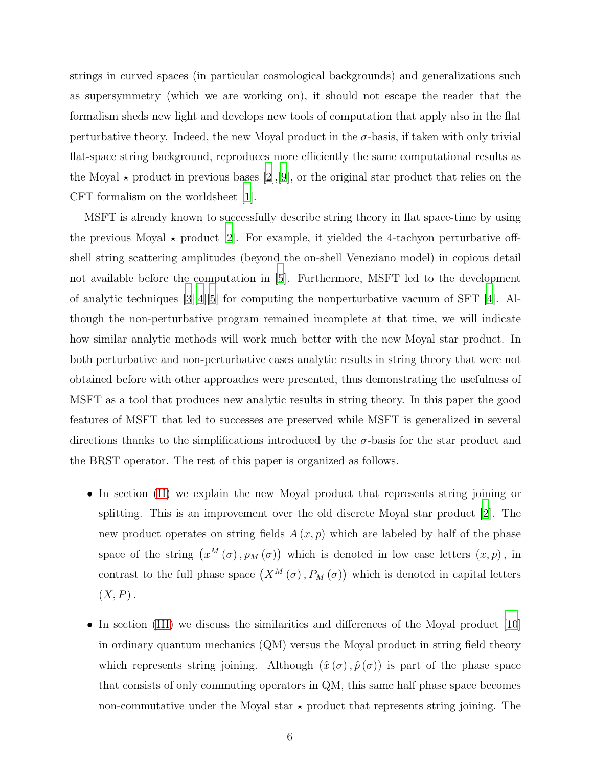strings in curved spaces (in particular cosmological backgrounds) and generalizations such as supersymmetry (which we are working on), it should not escape the reader that the formalism sheds new light and develops new tools of computation that apply also in the flat perturbative theory. Indeed, the new Moyal product in the  $\sigma$ -basis, if taken with only trivial flat-space string background, reproduces more efficiently the same computational results as the Moyal  $\star$  product in previous bases [\[2\]](#page-72-2), [\[9](#page-73-2)], or the original star product that relies on the CFT formalism on the worldsheet [\[1\]](#page-72-1).

MSFT is already known to successfully describe string theory in flat space-time by using the previous Moyal  $\star$  product [\[2](#page-72-2)]. For example, it yielded the 4-tachyon perturbative offshell string scattering amplitudes (beyond the on-shell Veneziano model) in copious detail not available before the computation in [\[5](#page-73-0)]. Furthermore, MSFT led to the development of analytic techniques [\[3\]](#page-72-3)[\[4](#page-72-4)][\[5\]](#page-73-0) for computing the nonperturbative vacuum of SFT [\[4\]](#page-72-4). Although the non-perturbative program remained incomplete at that time, we will indicate how similar analytic methods will work much better with the new Moyal star product. In both perturbative and non-perturbative cases analytic results in string theory that were not obtained before with other approaches were presented, thus demonstrating the usefulness of MSFT as a tool that produces new analytic results in string theory. In this paper the good features of MSFT that led to successes are preserved while MSFT is generalized in several directions thanks to the simplifications introduced by the  $\sigma$ -basis for the star product and the BRST operator. The rest of this paper is organized as follows.

- In section [\(II\)](#page-7-0) we explain the new Moyal product that represents string joining or splitting. This is an improvement over the old discrete Moyal star product [\[2\]](#page-72-2). The new product operates on string fields  $A(x, p)$  which are labeled by half of the phase space of the string  $(x^M(\sigma), p_M(\sigma))$  which is denoted in low case letters  $(x, p)$ , in contrast to the full phase space  $(X^M(\sigma), P_M(\sigma))$  which is denoted in capital letters  $(X, P)$ .
- In section [\(III\)](#page-12-0) we discuss the similarities and differences of the Moyal product [\[10\]](#page-73-3) in ordinary quantum mechanics (QM) versus the Moyal product in string field theory which represents string joining. Although  $(\hat{x}(\sigma), \hat{p}(\sigma))$  is part of the phase space that consists of only commuting operators in QM, this same half phase space becomes non-commutative under the Moyal star  $\star$  product that represents string joining. The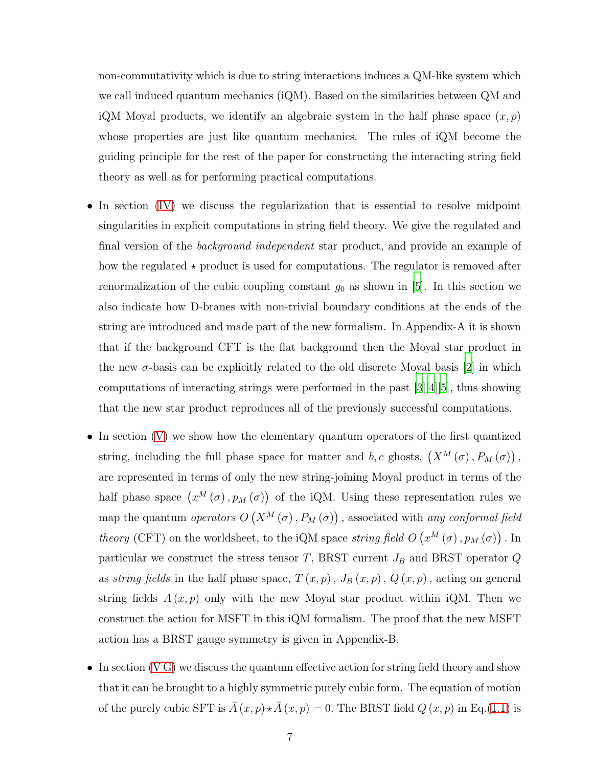non-commutativity which is due to string interactions induces a QM-like system which we call induced quantum mechanics (iQM). Based on the similarities between QM and iQM Moyal products, we identify an algebraic system in the half phase space  $(x, p)$ whose properties are just like quantum mechanics. The rules of iQM become the guiding principle for the rest of the paper for constructing the interacting string field theory as well as for performing practical computations.

- In section [\(IV\)](#page-23-0) we discuss the regularization that is essential to resolve midpoint singularities in explicit computations in string field theory. We give the regulated and final version of the *background independent* star product, and provide an example of how the regulated  $\star$  product is used for computations. The regulator is removed after renormalization of the cubic coupling constant  $g_0$  as shown in [\[5\]](#page-73-0). In this section we also indicate how D-branes with non-trivial boundary conditions at the ends of the string are introduced and made part of the new formalism. In Appendix-A it is shown that if the background CFT is the flat background then the Moyal star product in the new  $\sigma$ -basis can be explicitly related to the old discrete Moyal basis [\[2](#page-72-2)] in which computations of interacting strings were performed in the past [\[3\]](#page-72-3)[\[4\]](#page-72-4)[\[5](#page-73-0)], thus showing that the new star product reproduces all of the previously successful computations.
- In section [\(V\)](#page-29-0) we show how the elementary quantum operators of the first quantized string, including the full phase space for matter and b, c ghosts,  $(X^M(\sigma), P_M(\sigma))$ , are represented in terms of only the new string-joining Moyal product in terms of the half phase space  $(x^M(\sigma), p_M(\sigma))$  of the iQM. Using these representation rules we map the quantum *operators*  $O(X^M(\sigma), P_M(\sigma))$  , associated with *any conformal field* theory (CFT) on the worldsheet, to the iQM space string field  $O(n^M(\sigma), p_M(\sigma))$ . In particular we construct the stress tensor T, BRST current  $J_B$  and BRST operator  $Q$ as string fields in the half phase space,  $T(x, p)$ ,  $J_B(x, p)$ ,  $Q(x, p)$ , acting on general string fields  $A(x, p)$  only with the new Moyal star product within iQM. Then we construct the action for MSFT in this iQM formalism. The proof that the new MSFT action has a BRST gauge symmetry is given in Appendix-B.
- In section (VG) we discuss the quantum effective action for string field theory and show that it can be brought to a highly symmetric purely cubic form. The equation of motion of the purely cubic SFT is  $\overline{A}(x, p) \star \overline{A}(x, p) = 0$ . The BRST field  $Q(x, p)$  in Eq.[\(1.1\)](#page-4-0) is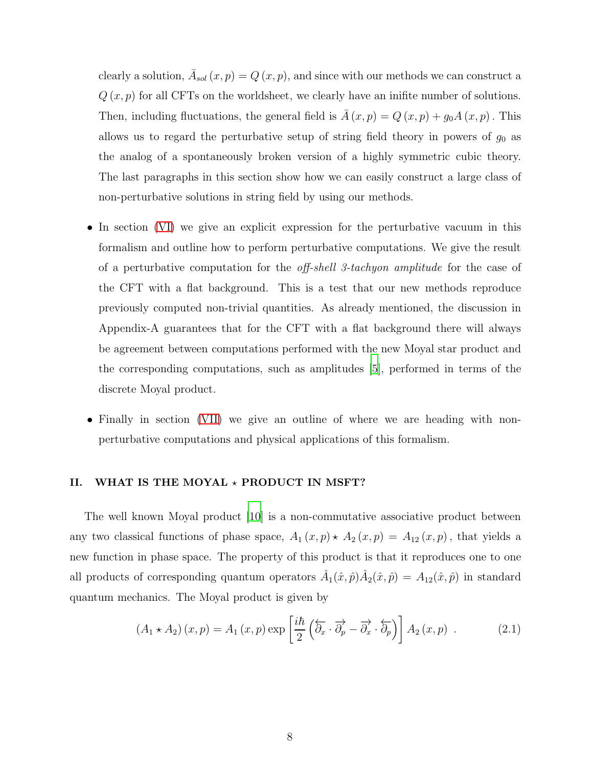clearly a solution,  $\bar{A}_{sol}(x,p) = Q(x,p)$ , and since with our methods we can construct a  $Q(x, p)$  for all CFTs on the worldsheet, we clearly have an inifite number of solutions. Then, including fluctuations, the general field is  $\overline{A}(x, p) = Q(x, p) + g_0 A(x, p)$ . This allows us to regard the perturbative setup of string field theory in powers of  $g_0$  as the analog of a spontaneously broken version of a highly symmetric cubic theory. The last paragraphs in this section show how we can easily construct a large class of non-perturbative solutions in string field by using our methods.

- In section [\(VI\)](#page-54-0) we give an explicit expression for the perturbative vacuum in this formalism and outline how to perform perturbative computations. We give the result of a perturbative computation for the off-shell 3-tachyon amplitude for the case of the CFT with a flat background. This is a test that our new methods reproduce previously computed non-trivial quantities. As already mentioned, the discussion in Appendix-A guarantees that for the CFT with a flat background there will always be agreement between computations performed with the new Moyal star product and the corresponding computations, such as amplitudes [\[5](#page-73-0)], performed in terms of the discrete Moyal product.
- Finally in section [\(VII\)](#page-61-0) we give an outline of where we are heading with nonperturbative computations and physical applications of this formalism.

# <span id="page-7-0"></span>II. WHAT IS THE MOYAL  $\star$  PRODUCT IN MSFT?

The well known Moyal product [\[10](#page-73-3)] is a non-commutative associative product between any two classical functions of phase space,  $A_1(x,p) \star A_2(x,p) = A_{12}(x,p)$ , that yields a new function in phase space. The property of this product is that it reproduces one to one all products of corresponding quantum operators  $\hat{A}_1(\hat{x},\hat{p})\hat{A}_2(\hat{x},\hat{p}) = A_{12}(\hat{x},\hat{p})$  in standard quantum mechanics. The Moyal product is given by

$$
(A_1 \star A_2)(x, p) = A_1(x, p) \exp\left[\frac{i\hbar}{2} \left(\overleftarrow{\partial}_x \cdot \overrightarrow{\partial}_p - \overrightarrow{\partial}_x \cdot \overleftarrow{\partial}_p\right)\right] A_2(x, p) \ . \tag{2.1}
$$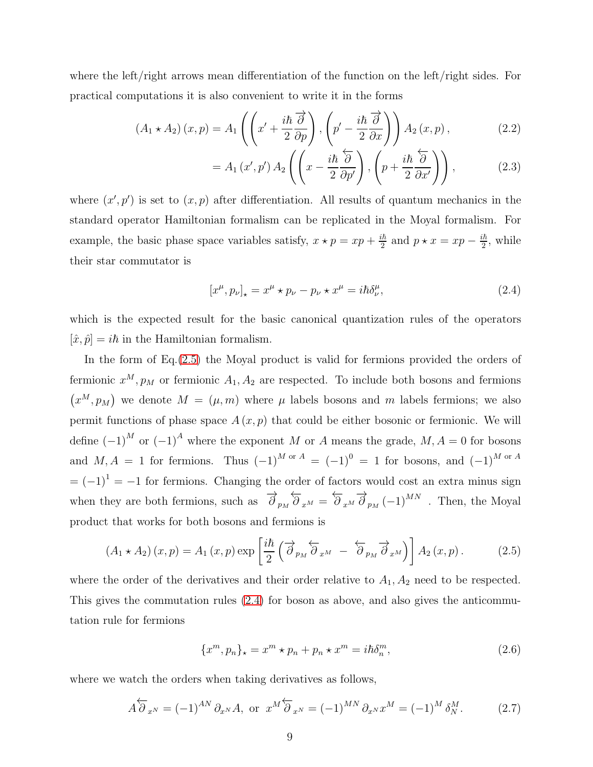where the left/right arrows mean differentiation of the function on the left/right sides. For practical computations it is also convenient to write it in the forms

$$
(A_1 \star A_2)(x, p) = A_1 \left( \left( x' + \frac{i\hbar}{2} \frac{\partial}{\partial p} \right), \left( p' - \frac{i\hbar}{2} \frac{\partial}{\partial x} \right) \right) A_2(x, p), \tag{2.2}
$$

<span id="page-8-3"></span><span id="page-8-2"></span>
$$
= A_1(x',p') A_2\left(\left(x - \frac{i\hbar}{2} \frac{\partial}{\partial p'}\right), \left(p + \frac{i\hbar}{2} \frac{\partial}{\partial x'}\right)\right),\tag{2.3}
$$

where  $(x', p')$  is set to  $(x, p)$  after differentiation. All results of quantum mechanics in the standard operator Hamiltonian formalism can be replicated in the Moyal formalism. For example, the basic phase space variables satisfy,  $x \star p = xp + \frac{ik}{2}$  $\frac{i\hbar}{2}$  and  $p \star x = xp - \frac{i\hbar}{2}$  $\frac{2\hbar}{2}$ , while their star commutator is

<span id="page-8-1"></span>
$$
[x^{\mu}, p_{\nu}]_{\star} = x^{\mu} \star p_{\nu} - p_{\nu} \star x^{\mu} = i\hbar \delta^{\mu}_{\nu}, \tag{2.4}
$$

which is the expected result for the basic canonical quantization rules of the operators  $[\hat{x}, \hat{p}] = i\hbar$  in the Hamiltonian formalism.

In the form of Eq. [\(2.5\)](#page-8-0) the Moyal product is valid for fermions provided the orders of fermionic  $x^M$ ,  $p_M$  or fermionic  $A_1$ ,  $A_2$  are respected. To include both bosons and fermions  $(x^M, p_M)$  we denote  $M = (\mu, m)$  where  $\mu$  labels bosons and m labels fermions; we also permit functions of phase space  $A(x, p)$  that could be either bosonic or fermionic. We will define  $(-1)^M$  or  $(-1)^A$  where the exponent M or A means the grade,  $M, A = 0$  for bosons and  $M, A = 1$  for fermions. Thus  $(-1)^{M \text{ or } A} = (-1)^{0} = 1$  for bosons, and  $(-1)^{M \text{ or } A}$  $=(-1)^{1} = -1$  for fermions. Changing the order of factors would cost an extra minus sign when they are both fermions, such as  $\overrightarrow{\partial}_{p_M} \overleftarrow{\partial}_{x^M} = \overleftarrow{\partial}_{x^M} \overrightarrow{\partial}_{p_M} (-1)^{MN}$ . Then, the Moyal product that works for both bosons and fermions is

<span id="page-8-0"></span>
$$
(A_1 \star A_2)(x, p) = A_1(x, p) \exp\left[\frac{i\hbar}{2} \left(\overrightarrow{\partial}_{p_M} \overleftarrow{\partial}_{x^M} - \overleftarrow{\partial}_{p_M} \overrightarrow{\partial}_{x^M}\right)\right] A_2(x, p).
$$
 (2.5)

where the order of the derivatives and their order relative to  $A_1, A_2$  need to be respected. This gives the commutation rules [\(2.4\)](#page-8-1) for boson as above, and also gives the anticommutation rule for fermions

<span id="page-8-4"></span>
$$
\{x^m, p_n\}_\star = x^m \star p_n + p_n \star x^m = i\hbar \delta_n^m,\tag{2.6}
$$

where we watch the orders when taking derivatives as follows,

$$
A\overleftarrow{\partial}_{x^N} = (-1)^{AN} \partial_{x^N} A, \text{ or } x^M \overleftarrow{\partial}_{x^N} = (-1)^{MN} \partial_{x^N} x^M = (-1)^M \delta_N^M.
$$
 (2.7)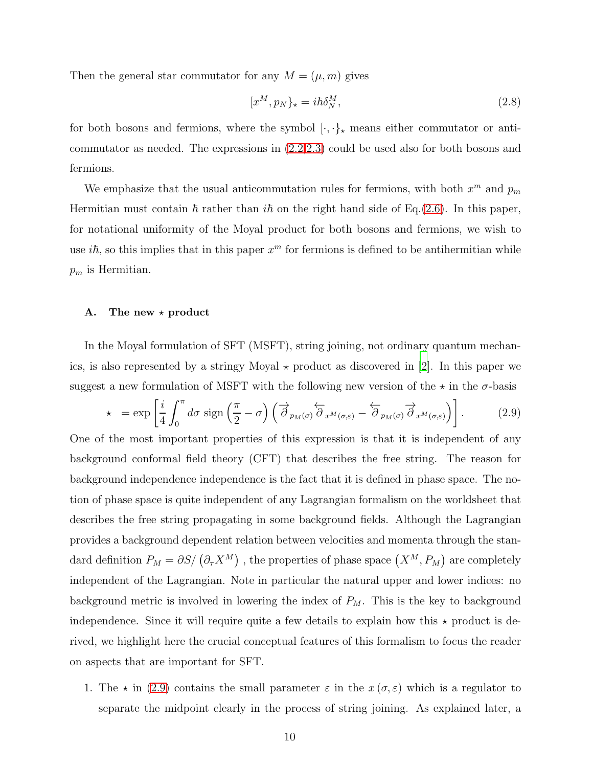Then the general star commutator for any  $M = (\mu, m)$  gives

<span id="page-9-2"></span>
$$
[x^M, p_N]_\star = i\hbar \delta^M_N,\tag{2.8}
$$

for both bosons and fermions, where the symbol  $[\cdot,\cdot]_{\star}$  means either commutator or anticommutator as needed. The expressions in [\(2.2](#page-8-2)[,2.3\)](#page-8-3) could be used also for both bosons and fermions.

We emphasize that the usual anticommutation rules for fermions, with both  $x^m$  and  $p_m$ Hermitian must contain  $\hbar$  rather than  $i\hbar$  on the right hand side of Eq.[\(2.6\)](#page-8-4). In this paper, for notational uniformity of the Moyal product for both bosons and fermions, we wish to use  $i\hbar$ , so this implies that in this paper  $x^m$  for fermions is defined to be antihermitian while  $p_m$  is Hermitian.

#### <span id="page-9-0"></span>A. The new  $\star$  product

In the Moyal formulation of SFT (MSFT), string joining, not ordinary quantum mechanics, is also represented by a stringy Moyal  $\star$  product as discovered in [\[2](#page-72-2)]. In this paper we suggest a new formulation of MSFT with the following new version of the  $\star$  in the  $\sigma$ -basis

<span id="page-9-1"></span>
$$
\star = \exp\left[\frac{i}{4} \int_0^{\pi} d\sigma \, \text{sign}\left(\frac{\pi}{2} - \sigma\right) \left(\overrightarrow{\partial}_{p_M(\sigma)} \overleftarrow{\partial}_{x^M(\sigma,\varepsilon)} - \overleftarrow{\partial}_{p_M(\sigma)} \overrightarrow{\partial}_{x^M(\sigma,\varepsilon)}\right)\right].\tag{2.9}
$$

One of the most important properties of this expression is that it is independent of any background conformal field theory (CFT) that describes the free string. The reason for background independence independence is the fact that it is defined in phase space. The notion of phase space is quite independent of any Lagrangian formalism on the worldsheet that describes the free string propagating in some background fields. Although the Lagrangian provides a background dependent relation between velocities and momenta through the standard definition  $P_M = \partial S / (\partial_\tau X^M)$ , the properties of phase space  $(X^M, P_M)$  are completely independent of the Lagrangian. Note in particular the natural upper and lower indices: no background metric is involved in lowering the index of  $P_M$ . This is the key to background independence. Since it will require quite a few details to explain how this  $\star$  product is derived, we highlight here the crucial conceptual features of this formalism to focus the reader on aspects that are important for SFT.

1. The  $\star$  in [\(2.9\)](#page-9-1) contains the small parameter  $\varepsilon$  in the  $x(\sigma,\varepsilon)$  which is a regulator to separate the midpoint clearly in the process of string joining. As explained later, a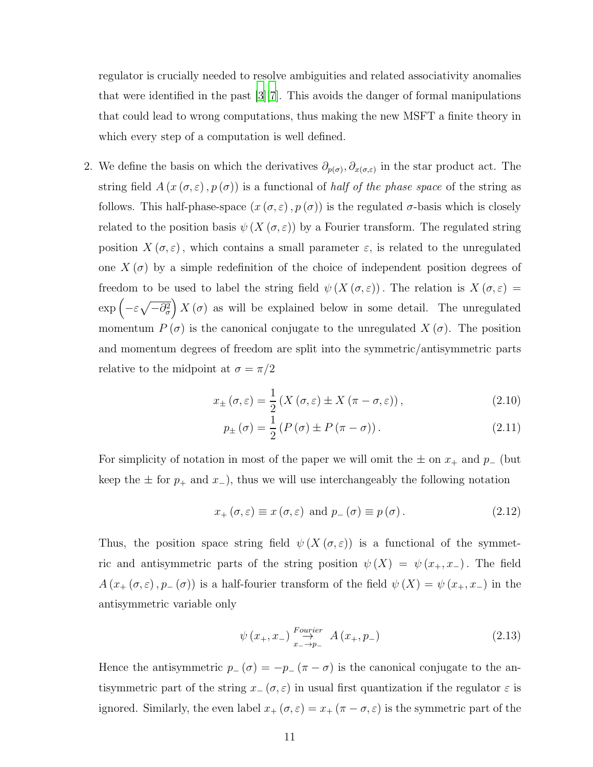regulator is crucially needed to resolve ambiguities and related associativity anomalies that were identified in the past [\[3](#page-72-3)][\[7\]](#page-73-4). This avoids the danger of formal manipulations that could lead to wrong computations, thus making the new MSFT a finite theory in which every step of a computation is well defined.

2. We define the basis on which the derivatives  $\partial_{p(\sigma)}, \partial_{x(\sigma,\varepsilon)}$  in the star product act. The string field  $A(x(\sigma,\varepsilon),p(\sigma))$  is a functional of *half of the phase space* of the string as follows. This half-phase-space  $(x(\sigma, \varepsilon), p(\sigma))$  is the regulated  $\sigma$ -basis which is closely related to the position basis  $\psi(X(\sigma,\varepsilon))$  by a Fourier transform. The regulated string position  $X(\sigma,\varepsilon)$ , which contains a small parameter  $\varepsilon$ , is related to the unregulated one  $X(\sigma)$  by a simple redefinition of the choice of independent position degrees of freedom to be used to label the string field  $\psi(X(\sigma,\varepsilon))$ . The relation is  $X(\sigma,\varepsilon)$  =  $\exp\left(-\varepsilon\sqrt{-\partial_{\sigma}^{2}}\right)X(\sigma)$  as will be explained below in some detail. The unregulated momentum  $P(\sigma)$  is the canonical conjugate to the unregulated  $X(\sigma)$ . The position and momentum degrees of freedom are split into the symmetric/antisymmetric parts relative to the midpoint at  $\sigma = \pi/2$ 

$$
x_{\pm}(\sigma,\varepsilon) = \frac{1}{2} \left( X(\sigma,\varepsilon) \pm X(\pi-\sigma,\varepsilon) \right), \tag{2.10}
$$

<span id="page-10-3"></span><span id="page-10-0"></span>
$$
p_{\pm}(\sigma) = \frac{1}{2} \left( P \left( \sigma \right) \pm P \left( \pi - \sigma \right) \right). \tag{2.11}
$$

For simplicity of notation in most of the paper we will omit the  $\pm$  on  $x_+$  and  $p_-\$  (but keep the  $\pm$  for  $p_+$  and  $x_-$ ), thus we will use interchangeably the following notation

<span id="page-10-1"></span>
$$
x_{+}(\sigma,\varepsilon) \equiv x(\sigma,\varepsilon) \text{ and } p_{-}(\sigma) \equiv p(\sigma). \tag{2.12}
$$

Thus, the position space string field  $\psi(X(\sigma,\varepsilon))$  is a functional of the symmetric and antisymmetric parts of the string position  $\psi(X) = \psi(x_+, x_-)$ . The field  $A(x_+(\sigma,\varepsilon),p_-(\sigma))$  is a half-fourier transform of the field  $\psi(X) = \psi(x_+,x_-)$  in the antisymmetric variable only

<span id="page-10-2"></span>
$$
\psi(x_{+}, x_{-}) \stackrel{Fourier}{\to} A(x_{+}, p_{-})
$$
\n(2.13)

Hence the antisymmetric  $p_-(\sigma) = -p_-(\pi - \sigma)$  is the canonical conjugate to the antisymmetric part of the string  $x_-(\sigma,\varepsilon)$  in usual first quantization if the regulator  $\varepsilon$  is ignored. Similarly, the even label  $x_+(\sigma, \varepsilon) = x_+(\pi - \sigma, \varepsilon)$  is the symmetric part of the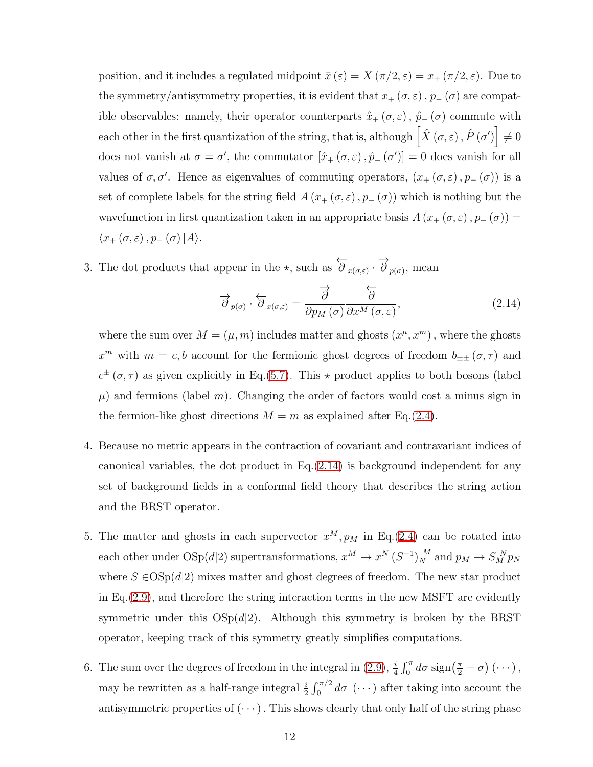position, and it includes a regulated midpoint  $\bar{x}(\varepsilon) = X(\pi/2, \varepsilon) = x_+(\pi/2, \varepsilon)$ . Due to the symmetry/antisymmetry properties, it is evident that  $x_+(\sigma,\varepsilon)$ ,  $p_-(\sigma)$  are compatible observables: namely, their operator counterparts  $\hat{x}_+(\sigma,\varepsilon)$ ,  $\hat{p}_-(\sigma)$  commute with each other in the first quantization of the string, that is, although  $\left[ \hat{X}\left( \sigma,\varepsilon\right) ,\hat{P}\left( \sigma^{\prime}\right) \right] \neq0$ does not vanish at  $\sigma = \sigma'$ , the commutator  $[\hat{x}_+(\sigma,\varepsilon), \hat{p}_-(\sigma')] = 0$  does vanish for all values of  $\sigma, \sigma'$ . Hence as eigenvalues of commuting operators,  $(x_+(\sigma, \varepsilon), p_-(\sigma))$  is a set of complete labels for the string field  $A(x, \sigma, \varepsilon), p_-(\sigma)$  which is nothing but the wavefunction in first quantization taken in an appropriate basis  $A(x_+(\sigma,\varepsilon), p_-(\sigma)) =$  $\langle x_+(\sigma,\varepsilon), p_-(\sigma)|A\rangle.$ 

3. The dot products that appear in the  $\star$ , such as  $\overleftarrow{\partial}_{x(\sigma,\varepsilon)} \cdot \overrightarrow{\partial}_{p(\sigma)}$ , mean

<span id="page-11-0"></span>
$$
\overrightarrow{\partial}_{p(\sigma)} \cdot \overleftarrow{\partial}_{x(\sigma,\varepsilon)} = \frac{\overrightarrow{\partial}}{\partial p_M(\sigma)} \overleftarrow{\partial x^M(\sigma,\varepsilon)},
$$
\n(2.14)

where the sum over  $M = (\mu, m)$  includes matter and ghosts  $(x^{\mu}, x^m)$ , where the ghosts  $x^m$  with  $m = c, b$  account for the fermionic ghost degrees of freedom  $b_{\pm\pm}$   $(\sigma, \tau)$  and  $c^{\pm}(\sigma,\tau)$  as given explicitly in Eq.[\(5.7\)](#page-33-0). This  $\star$  product applies to both bosons (label  $\mu$ ) and fermions (label m). Changing the order of factors would cost a minus sign in the fermion-like ghost directions  $M = m$  as explained after Eq.[\(2.4\)](#page-8-1).

- 4. Because no metric appears in the contraction of covariant and contravariant indices of canonical variables, the dot product in Eq.[\(2.14\)](#page-11-0) is background independent for any set of background fields in a conformal field theory that describes the string action and the BRST operator.
- 5. The matter and ghosts in each supervector  $x^M, p_M$  in Eq.[\(2.4\)](#page-8-1) can be rotated into each other under  $OSp(d|2)$  supertransformations,  $x^M \to x^N (S^{-1})_N^M$  $\frac{M}{N}$  and  $p_M \to S_M^N p_N$ where  $S \in \text{OSp}(d|2)$  mixes matter and ghost degrees of freedom. The new star product in Eq.  $(2.9)$ , and therefore the string interaction terms in the new MSFT are evidently symmetric under this  $OSp(d|2)$ . Although this symmetry is broken by the BRST operator, keeping track of this symmetry greatly simplifies computations.
- 6. The sum over the degrees of freedom in the integral in [\(2.9\)](#page-9-1),  $\frac{i}{4} \int_0^{\pi} d\sigma \operatorname{sign}(\frac{\pi}{2} \sigma) (\cdots)$ , may be rewritten as a half-range integral  $\frac{i}{2} \int_0^{\pi/2} d\sigma$  ( $\cdots$ ) after taking into account the antisymmetric properties of  $(\cdots)$ . This shows clearly that only half of the string phase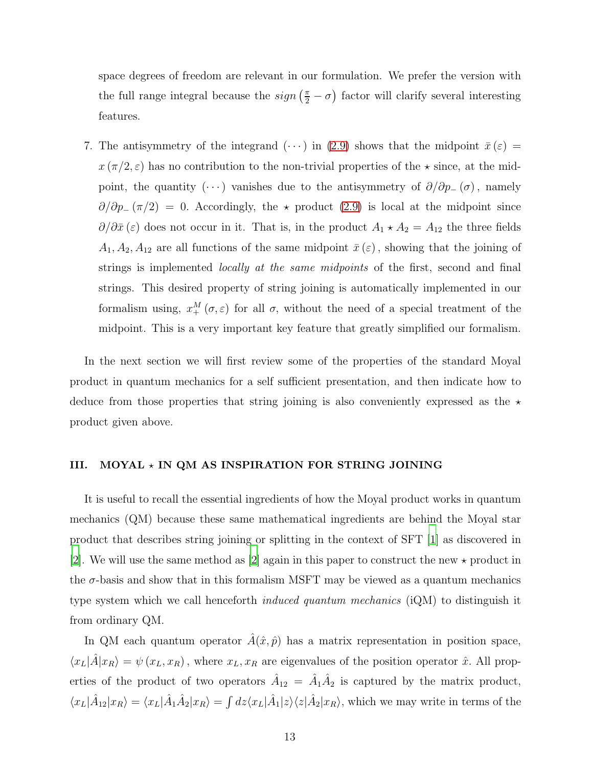space degrees of freedom are relevant in our formulation. We prefer the version with the full range integral because the  $sign\left(\frac{\pi}{2} - \sigma\right)$  factor will clarify several interesting features.

7. The antisymmetry of the integrand  $(\cdots)$  in [\(2.9\)](#page-9-1) shows that the midpoint  $\bar{x}(\varepsilon)$  =  $x(\pi/2, \varepsilon)$  has no contribution to the non-trivial properties of the  $\star$  since, at the midpoint, the quantity  $(\cdots)$  vanishes due to the antisymmetry of  $\partial/\partial p_-(\sigma)$ , namely  $\partial/\partial p_{-}(\pi/2) = 0$ . Accordingly, the  $\star$  product [\(2.9\)](#page-9-1) is local at the midpoint since  $\partial/\partial \bar{x}(\varepsilon)$  does not occur in it. That is, in the product  $A_1 \star A_2 = A_{12}$  the three fields  $A_1, A_2, A_{12}$  are all functions of the same midpoint  $\bar{x}(\varepsilon)$ , showing that the joining of strings is implemented *locally at the same midpoints* of the first, second and final strings. This desired property of string joining is automatically implemented in our formalism using,  $x_{+}^{M}(\sigma,\varepsilon)$  for all  $\sigma$ , without the need of a special treatment of the midpoint. This is a very important key feature that greatly simplified our formalism.

In the next section we will first review some of the properties of the standard Moyal product in quantum mechanics for a self sufficient presentation, and then indicate how to deduce from those properties that string joining is also conveniently expressed as the  $\star$ product given above.

## <span id="page-12-0"></span>III. MOYAL  $\star$  IN QM AS INSPIRATION FOR STRING JOINING

It is useful to recall the essential ingredients of how the Moyal product works in quantum mechanics (QM) because these same mathematical ingredients are behind the Moyal star product that describes string joining or splitting in the context of SFT [\[1](#page-72-1)] as discovered in [\[2](#page-72-2)]. We will use the same method as [\[2](#page-72-2)] again in this paper to construct the new  $\star$  product in the  $\sigma$ -basis and show that in this formalism MSFT may be viewed as a quantum mechanics type system which we call henceforth *induced quantum mechanics* (iQM) to distinguish it from ordinary QM.

In QM each quantum operator  $\hat{A}(\hat{x}, \hat{p})$  has a matrix representation in position space,  $\langle x_L|\hat{A}|x_R\rangle = \psi(x_L, x_R)$ , where  $x_L, x_R$  are eigenvalues of the position operator  $\hat{x}$ . All properties of the product of two operators  $\hat{A}_{12} = \hat{A}_1 \hat{A}_2$  is captured by the matrix product,  $\langle x_L|\hat{A}_{12}|x_R\rangle = \langle x_L|\hat{A}_1\hat{A}_2|x_R\rangle = \int dz \langle x_L|\hat{A}_1|z\rangle \langle z|\hat{A}_2|x_R\rangle$ , which we may write in terms of the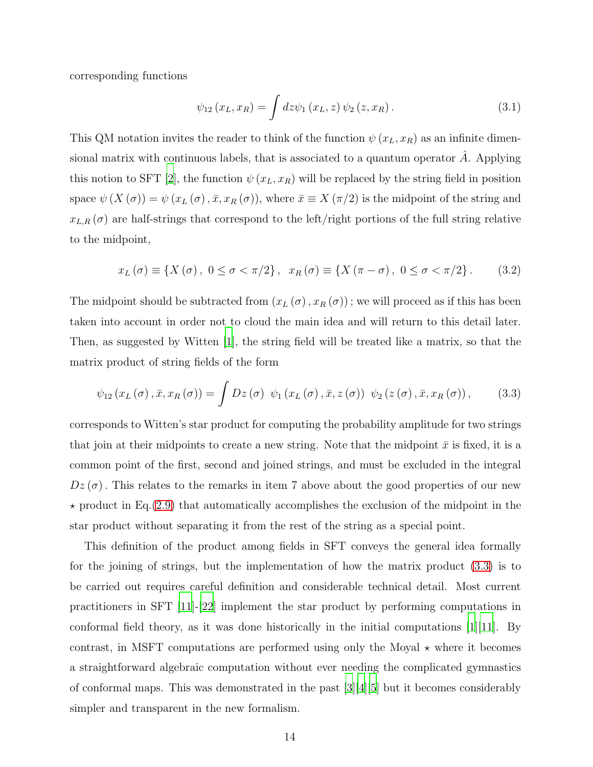corresponding functions

<span id="page-13-1"></span>
$$
\psi_{12}(x_L, x_R) = \int dz \psi_1(x_L, z) \psi_2(z, x_R).
$$
 (3.1)

This QM notation invites the reader to think of the function  $\psi(x_L, x_R)$  as an infinite dimensional matrix with continuous labels, that is associated to a quantum operator  $\vec{A}$ . Applying this notion to SFT [\[2](#page-72-2)], the function  $\psi(x_L, x_R)$  will be replaced by the string field in position space  $\psi(X(\sigma)) = \psi(x_L(\sigma), \bar{x}, x_R(\sigma))$ , where  $\bar{x} \equiv X(\pi/2)$  is the midpoint of the string and  $x_{L,R}(\sigma)$  are half-strings that correspond to the left/right portions of the full string relative to the midpoint,

$$
x_L(\sigma) \equiv \{ X(\sigma), 0 \le \sigma < \pi/2 \}, x_R(\sigma) \equiv \{ X(\pi - \sigma), 0 \le \sigma < \pi/2 \}. \tag{3.2}
$$

The midpoint should be subtracted from  $(x_L(\sigma), x_R(\sigma))$ ; we will proceed as if this has been taken into account in order not to cloud the main idea and will return to this detail later. Then, as suggested by Witten [\[1\]](#page-72-1), the string field will be treated like a matrix, so that the matrix product of string fields of the form

<span id="page-13-0"></span>
$$
\psi_{12}\left(x_L\left(\sigma\right),\bar{x},x_R\left(\sigma\right)\right) = \int Dz\left(\sigma\right) \ \psi_1\left(x_L\left(\sigma\right),\bar{x},z\left(\sigma\right)\right) \ \psi_2\left(z\left(\sigma\right),\bar{x},x_R\left(\sigma\right)\right),\tag{3.3}
$$

corresponds to Witten's star product for computing the probability amplitude for two strings that join at their midpoints to create a new string. Note that the midpoint  $\bar{x}$  is fixed, it is a common point of the first, second and joined strings, and must be excluded in the integral  $Dz(\sigma)$ . This relates to the remarks in item 7 above about the good properties of our new  $\star$  product in Eq.[\(2.9\)](#page-9-1) that automatically accomplishes the exclusion of the midpoint in the star product without separating it from the rest of the string as a special point.

This definition of the product among fields in SFT conveys the general idea formally for the joining of strings, but the implementation of how the matrix product [\(3.3\)](#page-13-0) is to be carried out requires careful definition and considerable technical detail. Most current practitioners in SFT [\[11](#page-73-5)]-[\[22](#page-74-0)] implement the star product by performing computations in conformal field theory, as it was done historically in the initial computations  $[1][11]$  $[1][11]$ . By contrast, in MSFT computations are performed using only the Moyal  $\star$  where it becomes a straightforward algebraic computation without ever needing the complicated gymnastics of conformal maps. This was demonstrated in the past [\[3](#page-72-3)][\[4](#page-72-4)][\[5\]](#page-73-0) but it becomes considerably simpler and transparent in the new formalism.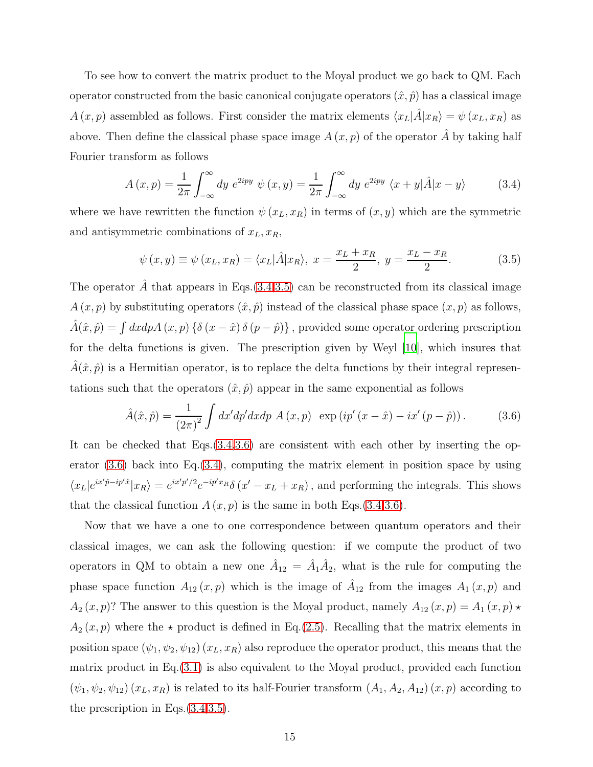To see how to convert the matrix product to the Moyal product we go back to QM. Each operator constructed from the basic canonical conjugate operators  $(\hat{x}, \hat{p})$  has a classical image  $A(x, p)$  assembled as follows. First consider the matrix elements  $\langle x_L|\hat{A}|x_R\rangle = \psi(x_L, x_R)$  as above. Then define the classical phase space image  $A(x, p)$  of the operator  $\tilde{A}$  by taking half Fourier transform as follows

<span id="page-14-0"></span>
$$
A(x,p) = \frac{1}{2\pi} \int_{-\infty}^{\infty} dy \ e^{2ipy} \ \psi(x,y) = \frac{1}{2\pi} \int_{-\infty}^{\infty} dy \ e^{2ipy} \ \langle x+y|\hat{A}|x-y\rangle \tag{3.4}
$$

where we have rewritten the function  $\psi(x_L, x_R)$  in terms of  $(x, y)$  which are the symmetric and antisymmetric combinations of  $x_L, x_R$ ,

<span id="page-14-1"></span>
$$
\psi(x,y) \equiv \psi(x_L, x_R) = \langle x_L | \hat{A} | x_R \rangle, \ x = \frac{x_L + x_R}{2}, \ y = \frac{x_L - x_R}{2}.
$$
 (3.5)

The operator  $\tilde{A}$  that appears in Eqs.[\(3.4](#page-14-0)[,3.5\)](#page-14-1) can be reconstructed from its classical image  $A(x, p)$  by substituting operators  $(\hat{x}, \hat{p})$  instead of the classical phase space  $(x, p)$  as follows,  $\hat{A}(\hat{x}, \hat{p}) = \int dx dp A(x, p) \{ \delta(x - \hat{x}) \delta(p - \hat{p}) \},$  provided some operator ordering prescription for the delta functions is given. The prescription given by Weyl [\[10](#page-73-3)], which insures that  $A(\hat{x}, \hat{p})$  is a Hermitian operator, is to replace the delta functions by their integral representations such that the operators  $(\hat{x}, \hat{p})$  appear in the same exponential as follows

<span id="page-14-2"></span>
$$
\hat{A}(\hat{x}, \hat{p}) = \frac{1}{(2\pi)^2} \int dx' dp' dx dp A(x, p) \exp(i p'(x - \hat{x}) - ix'(p - \hat{p})).
$$
 (3.6)

It can be checked that Eqs.[\(3.4,](#page-14-0)[3.6\)](#page-14-2) are consistent with each other by inserting the operator  $(3.6)$  back into Eq. $(3.4)$ , computing the matrix element in position space by using  $\langle x_L | e^{ix'\hat{p}-ip'\hat{x}} | x_R \rangle = e^{ix'\hat{p}'/2} e^{-ip'x_R} \delta(x'-x_L+x_R)$ , and performing the integrals. This shows that the classical function  $A(x, p)$  is the same in both Eqs.[\(3.4](#page-14-0)[,3.6\)](#page-14-2).

Now that we have a one to one correspondence between quantum operators and their classical images, we can ask the following question: if we compute the product of two operators in QM to obtain a new one  $\hat{A}_{12} = \hat{A}_1 \hat{A}_2$ , what is the rule for computing the phase space function  $A_{12}(x, p)$  which is the image of  $A_{12}$  from the images  $A_1(x, p)$  and  $A_2(x, p)$ ? The answer to this question is the Moyal product, namely  $A_{12}(x, p) = A_1(x, p) \star$  $A_2(x, p)$  where the  $\star$  product is defined in Eq.[\(2.5\)](#page-8-0). Recalling that the matrix elements in position space  $(\psi_1, \psi_2, \psi_{12})$   $(x_L, x_R)$  also reproduce the operator product, this means that the matrix product in Eq.[\(3.1\)](#page-13-1) is also equivalent to the Moyal product, provided each function  $(\psi_1, \psi_2, \psi_{12})$   $(x_L, x_R)$  is related to its half-Fourier transform  $(A_1, A_2, A_{12})$   $(x, p)$  according to the prescription in Eqs.[\(3.4,](#page-14-0)[3.5\)](#page-14-1).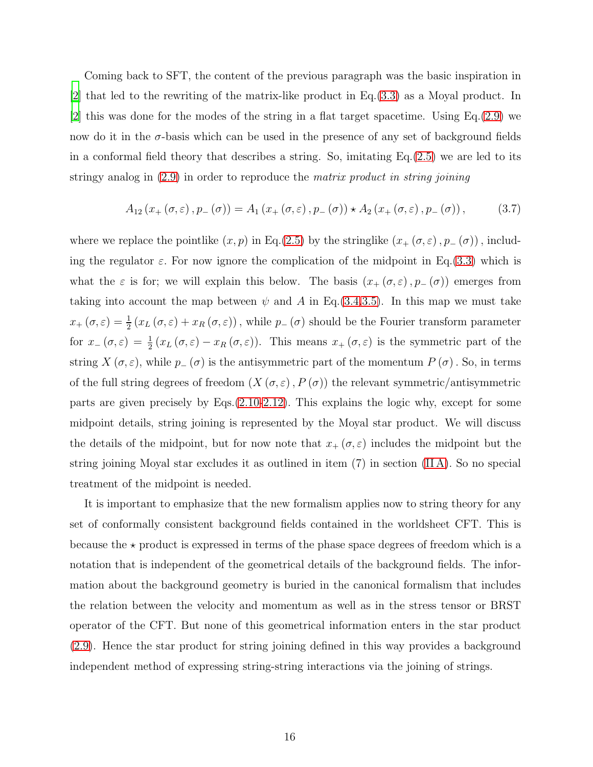Coming back to SFT, the content of the previous paragraph was the basic inspiration in [\[2](#page-72-2)] that led to the rewriting of the matrix-like product in Eq.[\(3.3\)](#page-13-0) as a Moyal product. In [\[2](#page-72-2)] this was done for the modes of the string in a flat target spacetime. Using Eq.[\(2.9\)](#page-9-1) we now do it in the  $\sigma$ -basis which can be used in the presence of any set of background fields in a conformal field theory that describes a string. So, imitating  $Eq.(2.5)$  $Eq.(2.5)$  we are led to its stringy analog in [\(2.9\)](#page-9-1) in order to reproduce the matrix product in string joining

$$
A_{12}\left(x_{+}\left(\sigma,\varepsilon\right),p_{-}\left(\sigma\right)\right)=A_{1}\left(x_{+}\left(\sigma,\varepsilon\right),p_{-}\left(\sigma\right)\right)\star A_{2}\left(x_{+}\left(\sigma,\varepsilon\right),p_{-}\left(\sigma\right)\right),\tag{3.7}
$$

where we replace the pointlike  $(x, p)$  in Eq.[\(2.5\)](#page-8-0) by the stringlike  $(x_+(\sigma, \varepsilon), p_-(\sigma))$ , including the regulator  $\varepsilon$ . For now ignore the complication of the midpoint in Eq.[\(3.3\)](#page-13-0) which is what the  $\varepsilon$  is for; we will explain this below. The basis  $(x_+(\sigma,\varepsilon), p_-(\sigma))$  emerges from taking into account the map between  $\psi$  and A in Eq. [\(3.4,](#page-14-0)[3.5\)](#page-14-1). In this map we must take  $x_+(\sigma,\varepsilon) = \frac{1}{2}(x_L(\sigma,\varepsilon) + x_R(\sigma,\varepsilon))$ , while  $p_-(\sigma)$  should be the Fourier transform parameter for  $x_-(\sigma,\varepsilon) = \frac{1}{2}(x_L(\sigma,\varepsilon) - x_R(\sigma,\varepsilon))$ . This means  $x_+(\sigma,\varepsilon)$  is the symmetric part of the string  $X(\sigma,\varepsilon)$ , while  $p_-(\sigma)$  is the antisymmetric part of the momentum  $P(\sigma)$ . So, in terms of the full string degrees of freedom  $(X(\sigma, \varepsilon), P(\sigma))$  the relevant symmetric/antisymmetric parts are given precisely by Eqs.[\(2.10-](#page-10-0)[2.12\)](#page-10-1). This explains the logic why, except for some midpoint details, string joining is represented by the Moyal star product. We will discuss the details of the midpoint, but for now note that  $x_+(\sigma,\varepsilon)$  includes the midpoint but the string joining Moyal star excludes it as outlined in item (7) in section [\(II A\)](#page-9-0). So no special treatment of the midpoint is needed.

It is important to emphasize that the new formalism applies now to string theory for any set of conformally consistent background fields contained in the worldsheet CFT. This is because the  $\star$  product is expressed in terms of the phase space degrees of freedom which is a notation that is independent of the geometrical details of the background fields. The information about the background geometry is buried in the canonical formalism that includes the relation between the velocity and momentum as well as in the stress tensor or BRST operator of the CFT. But none of this geometrical information enters in the star product [\(2.9\)](#page-9-1). Hence the star product for string joining defined in this way provides a background independent method of expressing string-string interactions via the joining of strings.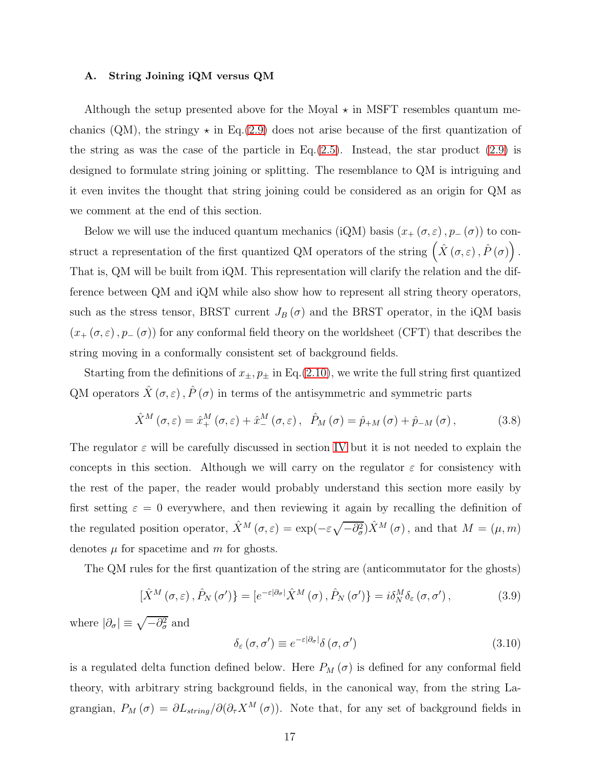#### <span id="page-16-0"></span>A. String Joining iQM versus QM

Although the setup presented above for the Moyal  $\star$  in MSFT resembles quantum mechanics (QM), the stringy  $\star$  in Eq.[\(2.9\)](#page-9-1) does not arise because of the first quantization of the string as was the case of the particle in Eq. $(2.5)$ . Instead, the star product  $(2.9)$  is designed to formulate string joining or splitting. The resemblance to QM is intriguing and it even invites the thought that string joining could be considered as an origin for QM as we comment at the end of this section.

Below we will use the induced quantum mechanics (iQM) basis  $(x_+(\sigma, \varepsilon), p_-(\sigma))$  to construct a representation of the first quantized QM operators of the string  $(\hat{X}(\sigma,\varepsilon), \hat{P}(\sigma))$ . That is, QM will be built from iQM. This representation will clarify the relation and the difference between QM and iQM while also show how to represent all string theory operators, such as the stress tensor, BRST current  $J_B(\sigma)$  and the BRST operator, in the iQM basis  $(x_+(\sigma,\varepsilon), p_-(\sigma))$  for any conformal field theory on the worldsheet (CFT) that describes the string moving in a conformally consistent set of background fields.

Starting from the definitions of  $x_{\pm}$ ,  $p_{\pm}$  in Eq.[\(2.10\)](#page-10-0), we write the full string first quantized QM operators  $\hat{X}(\sigma,\varepsilon)$ ,  $\hat{P}(\sigma)$  in terms of the antisymmetric and symmetric parts

$$
\hat{X}^{M}\left(\sigma,\varepsilon\right) = \hat{x}_{+}^{M}\left(\sigma,\varepsilon\right) + \hat{x}_{-}^{M}\left(\sigma,\varepsilon\right), \quad \hat{P}_{M}\left(\sigma\right) = \hat{p}_{+M}\left(\sigma\right) + \hat{p}_{-M}\left(\sigma\right), \tag{3.8}
$$

The regulator  $\varepsilon$  will be carefully discussed in section [IV](#page-23-0) but it is not needed to explain the concepts in this section. Although we will carry on the regulator  $\varepsilon$  for consistency with the rest of the paper, the reader would probably understand this section more easily by first setting  $\varepsilon = 0$  everywhere, and then reviewing it again by recalling the definition of the regulated position operator,  $\hat{X}^M(\sigma,\varepsilon) = \exp(-\varepsilon \sqrt{-\partial_{\sigma}^2}) \hat{X}^M(\sigma)$ , and that  $M = (\mu, m)$ denotes  $\mu$  for spacetime and m for ghosts.

The QM rules for the first quantization of the string are (anticommutator for the ghosts)

<span id="page-16-1"></span>
$$
\left[\hat{X}^{M}\left(\sigma,\varepsilon\right),\hat{P}_{N}\left(\sigma^{\prime}\right)\right]=\left[e^{-\varepsilon\left|\partial_{\sigma}\right|}\hat{X}^{M}\left(\sigma\right),\hat{P}_{N}\left(\sigma^{\prime}\right)\right]=i\delta_{N}^{M}\delta_{\varepsilon}\left(\sigma,\sigma^{\prime}\right),\tag{3.9}
$$

where  $|\partial_{\sigma}| \equiv \sqrt{-\partial_{\sigma}^2}$  and

$$
\delta_{\varepsilon}(\sigma,\sigma') \equiv e^{-\varepsilon|\partial_{\sigma}|} \delta(\sigma,\sigma')
$$
\n(3.10)

is a regulated delta function defined below. Here  $P_M(\sigma)$  is defined for any conformal field theory, with arbitrary string background fields, in the canonical way, from the string Lagrangian,  $P_M(\sigma) = \partial L_{string}/\partial(\partial_\tau X^M(\sigma))$ . Note that, for any set of background fields in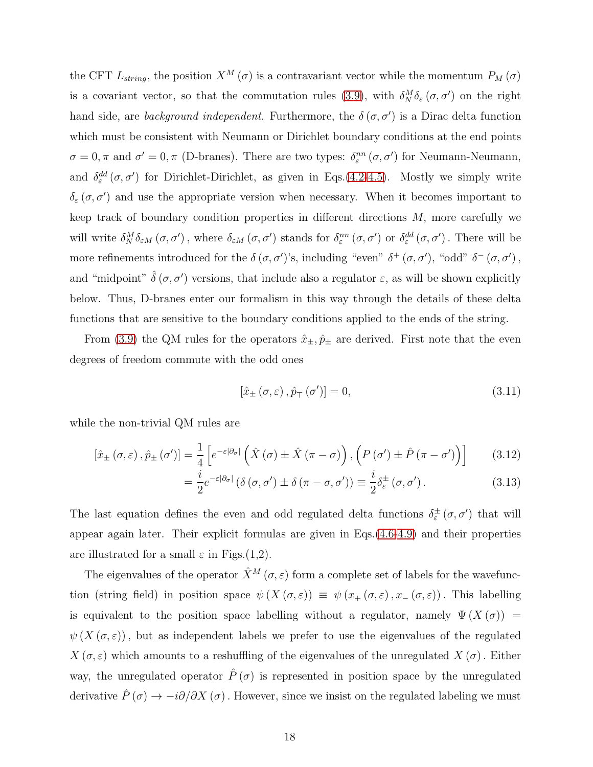the CFT  $L_{string}$ , the position  $X^M(\sigma)$  is a contravariant vector while the momentum  $P_M(\sigma)$ is a covariant vector, so that the commutation rules [\(3.9\)](#page-16-1), with  $\delta_N^M \delta_{\varepsilon} (\sigma, \sigma')$  on the right hand side, are *background independent*. Furthermore, the  $\delta(\sigma, \sigma')$  is a Dirac delta function which must be consistent with Neumann or Dirichlet boundary conditions at the end points  $\sigma = 0, \pi$  and  $\sigma' = 0, \pi$  (D-branes). There are two types:  $\delta_{\varepsilon}^{nn}(\sigma, \sigma')$  for Neumann-Neumann, and  $\delta_{\varepsilon}^{dd}(\sigma, \sigma')$  for Dirichlet-Dirichlet, as given in Eqs.[\(4.2](#page-25-0)[-4.5\)](#page-25-1). Mostly we simply write  $\delta_{\varepsilon}(\sigma, \sigma')$  and use the appropriate version when necessary. When it becomes important to keep track of boundary condition properties in different directions  $M$ , more carefully we will write  $\delta_N^M \delta_{\varepsilon M} (\sigma, \sigma')$ , where  $\delta_{\varepsilon M} (\sigma, \sigma')$  stands for  $\delta_{\varepsilon}^{nn} (\sigma, \sigma')$  or  $\delta_{\varepsilon}^{dd} (\sigma, \sigma')$ . There will be more refinements introduced for the  $\delta(\sigma, \sigma')$ 's, including "even"  $\delta^+(\sigma, \sigma')$ , "odd"  $\delta^-(\sigma, \sigma')$ , and "midpoint"  $\hat{\delta}(\sigma, \sigma')$  versions, that include also a regulator  $\varepsilon$ , as will be shown explicitly below. Thus, D-branes enter our formalism in this way through the details of these delta functions that are sensitive to the boundary conditions applied to the ends of the string.

From [\(3.9\)](#page-16-1) the QM rules for the operators  $\hat{x}_{\pm}, \hat{p}_{\pm}$  are derived. First note that the even degrees of freedom commute with the odd ones

<span id="page-17-2"></span><span id="page-17-1"></span><span id="page-17-0"></span>
$$
\left[\hat{x}_{\pm}\left(\sigma,\varepsilon\right),\hat{p}_{\mp}\left(\sigma'\right)\right]=0,\tag{3.11}
$$

while the non-trivial QM rules are

$$
\left[\hat{x}_{\pm}\left(\sigma,\varepsilon\right),\hat{p}_{\pm}\left(\sigma'\right)\right]=\frac{1}{4}\left[e^{-\varepsilon|\partial_{\sigma}|}\left(\hat{X}\left(\sigma\right)\pm\hat{X}\left(\pi-\sigma\right)\right),\left(P\left(\sigma'\right)\pm\hat{P}\left(\pi-\sigma'\right)\right)\right]
$$
(3.12)

$$
= \frac{i}{2} e^{-\varepsilon |\partial_{\sigma}|} \left( \delta(\sigma, \sigma') \pm \delta(\pi - \sigma, \sigma') \right) \equiv \frac{i}{2} \delta_{\varepsilon}^{\pm}(\sigma, \sigma'). \tag{3.13}
$$

The last equation defines the even and odd regulated delta functions  $\delta_{\varepsilon}^{\pm}(\sigma, \sigma')$  that will appear again later. Their explicit formulas are given in Eqs.[\(4.6-](#page-26-0)[4.9\)](#page-26-1) and their properties are illustrated for a small  $\varepsilon$  in Figs.(1,2).

The eigenvalues of the operator  $\hat{X}^M(\sigma,\varepsilon)$  form a complete set of labels for the wavefunction (string field) in position space  $\psi(X(\sigma,\varepsilon)) \equiv \psi(x_+(\sigma,\varepsilon),x_-(\sigma,\varepsilon))$ . This labelling is equivalent to the position space labelling without a regulator, namely  $\Psi(X(\sigma))$  =  $\psi(X(\sigma,\varepsilon))$ , but as independent labels we prefer to use the eigenvalues of the regulated  $X(\sigma,\varepsilon)$  which amounts to a reshuffling of the eigenvalues of the unregulated  $X(\sigma)$ . Either way, the unregulated operator  $\hat{P}(\sigma)$  is represented in position space by the unregulated derivative  $\hat{P}(\sigma) \to -i\partial/\partial X(\sigma)$ . However, since we insist on the regulated labeling we must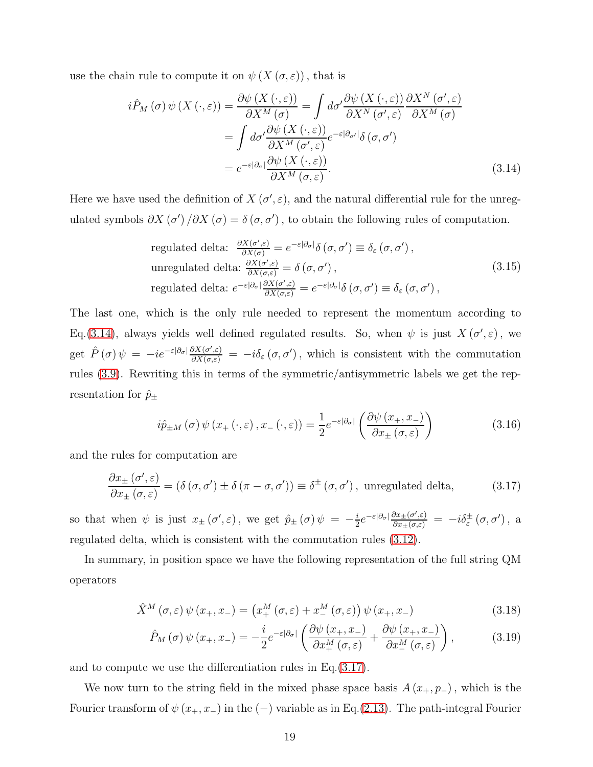use the chain rule to compute it on  $\psi(X(\sigma,\varepsilon))$ , that is

$$
i\hat{P}_M(\sigma)\,\psi\left(X\left(\cdot,\varepsilon\right)\right) = \frac{\partial\psi\left(X\left(\cdot,\varepsilon\right)\right)}{\partial X^M(\sigma)} = \int d\sigma' \frac{\partial\psi\left(X\left(\cdot,\varepsilon\right)\right)}{\partial X^N(\sigma',\varepsilon)} \frac{\partial X^N(\sigma',\varepsilon)}{\partial X^M(\sigma)}
$$

$$
= \int d\sigma' \frac{\partial\psi\left(X\left(\cdot,\varepsilon\right)\right)}{\partial X^M(\sigma',\varepsilon)} e^{-\varepsilon|\partial_{\sigma'}|} \delta(\sigma,\sigma')
$$

$$
= e^{-\varepsilon|\partial_{\sigma}|} \frac{\partial\psi\left(X\left(\cdot,\varepsilon\right)\right)}{\partial X^M(\sigma,\varepsilon)}.
$$
(3.14)

Here we have used the definition of  $X(\sigma', \varepsilon)$ , and the natural differential rule for the unregulated symbols  $\partial X(\sigma')/\partial X(\sigma) = \delta(\sigma, \sigma')$ , to obtain the following rules of computation.

<span id="page-18-0"></span>regulated delta: 
$$
\frac{\partial X(\sigma', \varepsilon)}{\partial X(\sigma)} = e^{-\varepsilon |\partial_{\sigma}|} \delta(\sigma, \sigma') \equiv \delta_{\varepsilon}(\sigma, \sigma'),
$$
  
unregulated delta: 
$$
\frac{\partial X(\sigma', \varepsilon)}{\partial X(\sigma, \varepsilon)} = \delta(\sigma, \sigma'),
$$

$$
regulated delta: e^{-\varepsilon |\partial_{\sigma}|} \frac{\partial X(\sigma', \varepsilon)}{\partial X(\sigma, \varepsilon)} = e^{-\varepsilon |\partial_{\sigma}|} \delta(\sigma, \sigma') \equiv \delta_{\varepsilon}(\sigma, \sigma'),
$$

$$
(3.15)
$$

The last one, which is the only rule needed to represent the momentum according to Eq.[\(3.14\)](#page-18-0), always yields well defined regulated results. So, when  $\psi$  is just  $X(\sigma', \varepsilon)$ , we get  $\hat{P}(\sigma)\psi = -ie^{-\varepsilon|\partial_{\sigma}|}\frac{\partial X(\sigma,\varepsilon)}{\partial X(\sigma,\varepsilon)} = -i\delta_{\varepsilon}(\sigma,\sigma')$ , which is consistent with the commutation rules [\(3.9\)](#page-16-1). Rewriting this in terms of the symmetric/antisymmetric labels we get the representation for  $\hat{p}_{\pm}$ 

<span id="page-18-4"></span>
$$
i\hat{p}_{\pm M}\left(\sigma\right)\psi\left(x_{+}\left(\cdot,\varepsilon\right),x_{-}\left(\cdot,\varepsilon\right)\right)=\frac{1}{2}e^{-\varepsilon|\partial_{\sigma}|}\left(\frac{\partial\psi\left(x_{+},x_{-}\right)}{\partial x_{\pm}\left(\sigma,\varepsilon\right)}\right)
$$
(3.16)

and the rules for computation are

<span id="page-18-1"></span>
$$
\frac{\partial x_{\pm}(\sigma', \varepsilon)}{\partial x_{\pm}(\sigma, \varepsilon)} = (\delta(\sigma, \sigma') \pm \delta(\pi - \sigma, \sigma')) \equiv \delta^{\pm}(\sigma, \sigma'), \text{ unregulated delta}, \tag{3.17}
$$

so that when  $\psi$  is just  $x_{\pm}(\sigma', \varepsilon)$ , we get  $\hat{p}_{\pm}(\sigma) \psi = -\frac{i}{2}$  $\frac{i}{2}e^{-\varepsilon|\partial_{\sigma}|}\frac{\partial x_{\pm}(\sigma,\varepsilon)}{\partial x_{\pm}(\sigma,\varepsilon)} = -i\delta_{\varepsilon}^{\pm}(\sigma,\sigma')$ , a regulated delta, which is consistent with the commutation rules [\(3.12\)](#page-17-0).

In summary, in position space we have the following representation of the full string QM operators

$$
\hat{X}^{M}\left(\sigma,\varepsilon\right)\psi\left(x_{+},x_{-}\right)=\left(x_{+}^{M}\left(\sigma,\varepsilon\right)+x_{-}^{M}\left(\sigma,\varepsilon\right)\right)\psi\left(x_{+},x_{-}\right)
$$
\n(3.18)

<span id="page-18-3"></span><span id="page-18-2"></span>
$$
\hat{P}_M\left(\sigma\right)\psi\left(x_+,x_-\right) = -\frac{i}{2}e^{-\varepsilon|\partial_{\sigma}|}\left(\frac{\partial\psi\left(x_+,x_-\right)}{\partial x_+^M\left(\sigma,\varepsilon\right)} + \frac{\partial\psi\left(x_+,x_-\right)}{\partial x_-^M\left(\sigma,\varepsilon\right)}\right),\tag{3.19}
$$

and to compute we use the differentiation rules in Eq.[\(3.17\)](#page-18-1).

We now turn to the string field in the mixed phase space basis  $A(x_+, p_-)$ , which is the Fourier transform of  $\psi(x_+, x_-)$  in the  $(-)$  variable as in Eq.[\(2.13\)](#page-10-2). The path-integral Fourier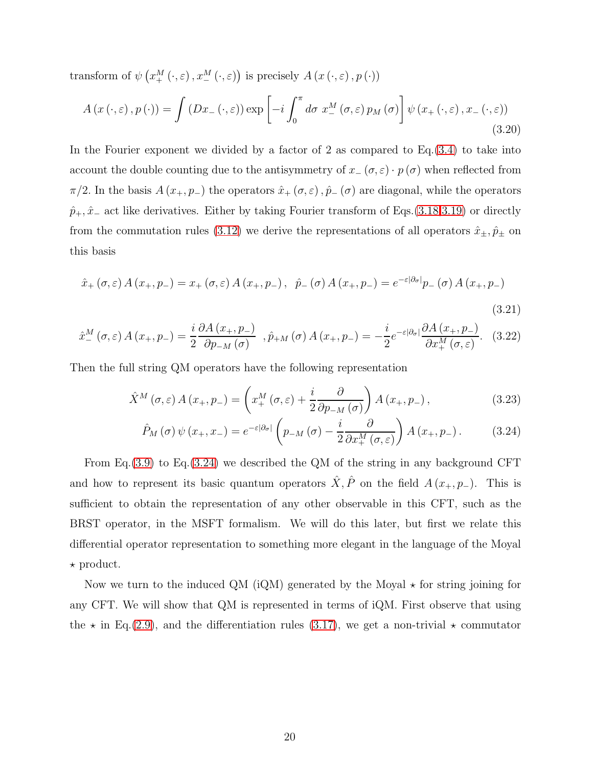transform of  $\psi\left(x_+^M(\cdot,\varepsilon), x_-^M(\cdot,\varepsilon)\right)$  is precisely  $A(x(\cdot,\varepsilon), p(\cdot))$ 

$$
A(x(\cdot,\varepsilon),p(\cdot)) = \int \left(Dx_{-}(\cdot,\varepsilon)\right) \exp\left[-i\int_{0}^{\pi} d\sigma \; x_{-}^{M}\left(\sigma,\varepsilon\right) p_{M}\left(\sigma\right)\right] \psi\left(x_{+}\left(\cdot,\varepsilon\right),x_{-}\left(\cdot,\varepsilon\right)\right) \tag{3.20}
$$

In the Fourier exponent we divided by a factor of 2 as compared to Eq.[\(3.4\)](#page-14-0) to take into account the double counting due to the antisymmetry of  $x_-(\sigma,\varepsilon) \cdot p(\sigma)$  when reflected from  $\pi/2$ . In the basis  $A(x_+, p_-)$  the operators  $\hat{x}_+(\sigma, \varepsilon), \hat{p}_-(\sigma)$  are diagonal, while the operators  $\hat{p}_+$ ,  $\hat{x}_-$  act like derivatives. Either by taking Fourier transform of Eqs.[\(3.18](#page-18-2)[,3.19\)](#page-18-3) or directly from the commutation rules [\(3.12\)](#page-17-0) we derive the representations of all operators  $\hat{x}_{\pm}, \hat{p}_{\pm}$  on this basis

$$
\hat{x}_{+} (\sigma, \varepsilon) A (x_{+}, p_{-}) = x_{+} (\sigma, \varepsilon) A (x_{+}, p_{-}), \ \ \hat{p}_{-} (\sigma) A (x_{+}, p_{-}) = e^{-\varepsilon |\partial_{\sigma}|} p_{-} (\sigma) A (x_{+}, p_{-})
$$
\n(3.21)

$$
\hat{x}_{-}^{M}\left(\sigma,\varepsilon\right)A\left(x_{+},p_{-}\right)=\frac{i}{2}\frac{\partial A\left(x_{+},p_{-}\right)}{\partial p_{-M}\left(\sigma\right)}\quad,\hat{p}_{+M}\left(\sigma\right)A\left(x_{+},p_{-}\right)=-\frac{i}{2}e^{-\varepsilon\left|\partial_{\sigma}\right|}\frac{\partial A\left(x_{+},p_{-}\right)}{\partial x_{+}^{M}\left(\sigma,\varepsilon\right)}.\quad(3.22)
$$

Then the full string QM operators have the following representation

$$
\hat{X}^{M}\left(\sigma,\varepsilon\right)A\left(x_{+},p_{-}\right)=\left(x_{+}^{M}\left(\sigma,\varepsilon\right)+\frac{i}{2}\frac{\partial}{\partial p_{-M}\left(\sigma\right)}\right)A\left(x_{+},p_{-}\right),\tag{3.23}
$$

<span id="page-19-1"></span><span id="page-19-0"></span>
$$
\hat{P}_M(\sigma)\,\psi(x_+,x_-) = e^{-\varepsilon|\partial_{\sigma}|} \left(p_{-M}(\sigma) - \frac{i}{2} \frac{\partial}{\partial x_+^M(\sigma,\varepsilon)}\right) A(x_+,p_-). \tag{3.24}
$$

From Eq.[\(3.9\)](#page-16-1) to Eq.[\(3.24\)](#page-19-0) we described the QM of the string in any background CFT and how to represent its basic quantum operators  $\hat{X}, \hat{P}$  on the field  $A(x_+, p_-)$ . This is sufficient to obtain the representation of any other observable in this CFT, such as the BRST operator, in the MSFT formalism. We will do this later, but first we relate this differential operator representation to something more elegant in the language of the Moyal  $\star$  product.

Now we turn to the induced QM (iQM) generated by the Moyal  $\star$  for string joining for any CFT. We will show that QM is represented in terms of iQM. First observe that using the  $\star$  in Eq.[\(2.9\)](#page-9-1), and the differentiation rules [\(3.17\)](#page-18-1), we get a non-trivial  $\star$  commutator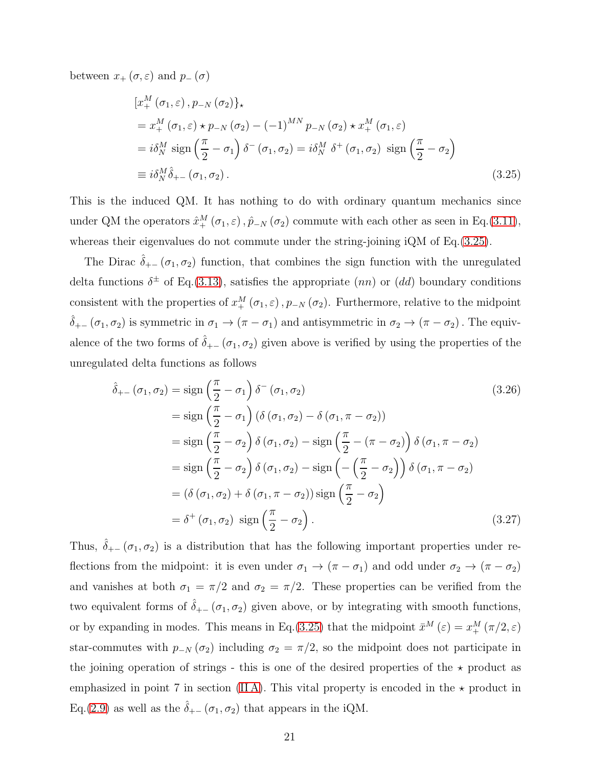between  $x_+(\sigma,\varepsilon)$  and  $p_-(\sigma)$ 

<span id="page-20-0"></span>
$$
\begin{split} & \left[ x_{+}^{M} \left( \sigma_{1}, \varepsilon \right), p_{-N} \left( \sigma_{2} \right) \right] \right\}, \\ & = x_{+}^{M} \left( \sigma_{1}, \varepsilon \right) \star p_{-N} \left( \sigma_{2} \right) - \left( -1 \right)^{MN} p_{-N} \left( \sigma_{2} \right) \star x_{+}^{M} \left( \sigma_{1}, \varepsilon \right) \\ & = i \delta_{N}^{M} \operatorname{sign} \left( \frac{\pi}{2} - \sigma_{1} \right) \delta^{-} \left( \sigma_{1}, \sigma_{2} \right) = i \delta_{N}^{M} \delta^{+} \left( \sigma_{1}, \sigma_{2} \right) \operatorname{sign} \left( \frac{\pi}{2} - \sigma_{2} \right) \\ & \equiv i \delta_{N}^{M} \hat{\delta}_{+-} \left( \sigma_{1}, \sigma_{2} \right). \end{split} \tag{3.25}
$$

This is the induced QM. It has nothing to do with ordinary quantum mechanics since under QM the operators  $\hat{x}^M_+(\sigma_1,\varepsilon), \hat{p}_{-N}(\sigma_2)$  commute with each other as seen in Eq.[\(3.11\)](#page-17-1), whereas their eigenvalues do not commute under the string-joining iQM of Eq.[\(3.25\)](#page-20-0).

The Dirac  $\delta_{+-}(\sigma_1, \sigma_2)$  function, that combines the sign function with the unregulated delta functions  $\delta^{\pm}$  of Eq.[\(3.13\)](#page-17-2), satisfies the appropriate  $(nn)$  or  $(dd)$  boundary conditions consistent with the properties of  $x_+^M(\sigma_1, \varepsilon)$ ,  $p_{-N}(\sigma_2)$ . Furthermore, relative to the midpoint  $\hat{\delta}_{+-}(\sigma_1,\sigma_2)$  is symmetric in  $\sigma_1 \to (\pi - \sigma_1)$  and antisymmetric in  $\sigma_2 \to (\pi - \sigma_2)$ . The equivalence of the two forms of  $\hat{\delta}_{+-}(\sigma_1, \sigma_2)$  given above is verified by using the properties of the unregulated delta functions as follows

<span id="page-20-2"></span><span id="page-20-1"></span>
$$
\hat{\delta}_{+-}(\sigma_1, \sigma_2) = \text{sign}\left(\frac{\pi}{2} - \sigma_1\right) \delta^-(\sigma_1, \sigma_2)
$$
\n
$$
= \text{sign}\left(\frac{\pi}{2} - \sigma_1\right) \left(\delta(\sigma_1, \sigma_2) - \delta(\sigma_1, \pi - \sigma_2)\right)
$$
\n
$$
= \text{sign}\left(\frac{\pi}{2} - \sigma_2\right) \delta(\sigma_1, \sigma_2) - \text{sign}\left(\frac{\pi}{2} - (\pi - \sigma_2)\right) \delta(\sigma_1, \pi - \sigma_2)
$$
\n
$$
= \text{sign}\left(\frac{\pi}{2} - \sigma_2\right) \delta(\sigma_1, \sigma_2) - \text{sign}\left(-\left(\frac{\pi}{2} - \sigma_2\right)\right) \delta(\sigma_1, \pi - \sigma_2)
$$
\n
$$
= (\delta(\sigma_1, \sigma_2) + \delta(\sigma_1, \pi - \sigma_2)) \text{ sign}\left(\frac{\pi}{2} - \sigma_2\right)
$$
\n
$$
= \delta^+(\sigma_1, \sigma_2) \text{ sign}\left(\frac{\pi}{2} - \sigma_2\right).
$$
\n(3.27)

Thus,  $\delta_{+-}(\sigma_1, \sigma_2)$  is a distribution that has the following important properties under reflections from the midpoint: it is even under  $\sigma_1 \to (\pi - \sigma_1)$  and odd under  $\sigma_2 \to (\pi - \sigma_2)$ and vanishes at both  $\sigma_1 = \pi/2$  and  $\sigma_2 = \pi/2$ . These properties can be verified from the two equivalent forms of  $\delta_{+-}(\sigma_1, \sigma_2)$  given above, or by integrating with smooth functions, or by expanding in modes. This means in Eq.[\(3.25\)](#page-20-0) that the midpoint  $\bar{x}^M(\varepsilon) = x^M_+(\pi/2, \varepsilon)$ star-commutes with  $p_{-N}(\sigma_2)$  including  $\sigma_2 = \pi/2$ , so the midpoint does not participate in the joining operation of strings - this is one of the desired properties of the  $\star$  product as emphasized in point 7 in section (IIA). This vital property is encoded in the  $\star$  product in Eq.[\(2.9\)](#page-9-1) as well as the  $\hat{\delta}_{+-}(\sigma_1, \sigma_2)$  that appears in the iQM.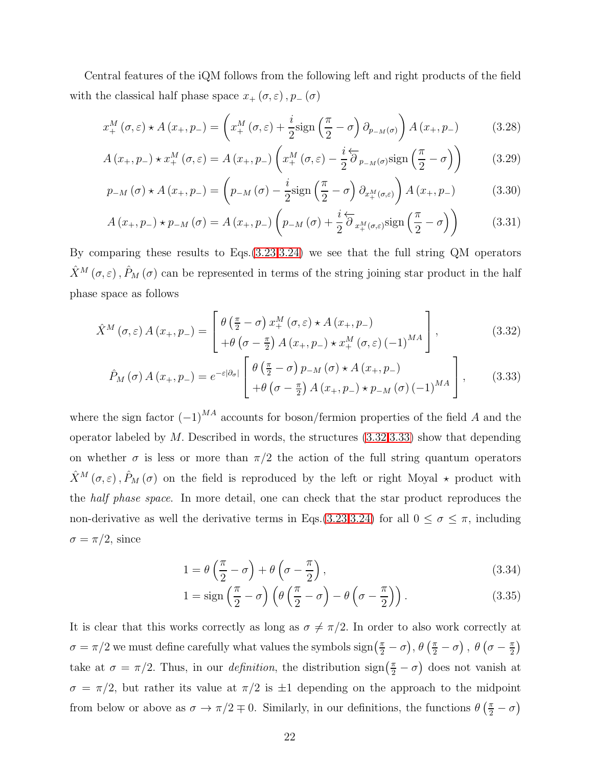Central features of the iQM follows from the following left and right products of the field with the classical half phase space  $x_+(\sigma,\varepsilon), p_-(\sigma)$ 

$$
x_{+}^{M}(\sigma,\varepsilon) \star A(x_{+},p_{-}) = \left(x_{+}^{M}(\sigma,\varepsilon) + \frac{i}{2}\text{sign}\left(\frac{\pi}{2}-\sigma\right)\partial_{p_{-M}(\sigma)}\right)A(x_{+},p_{-})\tag{3.28}
$$

$$
A(x_+, p_-) \star x_+^M(\sigma, \varepsilon) = A(x_+, p_-) \left( x_+^M(\sigma, \varepsilon) - \frac{i}{2} \overleftarrow{\partial}_{p_M(\sigma)} \text{sign}\left(\frac{\pi}{2} - \sigma\right) \right) \tag{3.29}
$$

$$
p_{-M}(\sigma) \star A(x_+, p_-) = \left(p_{-M}(\sigma) - \frac{i}{2}\text{sign}\left(\frac{\pi}{2} - \sigma\right)\partial_{x_+^M(\sigma,\varepsilon)}\right)A(x_+, p_-)
$$
(3.30)

<span id="page-21-4"></span><span id="page-21-3"></span>
$$
A(x_{+}, p_{-}) \star p_{-M}(\sigma) = A(x_{+}, p_{-}) \left( p_{-M}(\sigma) + \frac{i}{2} \overleftarrow{\partial}_{x_{+}^{M}(\sigma, \varepsilon)} sign\left(\frac{\pi}{2} - \sigma\right) \right)
$$
(3.31)

By comparing these results to Eqs.[\(3.23](#page-19-1)[,3.24\)](#page-19-0) we see that the full string QM operators  $\hat{X}^{M}(\sigma,\varepsilon),\hat{P}_{M}(\sigma)$  can be represented in terms of the string joining star product in the half phase space as follows

$$
\hat{X}^{M}\left(\sigma,\varepsilon\right)A\left(x_{+},p_{-}\right)=\left[\begin{array}{l} \theta\left(\frac{\pi}{2}-\sigma\right)x_{+}^{M}\left(\sigma,\varepsilon\right)\star A\left(x_{+},p_{-}\right) \\ +\theta\left(\sigma-\frac{\pi}{2}\right)A\left(x_{+},p_{-}\right)\star x_{+}^{M}\left(\sigma,\varepsilon\right)\left(-1\right)^{MA} \end{array}\right],\tag{3.32}
$$

<span id="page-21-0"></span>
$$
\hat{P}_M(\sigma) A(x_+, p_-) = e^{-\varepsilon |\partial_\sigma|} \begin{bmatrix} \theta\left(\frac{\pi}{2} - \sigma\right) p_{-M}(\sigma) \star A(x_+, p_-) \\ + \theta\left(\sigma - \frac{\pi}{2}\right) A(x_+, p_-) \star p_{-M}(\sigma) (-1)^{MA} \end{bmatrix}, \quad (3.33)
$$

where the sign factor  $(-1)^{MA}$  accounts for boson/fermion properties of the field A and the operator labeled by  $M$ . Described in words, the structures  $(3.32,3.33)$  $(3.32,3.33)$  show that depending on whether  $\sigma$  is less or more than  $\pi/2$  the action of the full string quantum operators  $\hat{X}^M(\sigma,\varepsilon),\hat{P}_M(\sigma)$  on the field is reproduced by the left or right Moyal  $\star$  product with the *half phase space*. In more detail, one can check that the star product reproduces the non-derivative as well the derivative terms in Eqs.[\(3.23,](#page-19-1)[3.24\)](#page-19-0) for all  $0 \le \sigma \le \pi$ , including  $\sigma = \pi/2$ , since

<span id="page-21-1"></span>
$$
1 = \theta \left(\frac{\pi}{2} - \sigma\right) + \theta \left(\sigma - \frac{\pi}{2}\right),\tag{3.34}
$$

<span id="page-21-2"></span>
$$
1 = sign\left(\frac{\pi}{2} - \sigma\right) \left(\theta \left(\frac{\pi}{2} - \sigma\right) - \theta \left(\sigma - \frac{\pi}{2}\right)\right). \tag{3.35}
$$

It is clear that this works correctly as long as  $\sigma \neq \pi/2$ . In order to also work correctly at  $\sigma=\pi/2$  we must define carefully what values the symbols  $\text{sign}\left(\frac{\pi}{2}-\sigma\right)$ ,  $\theta\left(\frac{\pi}{2}-\sigma\right)$ ,  $\theta\left(\sigma-\frac{\pi}{2}\right)$  $\frac{\pi}{2}$ take at  $\sigma = \pi/2$ . Thus, in our *definition*, the distribution  $\text{sign}(\frac{\pi}{2} - \sigma)$  does not vanish at  $\sigma = \pi/2$ , but rather its value at  $\pi/2$  is  $\pm 1$  depending on the approach to the midpoint from below or above as  $\sigma \to \pi/2 \mp 0$ . Similarly, in our definitions, the functions  $\theta\left(\frac{\pi}{2} - \sigma\right)$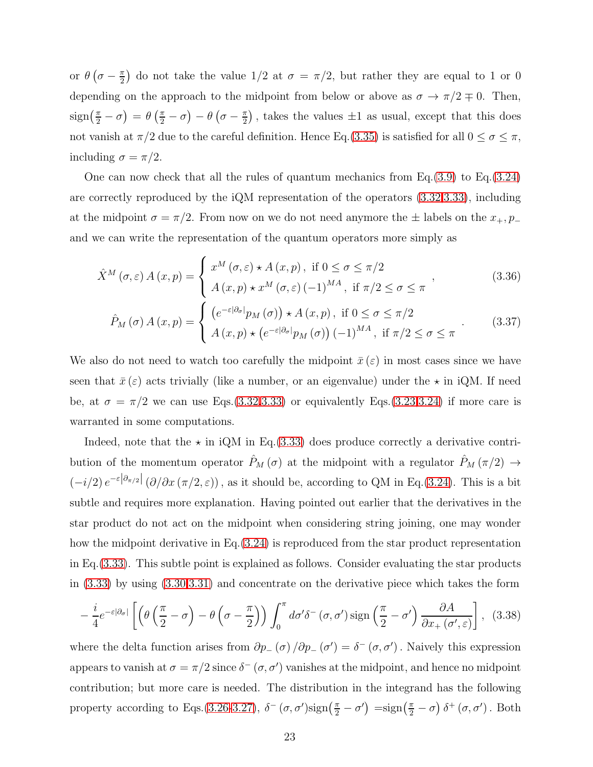or  $\theta\left(\sigma-\frac{\pi}{2}\right)$  $\frac{\pi}{2}$  do not take the value 1/2 at  $\sigma = \pi/2$ , but rather they are equal to 1 or 0 depending on the approach to the midpoint from below or above as  $\sigma \to \pi/2 \mp 0$ . Then,  $\text{sign}\left(\frac{\pi}{2} - \sigma\right) = \theta\left(\frac{\pi}{2} - \sigma\right) - \theta\left(\sigma - \frac{\pi}{2}\right)$  $\frac{\pi}{2}$ , takes the values  $\pm 1$  as usual, except that this does not vanish at  $\pi/2$  due to the careful definition. Hence Eq.[\(3.35\)](#page-21-2) is satisfied for all  $0 \le \sigma \le \pi$ , including  $\sigma = \pi/2$ .

One can now check that all the rules of quantum mechanics from Eq.[\(3.9\)](#page-16-1) to Eq.[\(3.24\)](#page-19-0) are correctly reproduced by the iQM representation of the operators [\(3.32](#page-21-0)[,3.33\)](#page-21-1), including at the midpoint  $\sigma = \pi/2$ . From now on we do not need anymore the  $\pm$  labels on the  $x_+, p_$ and we can write the representation of the quantum operators more simply as

$$
\hat{X}^{M}\left(\sigma,\varepsilon\right)A\left(x,p\right) = \begin{cases} x^{M}\left(\sigma,\varepsilon\right) \star A\left(x,p\right), \text{ if } 0 \leq \sigma \leq \pi/2\\ A\left(x,p\right) \star x^{M}\left(\sigma,\varepsilon\right) \left(-1\right)^{MA}, \text{ if } \pi/2 \leq \sigma \leq \pi \end{cases},\tag{3.36}
$$

<span id="page-22-2"></span><span id="page-22-1"></span>
$$
\hat{P}_M(\sigma) A(x, p) = \begin{cases}\n(e^{-\varepsilon |\partial_{\sigma}|} p_M(\sigma)) \star A(x, p), & \text{if } 0 \le \sigma \le \pi/2 \\
A(x, p) \star (e^{-\varepsilon |\partial_{\sigma}|} p_M(\sigma)) (-1)^{MA}, & \text{if } \pi/2 \le \sigma \le \pi\n\end{cases} (3.37)
$$

We also do not need to watch too carefully the midpoint  $\bar{x}(\varepsilon)$  in most cases since we have seen that  $\bar{x}(\varepsilon)$  acts trivially (like a number, or an eigenvalue) under the  $\star$  in iQM. If need be, at  $\sigma = \pi/2$  we can use Eqs.[\(3.32](#page-21-0)[,3.33\)](#page-21-1) or equivalently Eqs.[\(3.23](#page-19-1)[,3.24\)](#page-19-0) if more care is warranted in some computations.

Indeed, note that the  $\star$  in iQM in Eq.[\(3.33\)](#page-21-1) does produce correctly a derivative contribution of the momentum operator  $\hat{P}_M(\sigma)$  at the midpoint with a regulator  $\hat{P}_M(\pi/2) \rightarrow$  $(-i/2) e^{-\varepsilon |\partial_{\pi/2}|} (\partial/\partial x (\pi/2, \varepsilon))$ , as it should be, according to QM in Eq.[\(3.24\)](#page-19-0). This is a bit subtle and requires more explanation. Having pointed out earlier that the derivatives in the star product do not act on the midpoint when considering string joining, one may wonder how the midpoint derivative in Eq.[\(3.24\)](#page-19-0) is reproduced from the star product representation in Eq.[\(3.33\)](#page-21-1). This subtle point is explained as follows. Consider evaluating the star products in [\(3.33\)](#page-21-1) by using [\(3.30,](#page-21-3)[3.31\)](#page-21-4) and concentrate on the derivative piece which takes the form

<span id="page-22-0"></span>
$$
-\frac{i}{4}e^{-\varepsilon|\partial_{\sigma}|}\left[\left(\theta\left(\frac{\pi}{2}-\sigma\right)-\theta\left(\sigma-\frac{\pi}{2}\right)\right)\int_{0}^{\pi}d\sigma'\delta^{-}\left(\sigma,\sigma'\right)\text{sign}\left(\frac{\pi}{2}-\sigma'\right)\frac{\partial A}{\partial x_{+}\left(\sigma',\varepsilon\right)}\right],\quad(3.38)
$$

where the delta function arises from  $\partial p_-(\sigma)/\partial p_-(\sigma')=\delta^-(\sigma,\sigma')$ . Naively this expression appears to vanish at  $\sigma = \pi/2$  since  $\delta^-(\sigma, \sigma')$  vanishes at the midpoint, and hence no midpoint contribution; but more care is needed. The distribution in the integrand has the following property according to Eqs.[\(3.26](#page-20-1)[-3.27\)](#page-20-2),  $\delta^-(\sigma,\sigma')$ sign $(\frac{\pi}{2}-\sigma')$  =sign $(\frac{\pi}{2}-\sigma)$   $\delta^+(\sigma,\sigma')$ . Both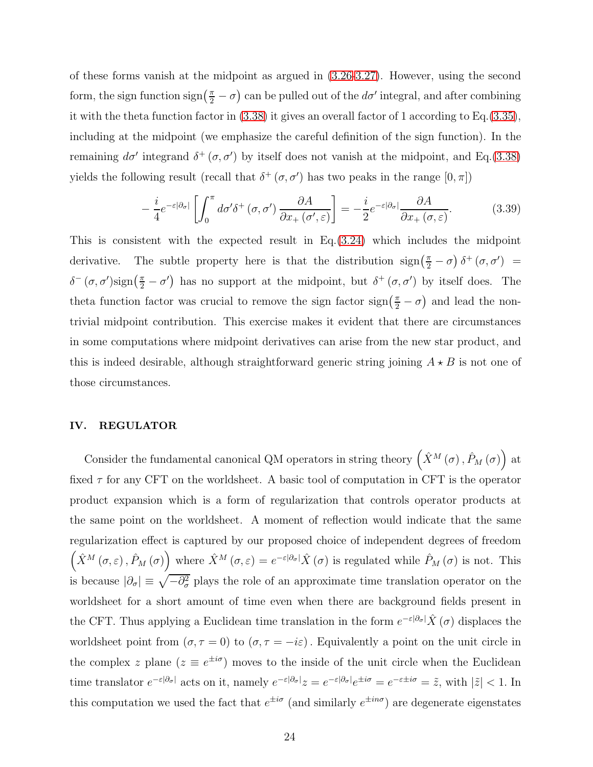of these forms vanish at the midpoint as argued in [\(3.26](#page-20-1)[-3.27\)](#page-20-2). However, using the second form, the sign function  $\text{sign}\left(\frac{\pi}{2} - \sigma\right)$  can be pulled out of the  $d\sigma'$  integral, and after combining it with the theta function factor in [\(3.38\)](#page-22-0) it gives an overall factor of 1 according to Eq.[\(3.35\)](#page-21-2), including at the midpoint (we emphasize the careful definition of the sign function). In the remaining  $d\sigma'$  integrand  $\delta^+(\sigma, \sigma')$  by itself does not vanish at the midpoint, and Eq.[\(3.38\)](#page-22-0) yields the following result (recall that  $\delta^+(\sigma, \sigma')$  has two peaks in the range  $[0, \pi]$ )

<span id="page-23-1"></span>
$$
-\frac{i}{4}e^{-\varepsilon|\partial_{\sigma}|}\left[\int_0^{\pi}d\sigma'\delta^+(\sigma,\sigma')\frac{\partial A}{\partial x_+(\sigma',\varepsilon)}\right] = -\frac{i}{2}e^{-\varepsilon|\partial_{\sigma}|}\frac{\partial A}{\partial x_+(\sigma,\varepsilon)}.\tag{3.39}
$$

This is consistent with the expected result in  $Eq.(3.24)$  $Eq.(3.24)$  which includes the midpoint derivative. The subtle property here is that the distribution  $\text{sign}(\frac{\pi}{2} - \sigma) \delta^+ (\sigma, \sigma') =$  $\delta^-(\sigma,\sigma')$ sign $(\frac{\pi}{2}-\sigma')$  has no support at the midpoint, but  $\delta^+(\sigma,\sigma')$  by itself does. The theta function factor was crucial to remove the sign factor  $\text{sign}\left(\frac{\pi}{2} - \sigma\right)$  and lead the nontrivial midpoint contribution. This exercise makes it evident that there are circumstances in some computations where midpoint derivatives can arise from the new star product, and this is indeed desirable, although straightforward generic string joining  $A \star B$  is not one of those circumstances.

## <span id="page-23-0"></span>IV. REGULATOR

Consider the fundamental canonical QM operators in string theory  $(\hat{X}^M(\sigma), \hat{P}_M(\sigma))$  at fixed  $\tau$  for any CFT on the worldsheet. A basic tool of computation in CFT is the operator product expansion which is a form of regularization that controls operator products at the same point on the worldsheet. A moment of reflection would indicate that the same regularization effect is captured by our proposed choice of independent degrees of freedom  $(\hat{X}^{M}(\sigma,\varepsilon),\hat{P}_{M}(\sigma))$  where  $\hat{X}^{M}(\sigma,\varepsilon)=e^{-\varepsilon|\partial_{\sigma}|}\hat{X}(\sigma)$  is regulated while  $\hat{P}_{M}(\sigma)$  is not. This is because  $|\partial_{\sigma}| \equiv \sqrt{-\partial_{\sigma}^2}$  plays the role of an approximate time translation operator on the worldsheet for a short amount of time even when there are background fields present in the CFT. Thus applying a Euclidean time translation in the form  $e^{-\varepsilon |\partial_{\sigma}|}\hat{X}(\sigma)$  displaces the worldsheet point from  $(\sigma, \tau = 0)$  to  $(\sigma, \tau = -i\varepsilon)$ . Equivalently a point on the unit circle in the complex z plane  $(z \equiv e^{\pm i\sigma})$  moves to the inside of the unit circle when the Euclidean time translator  $e^{-\varepsilon|\partial_{\sigma}|}$  acts on it, namely  $e^{-\varepsilon|\partial_{\sigma}|}z = e^{-\varepsilon|\partial_{\sigma}|}e^{\pm i\sigma} = e^{-\varepsilon\pm i\sigma} = \tilde{z}$ , with  $|\tilde{z}| < 1$ . In this computation we used the fact that  $e^{\pm i\sigma}$  (and similarly  $e^{\pm in\sigma}$ ) are degenerate eigenstates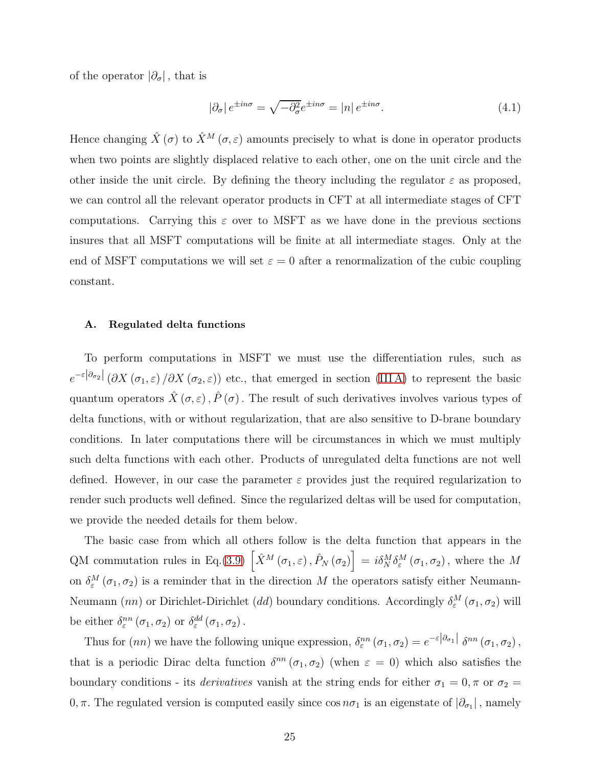of the operator  $|\partial_{\sigma}|$ , that is

$$
|\partial_{\sigma}| e^{\pm in\sigma} = \sqrt{-\partial_{\sigma}^{2}} e^{\pm in\sigma} = |n| e^{\pm in\sigma}.
$$
 (4.1)

Hence changing  $\hat{X}(\sigma)$  to  $\hat{X}^M(\sigma,\varepsilon)$  amounts precisely to what is done in operator products when two points are slightly displaced relative to each other, one on the unit circle and the other inside the unit circle. By defining the theory including the regulator  $\varepsilon$  as proposed, we can control all the relevant operator products in CFT at all intermediate stages of CFT computations. Carrying this  $\varepsilon$  over to MSFT as we have done in the previous sections insures that all MSFT computations will be finite at all intermediate stages. Only at the end of MSFT computations we will set  $\varepsilon = 0$  after a renormalization of the cubic coupling constant.

#### <span id="page-24-0"></span>A. Regulated delta functions

To perform computations in MSFT we must use the differentiation rules, such as  $e^{-\varepsilon |\partial_{\sigma_2}|} (\partial X(\sigma_1, \varepsilon) / \partial X(\sigma_2, \varepsilon))$  etc., that emerged in section (IIIA) to represent the basic quantum operators  $\hat{X}(\sigma,\varepsilon), \hat{P}(\sigma)$ . The result of such derivatives involves various types of delta functions, with or without regularization, that are also sensitive to D-brane boundary conditions. In later computations there will be circumstances in which we must multiply such delta functions with each other. Products of unregulated delta functions are not well defined. However, in our case the parameter  $\varepsilon$  provides just the required regularization to render such products well defined. Since the regularized deltas will be used for computation, we provide the needed details for them below.

The basic case from which all others follow is the delta function that appears in the QM commutation rules in Eq.[\(3.9\)](#page-16-1)  $\left[\hat{X}^M(\sigma_1,\varepsilon),\hat{P}_N(\sigma_2)\right] = i\delta_N^M\delta_\varepsilon^M(\sigma_1,\sigma_2)$ , where the M on  $\delta_{\varepsilon}^{M}(\sigma_1,\sigma_2)$  is a reminder that in the direction M the operators satisfy either Neumann-Neumann (nn) or Dirichlet-Dirichlet (dd) boundary conditions. Accordingly  $\delta_{\varepsilon}^M(\sigma_1,\sigma_2)$  will be either  $\delta_{\varepsilon}^{nn}(\sigma_1,\sigma_2)$  or  $\delta_{\varepsilon}^{dd}(\sigma_1,\sigma_2)$ .

Thus for  $(nn)$  we have the following unique expression,  $\delta_{\varepsilon}^{nn}(\sigma_1, \sigma_2) = e^{-\varepsilon |\partial_{\sigma_1}|} \delta^{nn}(\sigma_1, \sigma_2)$ , that is a periodic Dirac delta function  $\delta^{nn}(\sigma_1,\sigma_2)$  (when  $\varepsilon = 0$ ) which also satisfies the boundary conditions - its *derivatives* vanish at the string ends for either  $\sigma_1 = 0$ ,  $\pi$  or  $\sigma_2 =$ 0,  $\pi$ . The regulated version is computed easily since  $\cos n\sigma_1$  is an eigenstate of  $|\partial_{\sigma_1}|$ , namely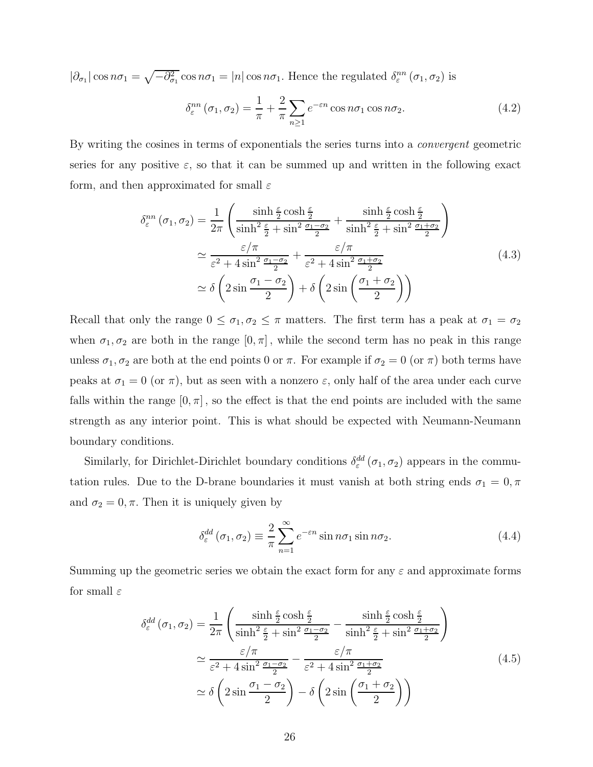$|\partial_{\sigma_1}| \cos n\sigma_1 = \sqrt{-\partial_{\sigma_1}^2} \cos n\sigma_1 = |n| \cos n\sigma_1$ . Hence the regulated  $\delta_{\varepsilon}^{nn}(\sigma_1, \sigma_2)$  is

<span id="page-25-2"></span><span id="page-25-0"></span>
$$
\delta_{\varepsilon}^{nn}(\sigma_1, \sigma_2) = \frac{1}{\pi} + \frac{2}{\pi} \sum_{n \ge 1} e^{-\varepsilon n} \cos n\sigma_1 \cos n\sigma_2.
$$
 (4.2)

By writing the cosines in terms of exponentials the series turns into a convergent geometric series for any positive  $\varepsilon$ , so that it can be summed up and written in the following exact form, and then approximated for small  $\varepsilon$ 

$$
\delta_{\varepsilon}^{nn}(\sigma_{1},\sigma_{2}) = \frac{1}{2\pi} \left( \frac{\sinh\frac{\varepsilon}{2}\cosh\frac{\varepsilon}{2}}{\sinh^{2}\frac{\varepsilon}{2} + \sin^{2}\frac{\sigma_{1} - \sigma_{2}}{2}} + \frac{\sinh\frac{\varepsilon}{2}\cosh\frac{\varepsilon}{2}}{\sinh^{2}\frac{\varepsilon}{2} + \sin^{2}\frac{\sigma_{1} + \sigma_{2}}{2}} \right)
$$
  

$$
\simeq \frac{\varepsilon/\pi}{\varepsilon^{2} + 4\sin^{2}\frac{\sigma_{1} - \sigma_{2}}{2}} + \frac{\varepsilon/\pi}{\varepsilon^{2} + 4\sin^{2}\frac{\sigma_{1} + \sigma_{2}}{2}} \simeq \delta \left( 2\sin\frac{\sigma_{1} - \sigma_{2}}{2} \right) + \delta \left( 2\sin\left(\frac{\sigma_{1} + \sigma_{2}}{2}\right) \right)
$$
(4.3)

Recall that only the range  $0 \le \sigma_1, \sigma_2 \le \pi$  matters. The first term has a peak at  $\sigma_1 = \sigma_2$ when  $\sigma_1, \sigma_2$  are both in the range  $[0, \pi]$ , while the second term has no peak in this range unless  $\sigma_1, \sigma_2$  are both at the end points 0 or  $\pi$ . For example if  $\sigma_2 = 0$  (or  $\pi$ ) both terms have peaks at  $\sigma_1 = 0$  (or  $\pi$ ), but as seen with a nonzero  $\varepsilon$ , only half of the area under each curve falls within the range  $[0, \pi]$ , so the effect is that the end points are included with the same strength as any interior point. This is what should be expected with Neumann-Neumann boundary conditions.

Similarly, for Dirichlet-Dirichlet boundary conditions  $\delta_{\varepsilon}^{dd}(\sigma_1, \sigma_2)$  appears in the commutation rules. Due to the D-brane boundaries it must vanish at both string ends  $\sigma_1 = 0, \pi$ and  $\sigma_2 = 0, \pi$ . Then it is uniquely given by

<span id="page-25-1"></span>
$$
\delta_{\varepsilon}^{dd}(\sigma_1, \sigma_2) \equiv \frac{2}{\pi} \sum_{n=1}^{\infty} e^{-\varepsilon n} \sin n\sigma_1 \sin n\sigma_2.
$$
 (4.4)

Summing up the geometric series we obtain the exact form for any  $\varepsilon$  and approximate forms for small  $\varepsilon$ 

$$
\delta_{\varepsilon}^{dd}(\sigma_{1},\sigma_{2}) = \frac{1}{2\pi} \left( \frac{\sinh\frac{\varepsilon}{2}\cosh\frac{\varepsilon}{2}}{\sinh^{2}\frac{\varepsilon}{2} + \sin^{2}\frac{\sigma_{1}-\sigma_{2}}{2}} - \frac{\sinh\frac{\varepsilon}{2}\cosh\frac{\varepsilon}{2}}{\sinh^{2}\frac{\varepsilon}{2} + \sin^{2}\frac{\sigma_{1}+\sigma_{2}}{2}} \right)
$$
  

$$
\simeq \frac{\varepsilon/\pi}{\varepsilon^{2} + 4\sin^{2}\frac{\sigma_{1}-\sigma_{2}}{2}} - \frac{\varepsilon/\pi}{\varepsilon^{2} + 4\sin^{2}\frac{\sigma_{1}+\sigma_{2}}{2}} \qquad (4.5)
$$
  

$$
\simeq \delta \left( 2\sin\frac{\sigma_{1}-\sigma_{2}}{2} \right) - \delta \left( 2\sin\left(\frac{\sigma_{1}+\sigma_{2}}{2}\right) \right)
$$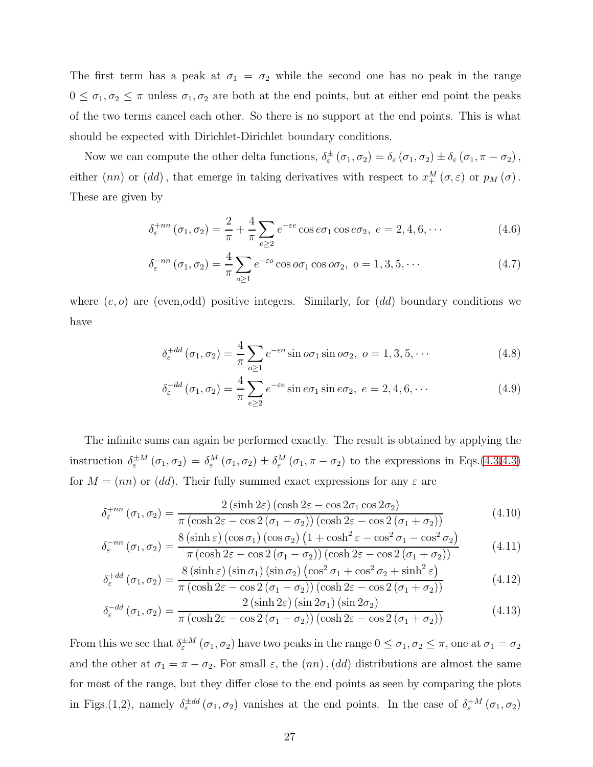The first term has a peak at  $\sigma_1 = \sigma_2$  while the second one has no peak in the range  $0 \leq \sigma_1, \sigma_2 \leq \pi$  unless  $\sigma_1, \sigma_2$  are both at the end points, but at either end point the peaks of the two terms cancel each other. So there is no support at the end points. This is what should be expected with Dirichlet-Dirichlet boundary conditions.

Now we can compute the other delta functions,  $\delta_{\varepsilon}^{\pm}(\sigma_1,\sigma_2) = \delta_{\varepsilon}(\sigma_1,\sigma_2) \pm \delta_{\varepsilon}(\sigma_1,\pi-\sigma_2)$ , either  $(nn)$  or  $(dd)$ , that emerge in taking derivatives with respect to  $x_+^M(\sigma,\varepsilon)$  or  $p_M(\sigma)$ . These are given by

<span id="page-26-0"></span>
$$
\delta_{\varepsilon}^{+nn}(\sigma_1, \sigma_2) = \frac{2}{\pi} + \frac{4}{\pi} \sum_{e \ge 2} e^{-\varepsilon e} \cos e \sigma_1 \cos e \sigma_2, \ e = 2, 4, 6, \cdots \tag{4.6}
$$

$$
\delta_{\varepsilon}^{-nn}(\sigma_1, \sigma_2) = \frac{4}{\pi} \sum_{o \ge 1} e^{-\varepsilon o} \cos o\sigma_1 \cos o\sigma_2, \ o = 1, 3, 5, \cdots
$$
 (4.7)

where  $(e, o)$  are (even, odd) positive integers. Similarly, for  $(dd)$  boundary conditions we have

$$
\delta_{\varepsilon}^{+dd}(\sigma_1, \sigma_2) = \frac{4}{\pi} \sum_{o \ge 1} e^{-\varepsilon o} \sin o\sigma_1 \sin o\sigma_2, \ o = 1, 3, 5, \cdots \tag{4.8}
$$

<span id="page-26-1"></span>
$$
\delta_{\varepsilon}^{-dd}(\sigma_1, \sigma_2) = \frac{4}{\pi} \sum_{e \ge 2} e^{-\varepsilon e} \sin e \sigma_1 \sin e \sigma_2, \ e = 2, 4, 6, \cdots \tag{4.9}
$$

The infinite sums can again be performed exactly. The result is obtained by applying the instruction  $\delta_{\varepsilon}^{\pm M}(\sigma_1,\sigma_2) = \delta_{\varepsilon}^M(\sigma_1,\sigma_2) \pm \delta_{\varepsilon}^M(\sigma_1,\pi-\sigma_2)$  to the expressions in Eqs.[\(4.3,4.3\)](#page-25-2) for  $M = (nn)$  or (dd). Their fully summed exact expressions for any  $\varepsilon$  are

$$
\delta_{\varepsilon}^{+nn}(\sigma_1, \sigma_2) = \frac{2(\sinh 2\varepsilon)(\cosh 2\varepsilon - \cos 2\sigma_1 \cos 2\sigma_2)}{\pi(\cosh 2\varepsilon - \cos 2(\sigma_1 - \sigma_2))(\cosh 2\varepsilon - \cos 2(\sigma_1 + \sigma_2))}
$$
(4.10)

$$
\delta_{\varepsilon}^{-nn}(\sigma_1, \sigma_2) = \frac{8(\sinh \varepsilon)(\cos \sigma_1)(\cos \sigma_2)(1 + \cosh^2 \varepsilon - \cos^2 \sigma_1 - \cos^2 \sigma_2)}{\pi(\cosh 2\varepsilon - \cos 2(\sigma_1 - \sigma_2))(\cosh 2\varepsilon - \cos 2(\sigma_1 + \sigma_2))}
$$
(4.11)

$$
\delta_{\varepsilon}^{+dd}(\sigma_{1}, \sigma_{2}) = \frac{8(\sinh \varepsilon)(\sin \sigma_{1})(\sin \sigma_{2})(\cos^{2} \sigma_{1} + \cos^{2} \sigma_{2} + \sinh^{2} \varepsilon)}{\pi(\cosh 2\varepsilon - \cos 2(\sigma_{1} - \sigma_{2}))(\cosh 2\varepsilon - \cos 2(\sigma_{1} + \sigma_{2}))}
$$
(4.12)

$$
\delta_{\varepsilon}^{-dd}(\sigma_1, \sigma_2) = \frac{2\left(\sinh 2\varepsilon\right)\left(\sin 2\sigma_1\right)\left(\sin 2\sigma_2\right)}{\pi\left(\cosh 2\varepsilon - \cos 2\left(\sigma_1 - \sigma_2\right)\right)\left(\cosh 2\varepsilon - \cos 2\left(\sigma_1 + \sigma_2\right)\right)}\tag{4.13}
$$

From this we see that  $\delta_{\varepsilon}^{\pm M}(\sigma_1,\sigma_2)$  have two peaks in the range  $0 \le \sigma_1, \sigma_2 \le \pi$ , one at  $\sigma_1 = \sigma_2$ and the other at  $\sigma_1 = \pi - \sigma_2$ . For small  $\varepsilon$ , the  $(nn)$ ,  $(dd)$  distributions are almost the same for most of the range, but they differ close to the end points as seen by comparing the plots in Figs.(1,2), namely  $\delta_{\varepsilon}^{\pm dd}(\sigma_1,\sigma_2)$  vanishes at the end points. In the case of  $\delta_{\varepsilon}^{+M}(\sigma_1,\sigma_2)$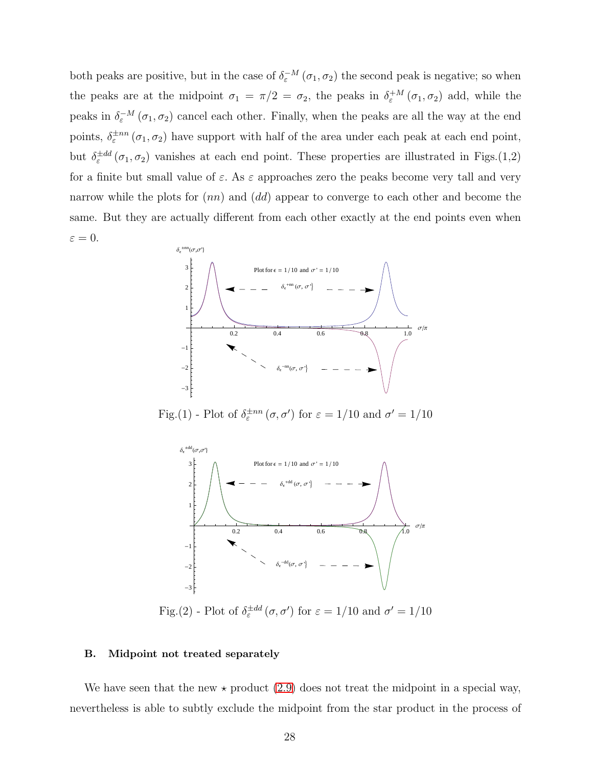both peaks are positive, but in the case of  $\delta_{\varepsilon}^{-M}(\sigma_1,\sigma_2)$  the second peak is negative; so when the peaks are at the midpoint  $\sigma_1 = \pi/2 = \sigma_2$ , the peaks in  $\delta_{\varepsilon}^{+M}(\sigma_1, \sigma_2)$  add, while the peaks in  $\delta_{\varepsilon}^{-M}(\sigma_1, \sigma_2)$  cancel each other. Finally, when the peaks are all the way at the end points,  $\delta_{\varepsilon}^{\pm n n}(\sigma_1, \sigma_2)$  have support with half of the area under each peak at each end point, but  $\delta_{\varepsilon}^{\pm dd}(\sigma_1,\sigma_2)$  vanishes at each end point. These properties are illustrated in Figs.(1,2) for a finite but small value of  $\varepsilon$ . As  $\varepsilon$  approaches zero the peaks become very tall and very narrow while the plots for  $(nn)$  and  $(dd)$  appear to converge to each other and become the same. But they are actually different from each other exactly at the end points even when  $\varepsilon = 0.$ 



Fig.(1) - Plot of  $\delta_{\varepsilon}^{\pm nn}(\sigma, \sigma')$  for  $\varepsilon = 1/10$  and  $\sigma' = 1/10$ 



Fig.(2) - Plot of  $\delta_{\varepsilon}^{\pm dd}(\sigma, \sigma')$  for  $\varepsilon = 1/10$  and  $\sigma' = 1/10$ 

## <span id="page-27-0"></span>B. Midpoint not treated separately

We have seen that the new  $\star$  product [\(2.9\)](#page-9-1) does not treat the midpoint in a special way, nevertheless is able to subtly exclude the midpoint from the star product in the process of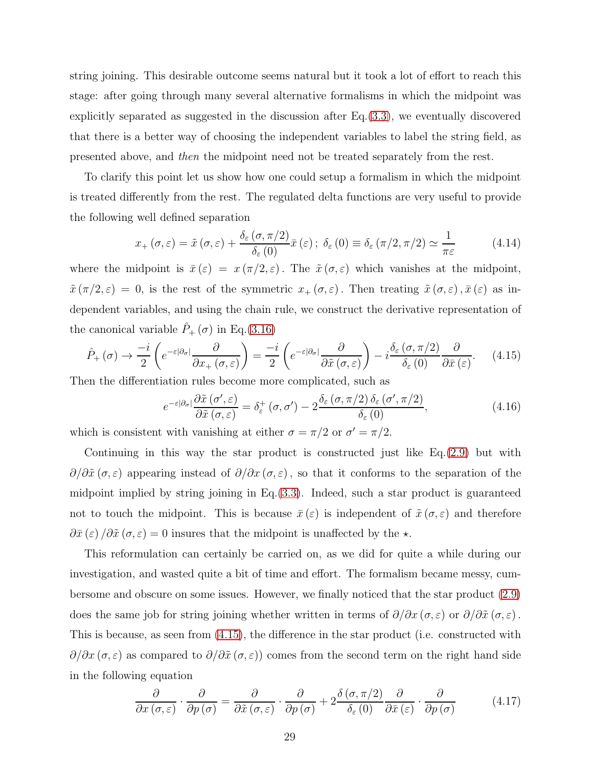string joining. This desirable outcome seems natural but it took a lot of effort to reach this stage: after going through many several alternative formalisms in which the midpoint was explicitly separated as suggested in the discussion after Eq.[\(3.3\)](#page-13-0), we eventually discovered that there is a better way of choosing the independent variables to label the string field, as presented above, and then the midpoint need not be treated separately from the rest.

To clarify this point let us show how one could setup a formalism in which the midpoint is treated differently from the rest. The regulated delta functions are very useful to provide the following well defined separation

$$
x_{+}(\sigma,\varepsilon) = \tilde{x}(\sigma,\varepsilon) + \frac{\delta_{\varepsilon}(\sigma,\pi/2)}{\delta_{\varepsilon}(0)}\bar{x}(\varepsilon); \ \delta_{\varepsilon}(0) \equiv \delta_{\varepsilon}(\pi/2,\pi/2) \simeq \frac{1}{\pi\varepsilon}
$$
(4.14)

where the midpoint is  $\bar{x}(\varepsilon) = x(\pi/2, \varepsilon)$ . The  $\tilde{x}(\sigma, \varepsilon)$  which vanishes at the midpoint,  $\tilde{x}(\pi/2,\varepsilon) = 0$ , is the rest of the symmetric  $x_+(\sigma,\varepsilon)$ . Then treating  $\tilde{x}(\sigma,\varepsilon), \bar{x}(\varepsilon)$  as independent variables, and using the chain rule, we construct the derivative representation of the canonical variable  $\hat{P}_+(\sigma)$  in Eq.[\(3.16\)](#page-18-4)

<span id="page-28-0"></span>
$$
\hat{P}_{+}(\sigma) \to \frac{-i}{2} \left( e^{-\varepsilon |\partial_{\sigma}|} \frac{\partial}{\partial x_{+}(\sigma, \varepsilon)} \right) = \frac{-i}{2} \left( e^{-\varepsilon |\partial_{\sigma}|} \frac{\partial}{\partial \tilde{x}(\sigma, \varepsilon)} \right) - i \frac{\delta_{\varepsilon}(\sigma, \pi/2)}{\delta_{\varepsilon}(0)} \frac{\partial}{\partial \bar{x}(\varepsilon)}.
$$
(4.15)

Then the differentiation rules become more complicated, such as

$$
e^{-\varepsilon|\partial_{\sigma}|}\frac{\partial \tilde{x}(\sigma',\varepsilon)}{\partial \tilde{x}(\sigma,\varepsilon)} = \delta_{\varepsilon}^{+}(\sigma,\sigma') - 2\frac{\delta_{\varepsilon}(\sigma,\pi/2)\,\delta_{\varepsilon}(\sigma',\pi/2)}{\delta_{\varepsilon}(0)},\tag{4.16}
$$

which is consistent with vanishing at either  $\sigma = \pi/2$  or  $\sigma' = \pi/2$ .

Continuing in this way the star product is constructed just like Eq.[\(2.9\)](#page-9-1) but with  $\partial/\partial \tilde{x}(\sigma,\varepsilon)$  appearing instead of  $\partial/\partial x(\sigma,\varepsilon)$ , so that it conforms to the separation of the midpoint implied by string joining in Eq.[\(3.3\)](#page-13-0). Indeed, such a star product is guaranteed not to touch the midpoint. This is because  $\bar{x}(\varepsilon)$  is independent of  $\tilde{x}(\sigma,\varepsilon)$  and therefore  $\partial \bar{x}(\varepsilon) / \partial \tilde{x}(\sigma, \varepsilon) = 0$  insures that the midpoint is unaffected by the  $\star$ .

This reformulation can certainly be carried on, as we did for quite a while during our investigation, and wasted quite a bit of time and effort. The formalism became messy, cumbersome and obscure on some issues. However, we finally noticed that the star product [\(2.9\)](#page-9-1) does the same job for string joining whether written in terms of  $\partial/\partial x$  ( $\sigma, \varepsilon$ ) or  $\partial/\partial \tilde{x}$  ( $\sigma, \varepsilon$ ). This is because, as seen from [\(4.15\)](#page-28-0), the difference in the star product (i.e. constructed with  $\partial/\partial x$  ( $\sigma, \varepsilon$ ) as compared to  $\partial/\partial \tilde{x}(\sigma, \varepsilon)$  comes from the second term on the right hand side in the following equation

<span id="page-28-1"></span>
$$
\frac{\partial}{\partial x \left(\sigma,\varepsilon\right)} \cdot \frac{\partial}{\partial p \left(\sigma\right)} = \frac{\partial}{\partial \tilde{x} \left(\sigma,\varepsilon\right)} \cdot \frac{\partial}{\partial p \left(\sigma\right)} + 2 \frac{\delta \left(\sigma,\pi/2\right)}{\delta_{\varepsilon}\left(0\right)} \frac{\partial}{\partial \bar{x} \left(\varepsilon\right)} \cdot \frac{\partial}{\partial p \left(\sigma\right)} \tag{4.17}
$$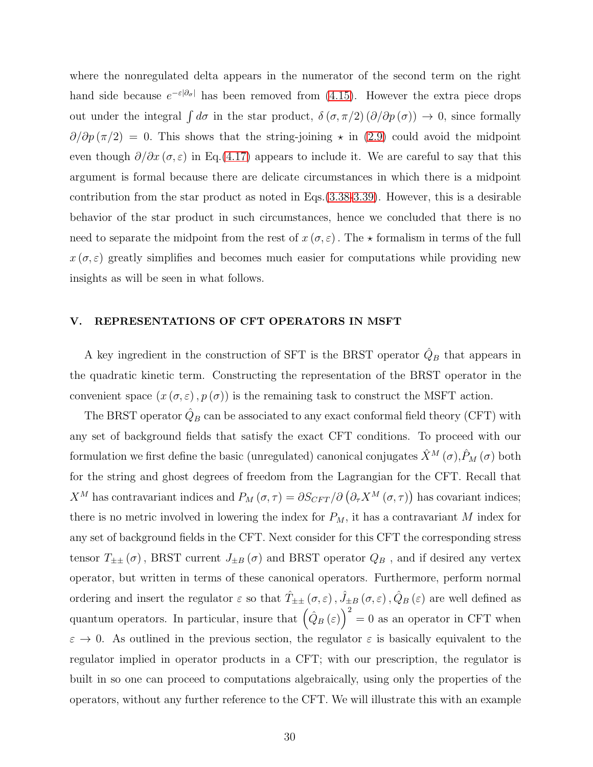where the nonregulated delta appears in the numerator of the second term on the right hand side because  $e^{-\varepsilon |\partial_{\sigma}|}$  has been removed from [\(4.15\)](#page-28-0). However the extra piece drops out under the integral  $\int d\sigma$  in the star product,  $\delta(\sigma, \pi/2) (\partial/\partial p(\sigma)) \to 0$ , since formally  $\partial/\partial p(\pi/2) = 0$ . This shows that the string-joining  $\star$  in [\(2.9\)](#page-9-1) could avoid the midpoint even though  $\partial/\partial x$  ( $\sigma$ ,  $\varepsilon$ ) in Eq.[\(4.17\)](#page-28-1) appears to include it. We are careful to say that this argument is formal because there are delicate circumstances in which there is a midpoint contribution from the star product as noted in Eqs.[\(3.38](#page-22-0)[-3.39\)](#page-23-1). However, this is a desirable behavior of the star product in such circumstances, hence we concluded that there is no need to separate the midpoint from the rest of  $x(\sigma, \varepsilon)$ . The  $\star$  formalism in terms of the full  $x(\sigma, \varepsilon)$  greatly simplifies and becomes much easier for computations while providing new insights as will be seen in what follows.

# <span id="page-29-0"></span>V. REPRESENTATIONS OF CFT OPERATORS IN MSFT

A key ingredient in the construction of SFT is the BRST operator  $\hat{Q}_B$  that appears in the quadratic kinetic term. Constructing the representation of the BRST operator in the convenient space  $(x(\sigma, \varepsilon), p(\sigma))$  is the remaining task to construct the MSFT action.

The BRST operator  $\hat{Q}_B$  can be associated to any exact conformal field theory (CFT) with any set of background fields that satisfy the exact CFT conditions. To proceed with our formulation we first define the basic (unregulated) canonical conjugates  $\hat{X}^M(\sigma)$ ,  $\hat{P}_M(\sigma)$  both for the string and ghost degrees of freedom from the Lagrangian for the CFT. Recall that  $X^M$  has contravariant indices and  $P_M(\sigma,\tau) = \partial S_{CFT}/\partial (\partial_\tau X^M(\sigma,\tau))$  has covariant indices; there is no metric involved in lowering the index for  $P_M$ , it has a contravariant M index for any set of background fields in the CFT. Next consider for this CFT the corresponding stress tensor  $T_{\pm\pm}(\sigma)$ , BRST current  $J_{\pm B}(\sigma)$  and BRST operator  $Q_B$ , and if desired any vertex operator, but written in terms of these canonical operators. Furthermore, perform normal ordering and insert the regulator  $\varepsilon$  so that  $\hat{T}_{\pm\pm}(\sigma,\varepsilon)$ ,  $\hat{J}_{\pm B}(\sigma,\varepsilon)$ ,  $\hat{Q}_B(\varepsilon)$  are well defined as quantum operators. In particular, insure that  $(\hat{Q}_B(\varepsilon)\big)^2 = 0$  as an operator in CFT when  $\varepsilon \to 0$ . As outlined in the previous section, the regulator  $\varepsilon$  is basically equivalent to the regulator implied in operator products in a CFT; with our prescription, the regulator is built in so one can proceed to computations algebraically, using only the properties of the operators, without any further reference to the CFT. We will illustrate this with an example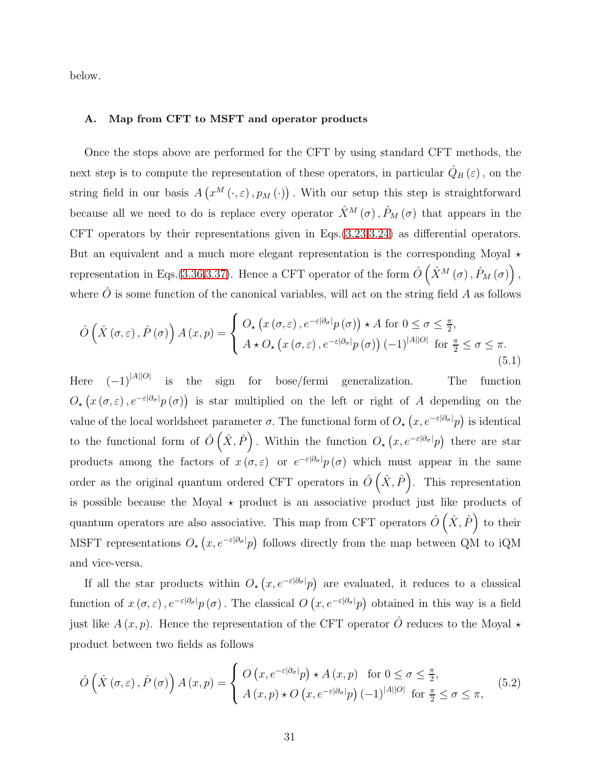below.

# <span id="page-30-0"></span>A. Map from CFT to MSFT and operator products

Once the steps above are performed for the CFT by using standard CFT methods, the next step is to compute the representation of these operators, in particular  $\hat{Q}_B(\varepsilon)$ , on the string field in our basis  $A(g^M(\cdot, \varepsilon), p_M(\cdot))$ . With our setup this step is straightforward because all we need to do is replace every operator  $\hat{X}^M(\sigma), \hat{P}_M(\sigma)$  that appears in the CFT operators by their representations given in Eqs.[\(3.23](#page-19-1)[,3.24\)](#page-19-0) as differential operators. But an equivalent and a much more elegant representation is the corresponding Moyal  $\star$ representation in Eqs.[\(3.36,](#page-22-1)[3.37\)](#page-22-2). Hence a CFT operator of the form  $\hat{O}(\hat{X}^M(\sigma), \hat{P}_M(\sigma))$ , where  $\hat{O}$  is some function of the canonical variables, will act on the string field A as follows

<span id="page-30-1"></span>
$$
\hat{O}\left(\hat{X}\left(\sigma,\varepsilon\right),\hat{P}\left(\sigma\right)\right)A\left(x,p\right)=\begin{cases} O_{\star}\left(x\left(\sigma,\varepsilon\right),e^{-\varepsilon|\partial_{\sigma}|}p\left(\sigma\right)\right)\star A\text{ for }0\leq\sigma\leq\frac{\pi}{2},\\ A\star O_{\star}\left(x\left(\sigma,\varepsilon\right),e^{-\varepsilon|\partial_{\sigma}|}p\left(\sigma\right)\right)(-1)^{|A||O|}\text{ for }\frac{\pi}{2}\leq\sigma\leq\pi.\end{cases}
$$
\n
$$
(5.1)
$$

Here  $(-1)^{|A||O|}$  is the sign for bose/fermi generalization. The function  $O_{\star}(x(\sigma,\varepsilon),e^{-\varepsilon|\partial_{\sigma}|}p(\sigma))$  is star multiplied on the left or right of A depending on the value of the local worldsheet parameter  $\sigma$ . The functional form of  $O_{\star}(x, e^{-\varepsilon |\partial_{\sigma}|}p)$  is identical to the functional form of  $\hat{O}(\hat{X}, \hat{P})$ . Within the function  $O_{\star}(x, e^{-\varepsilon |\partial \sigma|}p)$  there are star products among the factors of  $x(\sigma,\varepsilon)$  or  $e^{-\varepsilon|\partial_{\sigma}|}p(\sigma)$  which must appear in the same order as the original quantum ordered CFT operators in  $\hat{O}(\hat{X}, \hat{P})$ . This representation is possible because the Moyal  $\star$  product is an associative product just like products of quantum operators are also associative. This map from CFT operators  $\hat{O}(\hat{X}, \hat{P})$  to their MSFT representations  $O_{\star}(x, e^{-\varepsilon |\partial_{\sigma}|}p)$  follows directly from the map between QM to iQM and vice-versa.

If all the star products within  $O_{\star}(x, e^{-\varepsilon |\partial_{\sigma}|}p)$  are evaluated, it reduces to a classical function of  $x(\sigma,\varepsilon)$ ,  $e^{-\varepsilon|\partial_{\sigma}|}p(\sigma)$ . The classical  $O(x, e^{-\varepsilon|\partial_{\sigma}|}p)$  obtained in this way is a field just like  $A(x, p)$ . Hence the representation of the CFT operator  $\hat{O}$  reduces to the Moyal  $\star$ product between two fields as follows

$$
\hat{O}\left(\hat{X}\left(\sigma,\varepsilon\right),\hat{P}\left(\sigma\right)\right)A\left(x,p\right) = \begin{cases} O\left(x,e^{-\varepsilon|\partial_{\sigma}|}p\right) \star A\left(x,p\right) & \text{for } 0 \le \sigma \le \frac{\pi}{2},\\ A\left(x,p\right) \star O\left(x,e^{-\varepsilon|\partial_{\sigma}|}p\right)(-1)^{|A||O|} & \text{for } \frac{\pi}{2} \le \sigma \le \pi, \end{cases} (5.2)
$$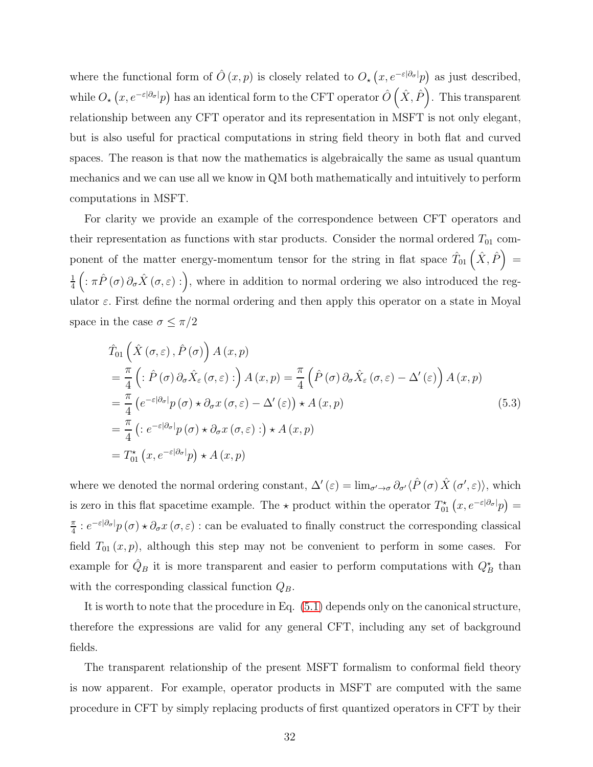where the functional form of  $\hat{O}(x,p)$  is closely related to  $O_{\star}(x,e^{-\varepsilon|\partial_{\sigma}|}p)$  as just described, while  $O_{\star}(x,e^{-\varepsilon|\partial_{\sigma}|}p)$  has an identical form to the CFT operator  $\hat{O}(\hat{X},\hat{P})$ . This transparent relationship between any CFT operator and its representation in MSFT is not only elegant, but is also useful for practical computations in string field theory in both flat and curved spaces. The reason is that now the mathematics is algebraically the same as usual quantum mechanics and we can use all we know in QM both mathematically and intuitively to perform computations in MSFT.

For clarity we provide an example of the correspondence between CFT operators and their representation as functions with star products. Consider the normal ordered  $T_{01}$  component of the matter energy-momentum tensor for the string in flat space  $\hat{T}_{01}(\hat{X}, \hat{P}) =$ 1  $\frac{1}{4}\left(\pi\hat{P}\left(\sigma\right)\partial_{\sigma}\hat{X}\left(\sigma,\varepsilon\right):\right)$ , where in addition to normal ordering we also introduced the regulator  $\varepsilon$ . First define the normal ordering and then apply this operator on a state in Moyal space in the case  $\sigma \leq \pi/2$ 

$$
\hat{T}_{01}\left(\hat{X}(\sigma,\varepsilon),\hat{P}(\sigma)\right)A(x,p)
$$
\n
$$
=\frac{\pi}{4}\left(\hat{P}(\sigma)\partial_{\sigma}\hat{X}_{\varepsilon}(\sigma,\varepsilon)\hat{P}\right)A(x,p) = \frac{\pi}{4}\left(\hat{P}(\sigma)\partial_{\sigma}\hat{X}_{\varepsilon}(\sigma,\varepsilon)-\Delta'(\varepsilon)\right)A(x,p)
$$
\n
$$
=\frac{\pi}{4}\left(e^{-\varepsilon|\partial_{\sigma}|}p(\sigma)\star\partial_{\sigma}x(\sigma,\varepsilon)-\Delta'(\varepsilon)\right)\star A(x,p)
$$
\n
$$
=\frac{\pi}{4}\left(\hat{P}(\varepsilon)\cdot\partial_{\sigma}x(\sigma,\varepsilon)\hat{P}\right)\star A(x,p)
$$
\n
$$
=\frac{\pi}{4}\left(\hat{P}(\varepsilon)\cdot\partial_{\sigma}x(\sigma,\varepsilon)\hat{P}\right)\star A(x,p)
$$
\n
$$
=\hat{T}_{01}^{\star}(x,e^{-\varepsilon|\partial_{\sigma}|}p)\star A(x,p)
$$
\n(5.3)

where we denoted the normal ordering constant,  $\Delta'(\varepsilon) = \lim_{\sigma' \to \sigma} \partial_{\sigma'} \langle \hat{P}(\sigma) \hat{X}(\sigma', \varepsilon) \rangle$ , which is zero in this flat spacetime example. The  $\star$  product within the operator  $T_{01}^{\star}(x, e^{-\varepsilon |\partial_{\sigma}|}p) =$ π  $\frac{\pi}{4}$ :  $e^{-\varepsilon|\partial_{\sigma}|}p(\sigma) \star \partial_{\sigma}x(\sigma,\varepsilon)$ : can be evaluated to finally construct the corresponding classical field  $T_{01}(x, p)$ , although this step may not be convenient to perform in some cases. For example for  $\hat{Q}_B$  it is more transparent and easier to perform computations with  $Q_B^*$  than with the corresponding classical function  $Q_B$ .

It is worth to note that the procedure in Eq. [\(5.1\)](#page-30-1) depends only on the canonical structure, therefore the expressions are valid for any general CFT, including any set of background fields.

The transparent relationship of the present MSFT formalism to conformal field theory is now apparent. For example, operator products in MSFT are computed with the same procedure in CFT by simply replacing products of first quantized operators in CFT by their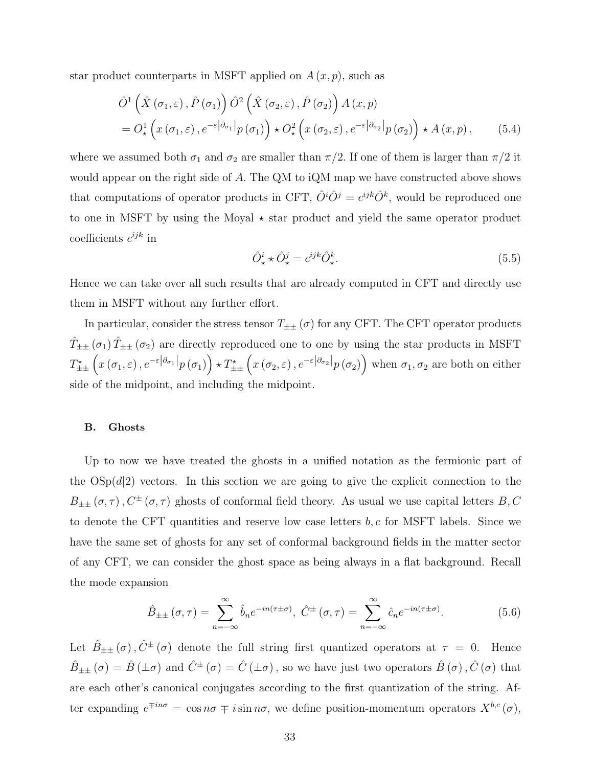star product counterparts in MSFT applied on  $A(x, p)$ , such as

$$
\hat{O}^{1}\left(\hat{X}(\sigma_{1},\varepsilon),\hat{P}(\sigma_{1})\right)\hat{O}^{2}\left(\hat{X}(\sigma_{2},\varepsilon),\hat{P}(\sigma_{2})\right)A(x,p) \n=O_{\star}^{1}\left(x(\sigma_{1},\varepsilon),e^{-\varepsilon|\partial_{\sigma_{1}}|}p(\sigma_{1})\right)\star O_{\star}^{2}\left(x(\sigma_{2},\varepsilon),e^{-\varepsilon|\partial_{\sigma_{2}}|}p(\sigma_{2})\right)\star A(x,p),
$$
\n(5.4)

where we assumed both  $\sigma_1$  and  $\sigma_2$  are smaller than  $\pi/2$ . If one of them is larger than  $\pi/2$  it would appear on the right side of A. The QM to iQM map we have constructed above shows that computations of operator products in CFT,  $\hat{O}^i \hat{O}^j = c^{ijk} \hat{O}^k$ , would be reproduced one to one in MSFT by using the Moyal  $\star$  star product and yield the same operator product coefficients  $c^{ijk}$  in

$$
\hat{O}^i_{\star} \star \hat{O}^j_{\star} = c^{ijk} \hat{O}^k_{\star}.\tag{5.5}
$$

Hence we can take over all such results that are already computed in CFT and directly use them in MSFT without any further effort.

In particular, consider the stress tensor  $T_{\pm\pm}(\sigma)$  for any CFT. The CFT operator products  $\hat{T}_{\pm\pm}(\sigma_1)\hat{T}_{\pm\pm}(\sigma_2)$  are directly reproduced one to one by using the star products in MSFT  $T_{\pm\pm}^{\star}\left(x\left(\sigma_{1},\varepsilon\right),e^{-\varepsilon\left|\partial_{\sigma_{1}}\right|}p\left(\sigma_{1}\right)\right)\star T_{\pm\pm}^{\star}\left(x\left(\sigma_{2},\varepsilon\right),e^{-\varepsilon\left|\partial_{\sigma_{2}}\right|}p\left(\sigma_{2}\right)\right)$  when  $\sigma_{1},\sigma_{2}$  are both on either side of the midpoint, and including the midpoint.

#### <span id="page-32-0"></span>B. Ghosts

Up to now we have treated the ghosts in a unified notation as the fermionic part of the  $OSp(d|2)$  vectors. In this section we are going to give the explicit connection to the  $B_{\pm\pm}(\sigma,\tau)$ ,  $C^{\pm}(\sigma,\tau)$  ghosts of conformal field theory. As usual we use capital letters  $B, C$ to denote the CFT quantities and reserve low case letters  $b, c$  for MSFT labels. Since we have the same set of ghosts for any set of conformal background fields in the matter sector of any CFT, we can consider the ghost space as being always in a flat background. Recall the mode expansion

<span id="page-32-1"></span>
$$
\hat{B}_{\pm\pm}(\sigma,\tau) = \sum_{n=-\infty}^{\infty} \hat{b}_n e^{-in(\tau \pm \sigma)}, \ \hat{C}^{\pm}(\sigma,\tau) = \sum_{n=-\infty}^{\infty} \hat{c}_n e^{-in(\tau \pm \sigma)}.
$$
 (5.6)

Let  $\hat{B}_{\pm\pm}(\sigma)$ ,  $\hat{C}^{\pm}(\sigma)$  denote the full string first quantized operators at  $\tau = 0$ . Hence  $\hat{B}_{\pm\pm}(\sigma) = \hat{B}(\pm \sigma)$  and  $\hat{C}^{\pm}(\sigma) = \hat{C}(\pm \sigma)$ , so we have just two operators  $\hat{B}(\sigma)$ ,  $\hat{C}(\sigma)$  that are each other's canonical conjugates according to the first quantization of the string. After expanding  $e^{\mp in\sigma} = \cos n\sigma \mp i \sin n\sigma$ , we define position-momentum operators  $X^{b,c}(\sigma)$ ,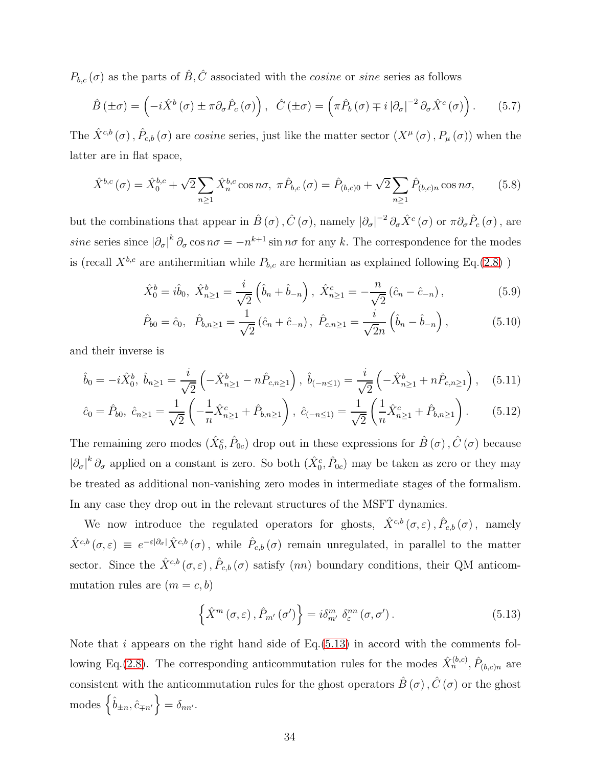$P_{b,c}(\sigma)$  as the parts of  $\hat{B}, \hat{C}$  associated with the *cosine* or *sine* series as follows

<span id="page-33-0"></span>
$$
\hat{B}(\pm \sigma) = \left(-i\hat{X}^b(\sigma) \pm \pi \partial_{\sigma} \hat{P}_c(\sigma)\right), \quad \hat{C}(\pm \sigma) = \left(\pi \hat{P}_b(\sigma) \mp i |\partial_{\sigma}|^{-2} \partial_{\sigma} \hat{X}^c(\sigma)\right). \tag{5.7}
$$

The  $\hat{X}^{c,b}(\sigma)$ ,  $\hat{P}_{c,b}(\sigma)$  are cosine series, just like the matter sector  $(X^{\mu}(\sigma), P_{\mu}(\sigma))$  when the latter are in flat space,

$$
\hat{X}^{b,c}(\sigma) = \hat{X}_0^{b,c} + \sqrt{2} \sum_{n \ge 1} \hat{X}_n^{b,c} \cos n\sigma, \ \pi \hat{P}_{b,c}(\sigma) = \hat{P}_{(b,c)0} + \sqrt{2} \sum_{n \ge 1} \hat{P}_{(b,c)n} \cos n\sigma,\tag{5.8}
$$

but the combinations that appear in  $\hat{B}(\sigma)$ ,  $\hat{C}(\sigma)$ , namely  $|\partial_{\sigma}|^{-2} \partial_{\sigma} \hat{X}^c(\sigma)$  or  $\pi \partial_{\sigma} \hat{P}_c(\sigma)$ , are sine series since  $|\partial_{\sigma}|^k \partial_{\sigma} \cos n\sigma = -n^{k+1} \sin n\sigma$  for any k. The correspondence for the modes is (recall  $X^{b,c}$  are antihermitian while  $P_{b,c}$  are hermitian as explained following Eq.[\(2.8\)](#page-9-2) )

$$
\hat{X}_0^b = i\hat{b}_0, \ \hat{X}_{n \ge 1}^b = \frac{i}{\sqrt{2}} \left( \hat{b}_n + \hat{b}_{-n} \right), \ \hat{X}_{n \ge 1}^c = -\frac{n}{\sqrt{2}} \left( \hat{c}_n - \hat{c}_{-n} \right), \tag{5.9}
$$

<span id="page-33-2"></span>
$$
\hat{P}_{b0} = \hat{c}_0, \quad \hat{P}_{b,n \ge 1} = \frac{1}{\sqrt{2}} (\hat{c}_n + \hat{c}_{-n}), \quad \hat{P}_{c,n \ge 1} = \frac{i}{\sqrt{2}n} (\hat{b}_n - \hat{b}_{-n}), \tag{5.10}
$$

and their inverse is

$$
\hat{b}_0 = -i\hat{X}_0^b, \ \hat{b}_{n\geq 1} = \frac{i}{\sqrt{2}} \left( -\hat{X}_{n\geq 1}^b - n\hat{P}_{c,n\geq 1} \right), \ \hat{b}_{(-n\leq 1)} = \frac{i}{\sqrt{2}} \left( -\hat{X}_{n\geq 1}^b + n\hat{P}_{c,n\geq 1} \right), \tag{5.11}
$$

$$
\hat{c}_0 = \hat{P}_{b0}, \ \hat{c}_{n \ge 1} = \frac{1}{\sqrt{2}} \left( -\frac{1}{n} \hat{X}_{n \ge 1}^c + \hat{P}_{b,n \ge 1} \right), \ \hat{c}_{(-n \le 1)} = \frac{1}{\sqrt{2}} \left( \frac{1}{n} \hat{X}_{n \ge 1}^c + \hat{P}_{b,n \ge 1} \right). \tag{5.12}
$$

The remaining zero modes  $(\hat{X}_0^c, \hat{P}_{0c})$  drop out in these expressions for  $\hat{B}(\sigma), \hat{C}(\sigma)$  because  $|\partial_{\sigma}|^k \partial_{\sigma}$  applied on a constant is zero. So both  $(\hat{X}_0^c, \hat{P}_{0c})$  may be taken as zero or they may be treated as additional non-vanishing zero modes in intermediate stages of the formalism. In any case they drop out in the relevant structures of the MSFT dynamics.

We now introduce the regulated operators for ghosts,  $\hat{X}^{c,b}(\sigma,\varepsilon), \hat{P}_{c,b}(\sigma)$ , namely  $\hat{X}^{c,b}(\sigma,\varepsilon) \equiv e^{-\varepsilon|\partial_{\sigma}|}\hat{X}^{c,b}(\sigma)$ , while  $\hat{P}_{c,b}(\sigma)$  remain unregulated, in parallel to the matter sector. Since the  $\hat{X}^{c,b}(\sigma,\varepsilon), \hat{P}_{c,b}(\sigma)$  satisfy  $(nn)$  boundary conditions, their QM anticommutation rules are  $(m = c, b)$ 

<span id="page-33-1"></span>
$$
\left\{\hat{X}^{m}\left(\sigma,\varepsilon\right),\hat{P}_{m'}\left(\sigma'\right)\right\} = i\delta^{m}_{m'}\,\delta^{nn}_{\varepsilon}\left(\sigma,\sigma'\right). \tag{5.13}
$$

Note that i appears on the right hand side of  $Eq.(5.13)$  $Eq.(5.13)$  in accord with the comments fol-lowing Eq.[\(2.8\)](#page-9-2). The corresponding anticommutation rules for the modes  $\hat{X}_n^{(b,c)}$ ,  $\hat{P}_{(b,c)n}$  are consistent with the anticommutation rules for the ghost operators  $\hat{B}$  ( $\sigma$ ),  $\hat{C}$  ( $\sigma$ ) or the ghost  $\left\{\hat{b}_{\pm n}, \hat{c}_{\mp n'}\right\} = \delta_{nn'}.$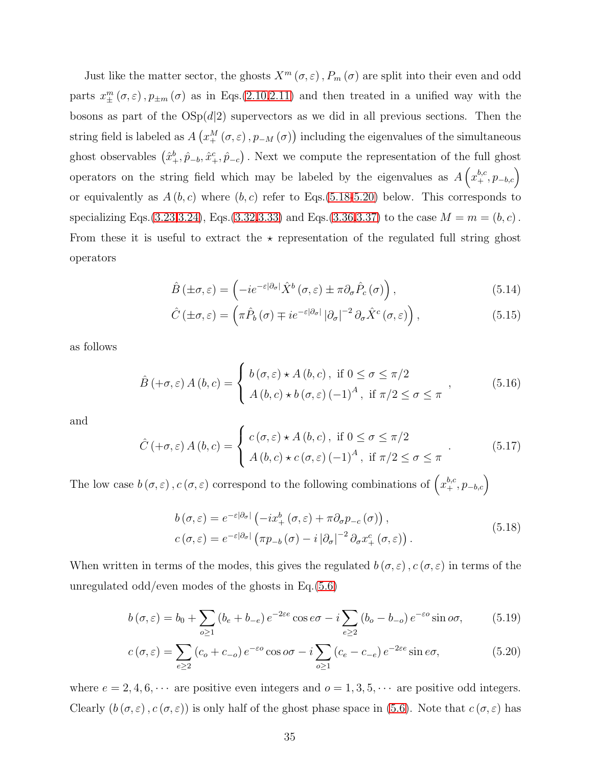Just like the matter sector, the ghosts  $X^m(\sigma, \varepsilon)$ ,  $P_m(\sigma)$  are split into their even and odd parts  $x_{\pm}^{m}(\sigma,\varepsilon)$ ,  $p_{\pm m}(\sigma)$  as in Eqs.[\(2.10](#page-10-0)[,2.11\)](#page-10-3) and then treated in a unified way with the bosons as part of the  $OSp(d|2)$  supervectors as we did in all previous sections. Then the string field is labeled as  $A\left(x_+^M(\sigma,\varepsilon),p_{-M}(\sigma)\right)$  including the eigenvalues of the simultaneous ghost observables  $(\hat{x}^b_+, \hat{p}_{-b}, \hat{x}^c_+, \hat{p}_{-c})$ . Next we compute the representation of the full ghost operators on the string field which may be labeled by the eigenvalues as  $A\left(x_+^{b,c}, p_{-b,c}\right)$ or equivalently as  $A(b, c)$  where  $(b, c)$  refer to Eqs.[\(5.18-](#page-34-0)[5.20\)](#page-34-1) below. This corresponds to specializing Eqs.[\(3.23](#page-19-1)[,3.24\)](#page-19-0), Eqs.[\(3.32,](#page-21-0)[3.33\)](#page-21-1) and Eqs.[\(3.36](#page-22-1)[,3.37\)](#page-22-2) to the case  $M = m = (b, c)$ . From these it is useful to extract the  $\star$  representation of the regulated full string ghost operators

$$
\hat{B}(\pm\sigma,\varepsilon) = \left(-ie^{-\varepsilon|\partial_{\sigma}|}\hat{X}^{b}(\sigma,\varepsilon) \pm \pi \partial_{\sigma}\hat{P}_{c}(\sigma)\right),\tag{5.14}
$$

$$
\hat{C}(\pm\sigma,\varepsilon) = \left(\pi\hat{P}_b(\sigma) \mp ie^{-\varepsilon|\partial_{\sigma}|}|\partial_{\sigma}|^{-2}\partial_{\sigma}\hat{X}^c(\sigma,\varepsilon)\right),\tag{5.15}
$$

as follows

$$
\hat{B}(\alpha \tau, \varepsilon) A(b, c) = \begin{cases} b(\sigma, \varepsilon) \star A(b, c), & \text{if } 0 \le \sigma \le \pi/2 \\ A(b, c) \star b(\sigma, \varepsilon) (-1)^A, & \text{if } \pi/2 \le \sigma \le \pi \end{cases},
$$
(5.16)

and

$$
\hat{C}(\alpha \tau, \varepsilon) A(b, c) = \begin{cases} c(\sigma, \varepsilon) \star A(b, c), & \text{if } 0 \le \sigma \le \pi/2 \\ A(b, c) \star c(\sigma, \varepsilon) (-1)^A, & \text{if } \pi/2 \le \sigma \le \pi \end{cases}
$$
\n(5.17)

The low case  $b(\sigma, \varepsilon)$ ,  $c(\sigma, \varepsilon)$  correspond to the following combinations of  $\left(x_+^{b,c}, p_{-b,c}\right)$ 

<span id="page-34-1"></span><span id="page-34-0"></span>
$$
b(\sigma,\varepsilon) = e^{-\varepsilon|\partial\sigma|} \left( -ix_+^b(\sigma,\varepsilon) + \pi \partial_\sigma p_{-c}(\sigma) \right),
$$
  
\n
$$
c(\sigma,\varepsilon) = e^{-\varepsilon|\partial\sigma|} \left( \pi p_{-b}(\sigma) - i |\partial_\sigma|^{-2} \partial_\sigma x_+^c(\sigma,\varepsilon) \right).
$$
\n(5.18)

When written in terms of the modes, this gives the regulated  $b(\sigma,\varepsilon)$ ,  $c(\sigma,\varepsilon)$  in terms of the unregulated odd/even modes of the ghosts in Eq.[\(5.6\)](#page-32-1)

$$
b(\sigma,\varepsilon) = b_0 + \sum_{o \ge 1} (b_e + b_{-e}) e^{-2\varepsilon e} \cos e\sigma - i \sum_{e \ge 2} (b_o - b_{-o}) e^{-\varepsilon o} \sin o\sigma,
$$
 (5.19)

$$
c(\sigma,\varepsilon) = \sum_{e \ge 2} (c_o + c_{-o}) e^{-\varepsilon o} \cos o\sigma - i \sum_{o \ge 1} (c_e - c_{-e}) e^{-2\varepsilon e} \sin e\sigma,
$$
 (5.20)

where  $e = 2, 4, 6, \cdots$  are positive even integers and  $o = 1, 3, 5, \cdots$  are positive odd integers. Clearly  $(b(\sigma, \varepsilon), c(\sigma, \varepsilon))$  is only half of the ghost phase space in [\(5.6\)](#page-32-1). Note that  $c(\sigma, \varepsilon)$  has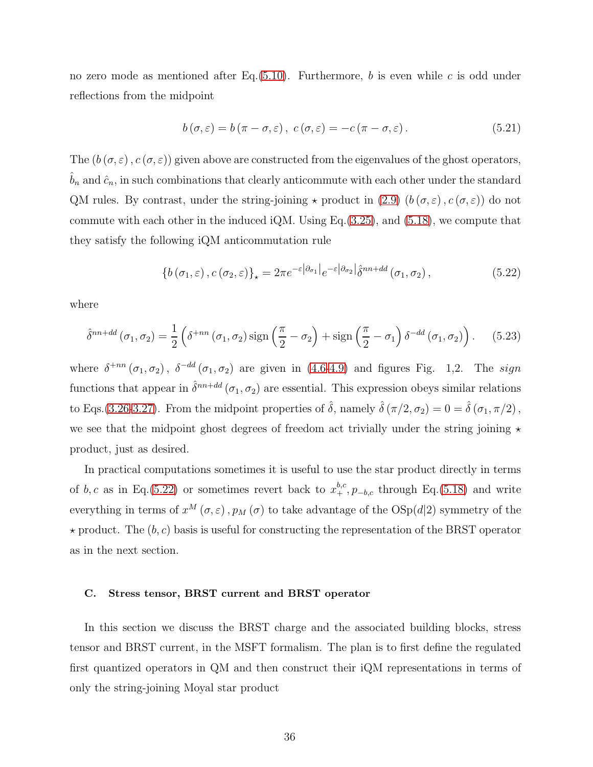no zero mode as mentioned after Eq.  $(5.10)$ . Furthermore, b is even while c is odd under reflections from the midpoint

$$
b(\sigma,\varepsilon) = b(\pi - \sigma,\varepsilon), \ c(\sigma,\varepsilon) = -c(\pi - \sigma,\varepsilon). \tag{5.21}
$$

The  $(b(\sigma,\varepsilon), c(\sigma,\varepsilon))$  given above are constructed from the eigenvalues of the ghost operators,  $b_n$  and  $\hat{c}_n$ , in such combinations that clearly anticommute with each other under the standard QM rules. By contrast, under the string-joining  $\star$  product in [\(2.9\)](#page-9-1)  $(b(\sigma,\varepsilon),c(\sigma,\varepsilon))$  do not commute with each other in the induced iQM. Using Eq.[\(3.25\)](#page-20-0), and [\(5.18\)](#page-34-0), we compute that they satisfy the following iQM anticommutation rule

<span id="page-35-1"></span>
$$
\left\{b\left(\sigma_1,\varepsilon\right),c\left(\sigma_2,\varepsilon\right)\right\}_\star=2\pi e^{-\varepsilon\left|\partial_{\sigma_1}\right|}e^{-\varepsilon\left|\partial_{\sigma_2}\right|}\hat{\delta}^{nn+dd}\left(\sigma_1,\sigma_2\right),\tag{5.22}
$$

where

$$
\hat{\delta}^{nn+dd}(\sigma_1, \sigma_2) = \frac{1}{2} \left( \delta^{+nn} (\sigma_1, \sigma_2) \operatorname{sign} \left( \frac{\pi}{2} - \sigma_2 \right) + \operatorname{sign} \left( \frac{\pi}{2} - \sigma_1 \right) \delta^{-dd} (\sigma_1, \sigma_2) \right). \tag{5.23}
$$

where  $\delta^{+nn}(\sigma_1,\sigma_2)$ ,  $\delta^{-dd}(\sigma_1,\sigma_2)$  are given in [\(4.6](#page-26-0)[-4.9\)](#page-26-1) and figures Fig. 1,2. The sign functions that appear in  $\hat{\delta}^{nn+dd}(\sigma_1,\sigma_2)$  are essential. This expression obeys similar relations to Eqs.[\(3.26](#page-20-1)[-3.27\)](#page-20-2). From the midpoint properties of  $\hat{\delta}$ , namely  $\hat{\delta}(\pi/2, \sigma_2) = 0 = \hat{\delta}(\sigma_1, \pi/2)$ , we see that the midpoint ghost degrees of freedom act trivially under the string joining  $\star$ product, just as desired.

In practical computations sometimes it is useful to use the star product directly in terms of b, c as in Eq.[\(5.22\)](#page-35-1) or sometimes revert back to  $x_+^{b,c}$ ,  $p_{-b,c}$  through Eq.[\(5.18\)](#page-34-0) and write everything in terms of  $x^M(\sigma, \varepsilon)$ ,  $p_M(\sigma)$  to take advantage of the  $OSp(d|2)$  symmetry of the  $\star$  product. The  $(b, c)$  basis is useful for constructing the representation of the BRST operator as in the next section.

#### <span id="page-35-0"></span>C. Stress tensor, BRST current and BRST operator

In this section we discuss the BRST charge and the associated building blocks, stress tensor and BRST current, in the MSFT formalism. The plan is to first define the regulated first quantized operators in QM and then construct their iQM representations in terms of only the string-joining Moyal star product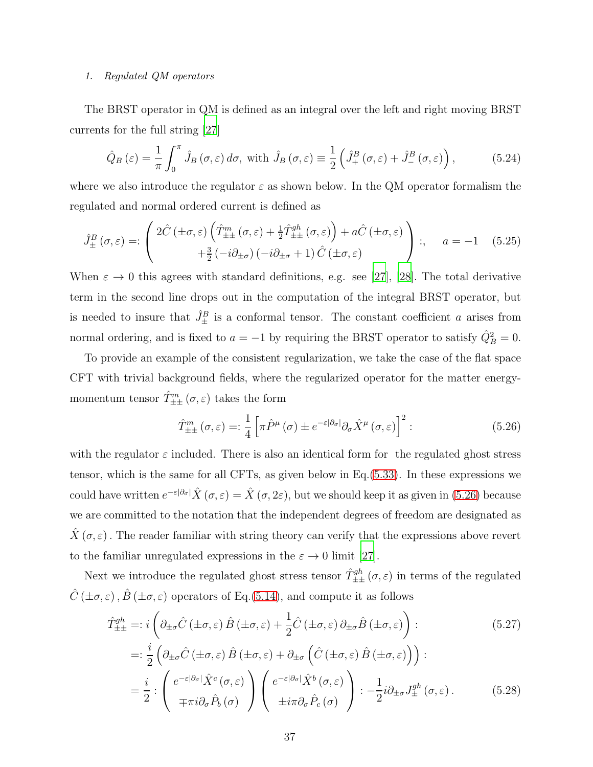#### 1. Regulated QM operators

The BRST operator in QM is defined as an integral over the left and right moving BRST currents for the full string [\[27](#page-75-0)]

$$
\hat{Q}_B\left(\varepsilon\right) = \frac{1}{\pi} \int_0^\pi \hat{J}_B\left(\sigma,\varepsilon\right) d\sigma, \text{ with } \hat{J}_B\left(\sigma,\varepsilon\right) \equiv \frac{1}{2} \left(\hat{J}_+^B\left(\sigma,\varepsilon\right) + \hat{J}_-^B\left(\sigma,\varepsilon\right)\right),\tag{5.24}
$$

where we also introduce the regulator  $\varepsilon$  as shown below. In the QM operator formalism the regulated and normal ordered current is defined as

<span id="page-36-1"></span>
$$
\hat{J}_{\pm}^{B}(\sigma,\varepsilon) =: \begin{pmatrix} 2\hat{C}(\pm\sigma,\varepsilon)\left(\hat{T}_{\pm\pm}^{m}(\sigma,\varepsilon)+\frac{1}{2}\hat{T}_{\pm\pm}^{gh}(\sigma,\varepsilon)\right)+a\hat{C}(\pm\sigma,\varepsilon)\\+\frac{3}{2}(-i\partial_{\pm\sigma})(-i\partial_{\pm\sigma}+1)\hat{C}(\pm\sigma,\varepsilon)\end{pmatrix};\quad a=-1\quad(5.25)
$$

When  $\varepsilon \to 0$  this agrees with standard definitions, e.g. see [\[27](#page-75-0)], [\[28](#page-75-1)]. The total derivative term in the second line drops out in the computation of the integral BRST operator, but is needed to insure that  $\hat{J}_{\pm}^B$  is a conformal tensor. The constant coefficient a arises from normal ordering, and is fixed to  $a = -1$  by requiring the BRST operator to satisfy  $\hat{Q}_{B}^{2} = 0$ .

To provide an example of the consistent regularization, we take the case of the flat space CFT with trivial background fields, where the regularized operator for the matter energymomentum tensor  $\hat{T}_{\pm\pm}^{m}(\sigma,\varepsilon)$  takes the form

<span id="page-36-0"></span>
$$
\hat{T}^{m}_{\pm\pm}(\sigma,\varepsilon) =: \frac{1}{4} \left[ \pi \hat{P}^{\mu}(\sigma) \pm e^{-\varepsilon |\partial_{\sigma}|} \partial_{\sigma} \hat{X}^{\mu}(\sigma,\varepsilon) \right]^{2} : \tag{5.26}
$$

with the regulator  $\varepsilon$  included. There is also an identical form for the regulated ghost stress tensor, which is the same for all CFTs, as given below in Eq.[\(5.33\)](#page-37-0). In these expressions we could have written  $e^{-\varepsilon|\partial_{\sigma}|}\hat{X}(\sigma,\varepsilon)=\hat{X}(\sigma,2\varepsilon)$ , but we should keep it as given in [\(5.26\)](#page-36-0) because we are committed to the notation that the independent degrees of freedom are designated as  $\hat{X}(\sigma,\varepsilon)$ . The reader familiar with string theory can verify that the expressions above revert to the familiar unregulated expressions in the  $\varepsilon \to 0$  limit [\[27\]](#page-75-0).

Next we introduce the regulated ghost stress tensor  $\hat{T}_{\pm\pm}^{gh}(\sigma,\varepsilon)$  in terms of the regulated  $\hat{C}(\pm \sigma, \varepsilon)$ ,  $\hat{B}(\pm \sigma, \varepsilon)$  operators of Eq.[\(5.14\)](#page-34-0), and compute it as follows

$$
\hat{T}^{gh}_{\pm\pm} =: i \left( \partial_{\pm\sigma} \hat{C} \left( \pm \sigma, \varepsilon \right) \hat{B} \left( \pm \sigma, \varepsilon \right) + \frac{1}{2} \hat{C} \left( \pm \sigma, \varepsilon \right) \partial_{\pm\sigma} \hat{B} \left( \pm \sigma, \varepsilon \right) \right) : \tag{5.27}
$$
\n
$$
= : \frac{i}{2} \left( \partial_{\pm\sigma} \hat{C} \left( \pm \sigma, \varepsilon \right) \hat{B} \left( \pm \sigma, \varepsilon \right) + \partial_{\pm\sigma} \left( \hat{C} \left( \pm \sigma, \varepsilon \right) \hat{B} \left( \pm \sigma, \varepsilon \right) \right) \right) : \tag{5.27}
$$
\n
$$
= \frac{i}{2} : \left( e^{-\varepsilon |\partial_{\sigma}|} \hat{X}^{c} \left( \sigma, \varepsilon \right) \right) \left( e^{-\varepsilon |\partial_{\sigma}|} \hat{X}^{b} \left( \sigma, \varepsilon \right) \right) : - \frac{1}{2} i \partial_{\pm\sigma} J_{\pm}^{gh} \left( \sigma, \varepsilon \right) . \tag{5.28}
$$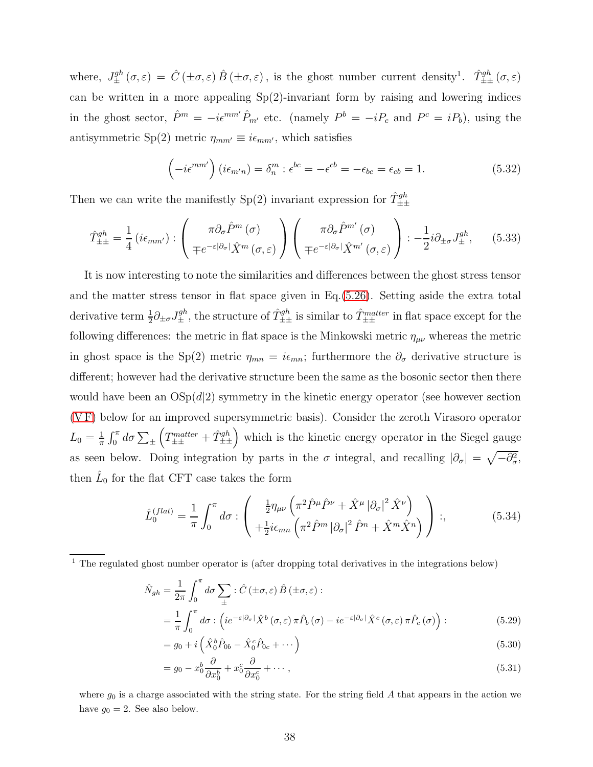where,  $J_{\pm}^{gh}(\sigma,\varepsilon) = \hat{C}(\pm \sigma,\varepsilon) \hat{B}(\pm \sigma,\varepsilon)$ , is the ghost number current density<sup>1</sup>.  $\hat{T}_{\pm\pm}^{gh}(\sigma,\varepsilon)$ can be written in a more appealing Sp(2)-invariant form by raising and lowering indices in the ghost sector,  $\hat{P}^m = -i\epsilon^{mm'}\hat{P}_{m'}$  etc. (namely  $P^b = -iP_c$  and  $P^c = iP_b$ ), using the antisymmetric Sp(2) metric  $\eta_{mm'} \equiv i\epsilon_{mm'}$ , which satisfies

<span id="page-37-2"></span>
$$
\left(-i\epsilon^{mm'}\right)\left(i\epsilon_{m'n}\right) = \delta_n^m : \epsilon^{bc} = -\epsilon^{cb} = -\epsilon_{bc} = \epsilon_{cb} = 1. \tag{5.32}
$$

Then we can write the manifestly  $Sp(2)$  invariant expression for  $\hat{T}_{\pm\pm}^{gh}$ 

<span id="page-37-0"></span>
$$
\hat{T}_{\pm\pm}^{gh} = \frac{1}{4} \left( i\epsilon_{mm'} \right) : \begin{pmatrix} \pi \partial_{\sigma} \hat{P}^m(\sigma) \\ \mp e^{-\varepsilon |\partial_{\sigma}|} \hat{X}^m(\sigma, \varepsilon) \end{pmatrix} \begin{pmatrix} \pi \partial_{\sigma} \hat{P}^{m'}(\sigma) \\ \mp e^{-\varepsilon |\partial_{\sigma}|} \hat{X}^{m'}(\sigma, \varepsilon) \end{pmatrix} : -\frac{1}{2} i\partial_{\pm \sigma} J_{\pm}^{gh}, \qquad (5.33)
$$

It is now interesting to note the similarities and differences between the ghost stress tensor and the matter stress tensor in flat space given in Eq.[\(5.26\)](#page-36-0). Setting aside the extra total derivative term  $\frac{1}{2}\partial_{\pm\sigma}J_{\pm}^{gh}$ , the structure of  $\hat{T}_{\pm\pm}^{gh}$  is similar to  $\hat{T}_{\pm\pm}^{matter}$  in flat space except for the following differences: the metric in flat space is the Minkowski metric  $\eta_{\mu\nu}$  whereas the metric in ghost space is the Sp(2) metric  $\eta_{mn} = i\epsilon_{mn}$ ; furthermore the  $\partial_{\sigma}$  derivative structure is different; however had the derivative structure been the same as the bosonic sector then there would have been an  $OSp(d|2)$  symmetry in the kinetic energy operator (see however section [\(V F\)](#page-49-0) below for an improved supersymmetric basis). Consider the zeroth Virasoro operator  $L_0 = \frac{1}{\pi}$  $\frac{1}{\pi} \int_0^{\pi} d\sigma \sum_{\pm}$  $\left(T_{\pm\pm}^{matter} + \hat{T}_{\pm\pm}^{gh}\right)$  which is the kinetic energy operator in the Siegel gauge as seen below. Doing integration by parts in the  $\sigma$  integral, and recalling  $|\partial_{\sigma}| = \sqrt{-\partial_{\sigma}^2}$ , then  $\hat{L}_0$  for the flat CFT case takes the form

<span id="page-37-1"></span>
$$
\hat{L}_0^{(flat)} = \frac{1}{\pi} \int_0^{\pi} d\sigma : \left( \frac{\frac{1}{2} \eta_{\mu\nu} \left( \pi^2 \hat{P}^{\mu} \hat{P}^{\nu} + \hat{X}^{\mu} |\partial_{\sigma}|^2 \hat{X}^{\nu} \right)}{\left( \frac{1}{2} \hat{P}^{\mu} \left( \pi^2 \hat{P}^{\mu} |\partial_{\sigma}|^2 \hat{P}^{\mu} + \hat{X}^{\mu} \hat{X}^{\mu} \right) \right)} \right); \tag{5.34}
$$

$$
\hat{N}_{gh} = \frac{1}{2\pi} \int_0^{\pi} d\sigma \sum_{\pm} : \hat{C} \left( \pm \sigma, \varepsilon \right) \hat{B} \left( \pm \sigma, \varepsilon \right) : \n= \frac{1}{\pi} \int_0^{\pi} d\sigma : \left( i e^{-\varepsilon |\partial_{\sigma}|} \hat{X}^b \left( \sigma, \varepsilon \right) \pi \hat{P}_b \left( \sigma \right) - i e^{-\varepsilon |\partial_{\sigma}|} \hat{X}^c \left( \sigma, \varepsilon \right) \pi \hat{P}_c \left( \sigma \right) \right) : \n\tag{5.29}
$$

$$
= g_0 + i \left( \hat{X}_0^b \hat{P}_{0b} - \hat{X}_0^c \hat{P}_{0c} + \cdots \right)
$$
 (5.30)

$$
= g_0 - x_0^b \frac{\partial}{\partial x_0^b} + x_0^c \frac{\partial}{\partial x_0^c} + \cdots , \qquad (5.31)
$$

where  $g_0$  is a charge associated with the string state. For the string field A that appears in the action we have  $g_0 = 2$ . See also below.

<sup>1</sup> The regulated ghost number operator is (after dropping total derivatives in the integrations below)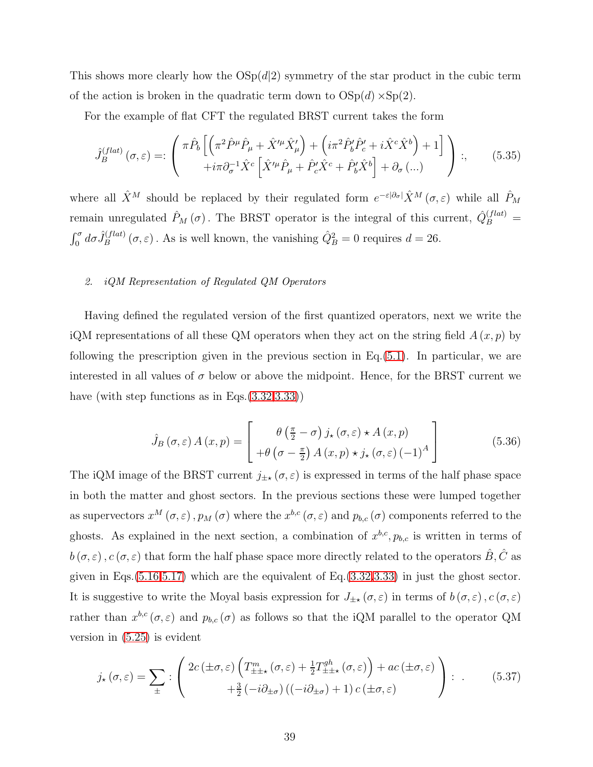This shows more clearly how the  $OSp(d|2)$  symmetry of the star product in the cubic term of the action is broken in the quadratic term down to  $OSp(d) \times Sp(2)$ .

For the example of flat CFT the regulated BRST current takes the form

$$
\hat{J}_B^{(flat)}(\sigma,\varepsilon) =: \begin{pmatrix} \pi \hat{P}_b \left[ \left( \pi^2 \hat{P}^\mu \hat{P}_\mu + \hat{X}^{\prime \mu} \hat{X}^\prime_\mu \right) + \left( i \pi^2 \hat{P}_b^\prime \hat{P}_c^\prime + i \hat{X}^c \hat{X}^b \right) + 1 \right] \\ + i \pi \partial_\sigma^{-1} \hat{X}^c \left[ \hat{X}^{\prime \mu} \hat{P}_\mu + \hat{P}_c^\prime \hat{X}^c + \hat{P}_b^\prime \hat{X}^b \right] + \partial_\sigma \left( \dots \right) \end{pmatrix} ; \tag{5.35}
$$

where all  $\hat{X}^M$  should be replaced by their regulated form  $e^{-\varepsilon|\partial\sigma|}\hat{X}^M(\sigma,\varepsilon)$  while all  $\hat{P}_M$ remain unregulated  $\hat{P}_M(\sigma)$ . The BRST operator is the integral of this current,  $\hat{Q}_B^{(flat)}$  =  $\int_0^{\sigma} d\sigma \hat{J}_B^{(flat)}$ <sup>(flat)</sup>  $(\sigma, \varepsilon)$ . As is well known, the vanishing  $\hat{Q}_{B}^{2} = 0$  requires  $d = 26$ .

### 2. iQM Representation of Regulated QM Operators

Having defined the regulated version of the first quantized operators, next we write the iQM representations of all these QM operators when they act on the string field  $A(x, p)$  by following the prescription given in the previous section in Eq.[\(5.1\)](#page-30-0). In particular, we are interested in all values of  $\sigma$  below or above the midpoint. Hence, for the BRST current we have (with step functions as in Eqs.  $(3.32,3.33)$  $(3.32,3.33)$ )

<span id="page-38-0"></span>
$$
\hat{J}_B(\sigma,\varepsilon) A(x,p) = \begin{bmatrix} \theta\left(\frac{\pi}{2} - \sigma\right) j_\star(\sigma,\varepsilon) \star A(x,p) \\ +\theta\left(\sigma - \frac{\pi}{2}\right) A(x,p) \star j_\star(\sigma,\varepsilon) \left(-1\right)^A \end{bmatrix}
$$
(5.36)

The iQM image of the BRST current  $j_{\pm\star}(\sigma,\varepsilon)$  is expressed in terms of the half phase space in both the matter and ghost sectors. In the previous sections these were lumped together as supervectors  $x^M(\sigma,\varepsilon)$ ,  $p_M(\sigma)$  where the  $x^{b,c}(\sigma,\varepsilon)$  and  $p_{b,c}(\sigma)$  components referred to the ghosts. As explained in the next section, a combination of  $x^{b,c}, p_{b,c}$  is written in terms of  $b(\sigma,\varepsilon)$ ,  $c(\sigma,\varepsilon)$  that form the half phase space more directly related to the operators  $\hat{B}, \hat{C}$  as given in Eqs. $(5.16,5.17)$  $(5.16,5.17)$  which are the equivalent of Eq. $(3.32,3.33)$  $(3.32,3.33)$  in just the ghost sector. It is suggestive to write the Moyal basis expression for  $J_{\pm\star}(\sigma,\varepsilon)$  in terms of  $b(\sigma,\varepsilon)$ ,  $c(\sigma,\varepsilon)$ rather than  $x^{b,c}(\sigma,\varepsilon)$  and  $p_{b,c}(\sigma)$  as follows so that the iQM parallel to the operator QM version in [\(5.25\)](#page-36-1) is evident

<span id="page-38-1"></span>
$$
j_{\star}(\sigma,\varepsilon) = \sum_{\pm} : \left( 2c(\pm\sigma,\varepsilon) \left( T_{\pm\pm\star}^{m}(\sigma,\varepsilon) + \frac{1}{2} T_{\pm\pm\star}^{gh}(\sigma,\varepsilon) \right) + ac(\pm\sigma,\varepsilon) \atop + \frac{3}{2} \left( -i\partial_{\pm\sigma} \right) \left( (-i\partial_{\pm\sigma}) + 1 \right) c(\pm\sigma,\varepsilon) \right) : . \tag{5.37}
$$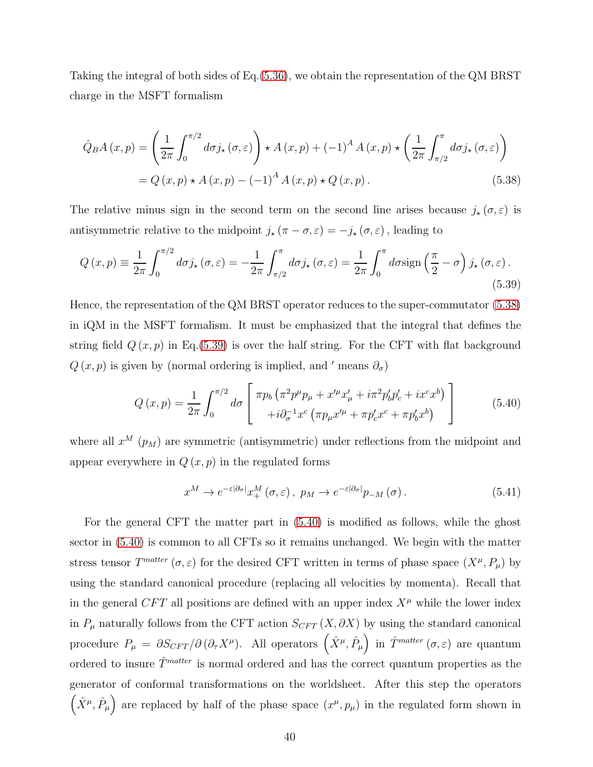Taking the integral of both sides of Eq.[\(5.36\)](#page-38-0), we obtain the representation of the QM BRST charge in the MSFT formalism

<span id="page-39-0"></span>
$$
\hat{Q}_B A(x, p) = \left(\frac{1}{2\pi} \int_0^{\pi/2} d\sigma j_\star(\sigma, \varepsilon)\right) \star A(x, p) + (-1)^A A(x, p) \star \left(\frac{1}{2\pi} \int_{\pi/2}^\pi d\sigma j_\star(\sigma, \varepsilon)\right)
$$

$$
= Q(x, p) \star A(x, p) - (-1)^A A(x, p) \star Q(x, p).
$$
(5.38)

The relative minus sign in the second term on the second line arises because  $j_{\star}(\sigma,\varepsilon)$  is antisymmetric relative to the midpoint  $j_{\star} (\pi - \sigma, \varepsilon) = -j_{\star} (\sigma, \varepsilon)$ , leading to

<span id="page-39-1"></span>
$$
Q\left(x,p\right) \equiv \frac{1}{2\pi} \int_0^{\pi/2} d\sigma j_\star\left(\sigma,\varepsilon\right) = -\frac{1}{2\pi} \int_{\pi/2}^\pi d\sigma j_\star\left(\sigma,\varepsilon\right) = \frac{1}{2\pi} \int_0^\pi d\sigma \text{sign}\left(\frac{\pi}{2} - \sigma\right) j_\star\left(\sigma,\varepsilon\right). \tag{5.39}
$$

Hence, the representation of the QM BRST operator reduces to the super-commutator [\(5.38\)](#page-39-0) in iQM in the MSFT formalism. It must be emphasized that the integral that defines the string field  $Q(x, p)$  in Eq.[\(5.39\)](#page-39-1) is over the half string. For the CFT with flat background  $Q(x, p)$  is given by (normal ordering is implied, and ' means  $\partial_{\sigma}$ )

<span id="page-39-2"></span>
$$
Q(x,p) = \frac{1}{2\pi} \int_0^{\pi/2} d\sigma \left[ \pi p_b \left( \pi^2 p^\mu p_\mu + x'^\mu x'_\mu + i \pi^2 p'_b p'_c + i x^c x^b \right) \right] \tag{5.40}
$$

where all  $x^M$  ( $p_M$ ) are symmetric (antisymmetric) under reflections from the midpoint and appear everywhere in  $Q(x, p)$  in the regulated forms

<span id="page-39-3"></span>
$$
x^M \to e^{-\varepsilon |\partial_{\sigma}|} x_+^M(\sigma, \varepsilon), \ p_M \to e^{-\varepsilon |\partial_{\sigma}|} p_{-M}(\sigma).
$$
 (5.41)

For the general CFT the matter part in [\(5.40\)](#page-39-2) is modified as follows, while the ghost sector in [\(5.40\)](#page-39-2) is common to all CFTs so it remains unchanged. We begin with the matter stress tensor  $T^{matter}(\sigma, \varepsilon)$  for the desired CFT written in terms of phase space  $(X^{\mu}, P_{\mu})$  by using the standard canonical procedure (replacing all velocities by momenta). Recall that in the general CFT all positions are defined with an upper index  $X^{\mu}$  while the lower index in  $P_\mu$  naturally follows from the CFT action  $S_{CFT}(X, \partial X)$  by using the standard canonical procedure  $P_{\mu} = \partial S_{CFT}/\partial (\partial_{\tau}X^{\mu})$ . All operators  $(\hat{X}^{\mu}, \hat{P}_{\mu})$  in  $\hat{T}^{matter}(\sigma, \varepsilon)$  are quantum ordered to insure  $\hat{T}^{matter}$  is normal ordered and has the correct quantum properties as the generator of conformal transformations on the worldsheet. After this step the operators  $(\hat{X}^{\mu}, \hat{P}_{\mu})$  are replaced by half of the phase space  $(x^{\mu}, p_{\mu})$  in the regulated form shown in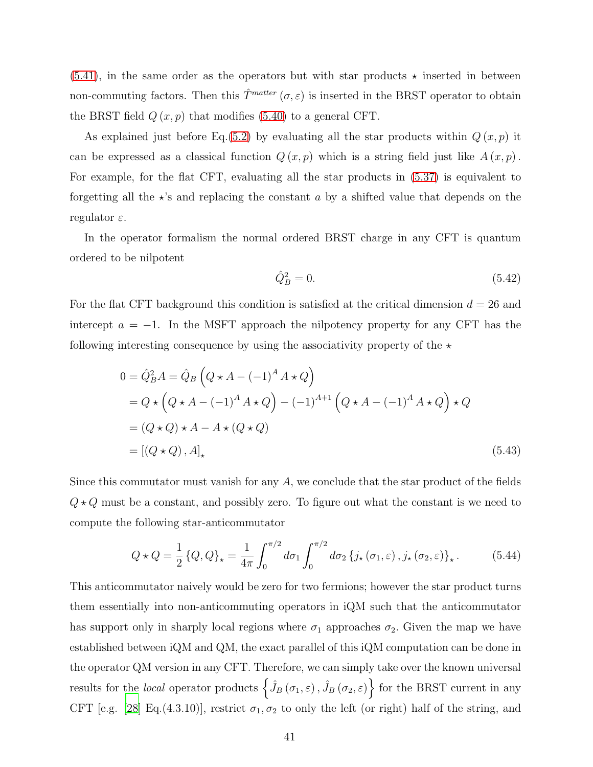$(5.41)$ , in the same order as the operators but with star products  $\star$  inserted in between non-commuting factors. Then this  $\hat{T}^{matter}(\sigma,\varepsilon)$  is inserted in the BRST operator to obtain the BRST field  $Q(x, p)$  that modifies [\(5.40\)](#page-39-2) to a general CFT.

As explained just before Eq.[\(5.2\)](#page-30-1) by evaluating all the star products within  $Q(x, p)$  it can be expressed as a classical function  $Q(x, p)$  which is a string field just like  $A(x, p)$ . For example, for the flat CFT, evaluating all the star products in [\(5.37\)](#page-38-1) is equivalent to forgetting all the  $\star$ 's and replacing the constant a by a shifted value that depends on the regulator  $\varepsilon$ .

In the operator formalism the normal ordered BRST charge in any CFT is quantum ordered to be nilpotent

$$
\hat{Q}_B^2 = 0.\t\t(5.42)
$$

For the flat CFT background this condition is satisfied at the critical dimension  $d = 26$  and intercept  $a = -1$ . In the MSFT approach the nilpotency property for any CFT has the following interesting consequence by using the associativity property of the  $\star$ 

$$
0 = \hat{Q}_B^2 A = \hat{Q}_B \left( Q \star A - (-1)^A A \star Q \right)
$$
  
=  $Q \star \left( Q \star A - (-1)^A A \star Q \right) - (-1)^{A+1} \left( Q \star A - (-1)^A A \star Q \right) \star Q$   
=  $(Q \star Q) \star A - A \star (Q \star Q)$   
=  $[(Q \star Q), A]_{\star}$  (5.43)

Since this commutator must vanish for any A, we conclude that the star product of the fields  $Q \star Q$  must be a constant, and possibly zero. To figure out what the constant is we need to compute the following star-anticommutator

$$
Q \star Q = \frac{1}{2} \{Q, Q\}_{\star} = \frac{1}{4\pi} \int_0^{\pi/2} d\sigma_1 \int_0^{\pi/2} d\sigma_2 \{j_{\star}(\sigma_1, \varepsilon), j_{\star}(\sigma_2, \varepsilon)\}_{\star}.
$$
 (5.44)

This anticommutator naively would be zero for two fermions; however the star product turns them essentially into non-anticommuting operators in iQM such that the anticommutator has support only in sharply local regions where  $\sigma_1$  approaches  $\sigma_2$ . Given the map we have established between iQM and QM, the exact parallel of this iQM computation can be done in the operator QM version in any CFT. Therefore, we can simply take over the known universal results for the *local* operator products  $\left\{ \hat{J}_B(\sigma_1,\varepsilon), \hat{J}_B(\sigma_2,\varepsilon) \right\}$  for the BRST current in any CFT [e.g. [\[28\]](#page-75-1) Eq.(4.3.10)], restrict  $\sigma_1, \sigma_2$  to only the left (or right) half of the string, and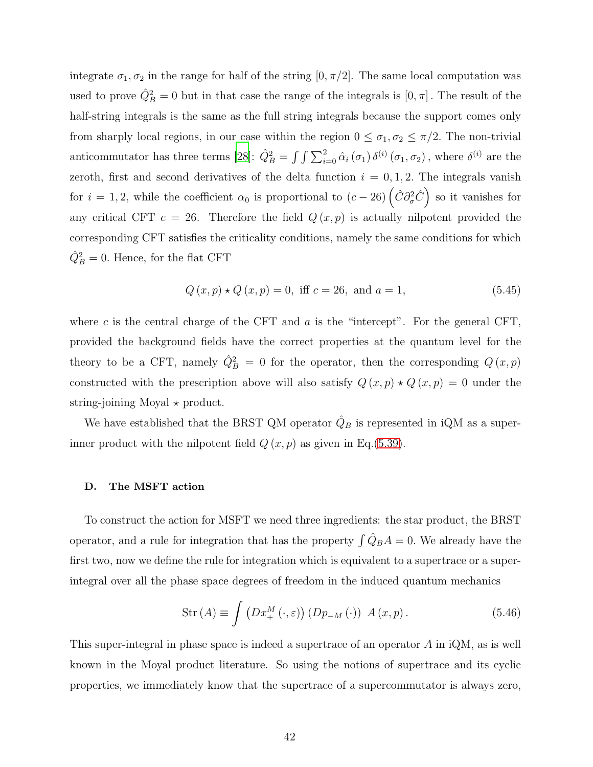integrate  $\sigma_1, \sigma_2$  in the range for half of the string  $[0, \pi/2]$ . The same local computation was used to prove  $\hat{Q}_{B}^{2} = 0$  but in that case the range of the integrals is  $[0, \pi]$ . The result of the half-string integrals is the same as the full string integrals because the support comes only from sharply local regions, in our case within the region  $0 \leq \sigma_1, \sigma_2 \leq \pi/2$ . The non-trivial anticommutator has three terms [\[28\]](#page-75-1):  $\hat{Q}_B^2 = \int \int \sum_{i=0}^2 \hat{\alpha}_i (\sigma_1) \, \delta^{(i)} (\sigma_1, \sigma_2)$ , where  $\delta^{(i)}$  are the zeroth, first and second derivatives of the delta function  $i = 0, 1, 2$ . The integrals vanish for  $i = 1, 2$ , while the coefficient  $\alpha_0$  is proportional to  $(c - 26) (\hat{C} \partial^2_{\sigma} \hat{C})$  so it vanishes for any critical CFT  $c = 26$ . Therefore the field  $Q(x, p)$  is actually nilpotent provided the corresponding CFT satisfies the criticality conditions, namely the same conditions for which  $\hat{Q}_{B}^{2} = 0.$  Hence, for the flat CFT

$$
Q(x, p) \star Q(x, p) = 0, \text{ iff } c = 26, \text{ and } a = 1,
$$
\n(5.45)

where c is the central charge of the CFT and  $a$  is the "intercept". For the general CFT, provided the background fields have the correct properties at the quantum level for the theory to be a CFT, namely  $\hat{Q}_{B}^{2} = 0$  for the operator, then the corresponding  $Q(x, p)$ constructed with the prescription above will also satisfy  $Q(x, p) \star Q(x, p) = 0$  under the string-joining Moyal  $\star$  product.

We have established that the BRST QM operator  $\hat{Q}_B$  is represented in iQM as a superinner product with the nilpotent field  $Q(x, p)$  as given in Eq.[\(5.39\)](#page-39-1).

### D. The MSFT action

To construct the action for MSFT we need three ingredients: the star product, the BRST operator, and a rule for integration that has the property  $\int \hat{Q}_B A = 0$ . We already have the first two, now we define the rule for integration which is equivalent to a superintegral over all the phase space degrees of freedom in the induced quantum mechanics

<span id="page-41-0"></span>
$$
Str(A) \equiv \int \left( Dx_{+}^{M}(\cdot, \varepsilon) \right) \left( Dp_{-M}(\cdot) \right) A(x, p). \tag{5.46}
$$

This super-integral in phase space is indeed a supertrace of an operator A in iQM, as is well known in the Moyal product literature. So using the notions of supertrace and its cyclic properties, we immediately know that the supertrace of a supercommutator is always zero,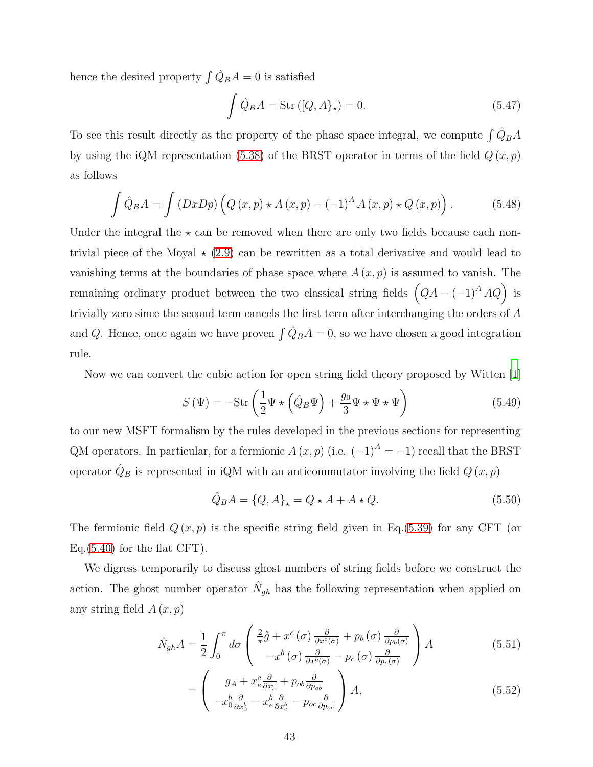hence the desired property  $\int \hat{Q}_B A = 0$  is satisfied

$$
\int \hat{Q}_B A = \text{Str}([Q, A]_\star) = 0. \tag{5.47}
$$

To see this result directly as the property of the phase space integral, we compute  $\int \hat{Q}_B A$ by using the iQM representation [\(5.38\)](#page-39-0) of the BRST operator in terms of the field  $Q(x, p)$ as follows

$$
\int \hat{Q}_B A = \int (DxDp) \left( Q(x,p) \star A(x,p) - (-1)^A A(x,p) \star Q(x,p) \right). \tag{5.48}
$$

Under the integral the  $\star$  can be removed when there are only two fields because each nontrivial piece of the Moyal  $\star$  [\(2.9\)](#page-9-0) can be rewritten as a total derivative and would lead to vanishing terms at the boundaries of phase space where  $A(x, p)$  is assumed to vanish. The remaining ordinary product between the two classical string fields  $(QA - (-1)^A AQ)$  is trivially zero since the second term cancels the first term after interchanging the orders of A and Q. Hence, once again we have proven  $\int \hat{Q}_B A = 0$ , so we have chosen a good integration rule.

Now we can convert the cubic action for open string field theory proposed by Witten [\[1\]](#page-72-0)

<span id="page-42-2"></span>
$$
S(\Psi) = -\text{Str}\left(\frac{1}{2}\Psi \star \left(\hat{Q}_B\Psi\right) + \frac{g_0}{3}\Psi \star \Psi \star \Psi\right) \tag{5.49}
$$

to our new MSFT formalism by the rules developed in the previous sections for representing QM operators. In particular, for a fermionic  $A(x, p)$  (i.e.  $(-1)^A = -1$ ) recall that the BRST operator  $\hat{Q}_B$  is represented in iQM with an anticommutator involving the field  $Q(x, p)$ 

<span id="page-42-1"></span><span id="page-42-0"></span>
$$
\hat{Q}_B A = \{Q, A\}_\star = Q \star A + A \star Q. \tag{5.50}
$$

The fermionic field  $Q(x, p)$  is the specific string field given in Eq.[\(5.39\)](#page-39-1) for any CFT (or Eq. $(5.40)$  for the flat CFT.

We digress temporarily to discuss ghost numbers of string fields before we construct the action. The ghost number operator  $\hat{N}_{gh}$  has the following representation when applied on any string field  $A(x, p)$ 

$$
\hat{N}_{gh}A = \frac{1}{2} \int_0^{\pi} d\sigma \left( \frac{\frac{2}{\pi}\hat{g} + x^c(\sigma)\frac{\partial}{\partial x^c(\sigma)} + p_b(\sigma)\frac{\partial}{\partial p_b(\sigma)}}{-x^b(\sigma)\frac{\partial}{\partial x^b(\sigma)} - p_c(\sigma)\frac{\partial}{\partial p_c(\sigma)}} \right) A
$$
\n(5.51)

$$
= \begin{pmatrix} g_A + x_e^c \frac{\partial}{\partial x_e^c} + p_{ob} \frac{\partial}{\partial p_{ob}} \\ -x_0^b \frac{\partial}{\partial x_0^b} - x_e^b \frac{\partial}{\partial x_e^b} - p_{oc} \frac{\partial}{\partial p_{oc}} \end{pmatrix} A, \tag{5.52}
$$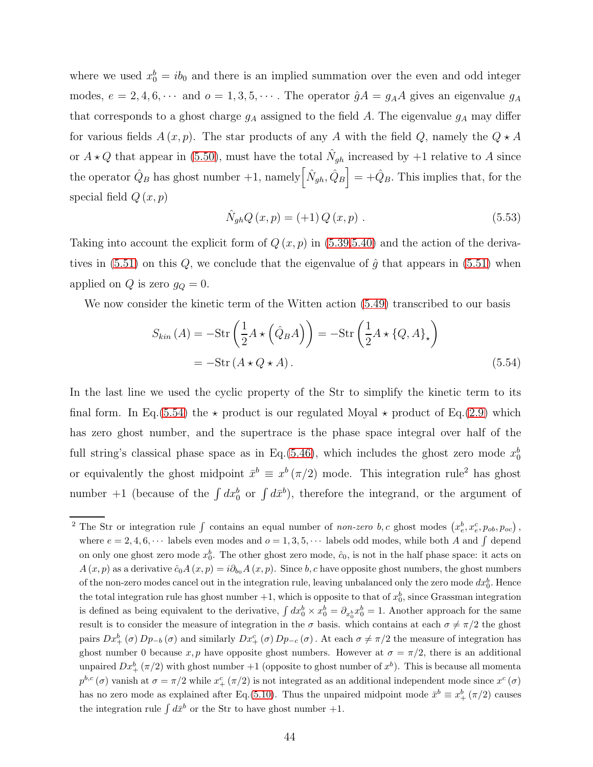where we used  $x_0^b = ib_0$  and there is an implied summation over the even and odd integer modes,  $e = 2, 4, 6, \cdots$  and  $o = 1, 3, 5, \cdots$ . The operator  $\hat{g}A = g_A A$  gives an eigenvalue  $g_A$ that corresponds to a ghost charge  $g_A$  assigned to the field A. The eigenvalue  $g_A$  may differ for various fields  $A(x, p)$ . The star products of any A with the field Q, namely the  $Q \star A$ or  $A \star Q$  that appear in [\(5.50\)](#page-42-0), must have the total  $\hat{N}_{gh}$  increased by +1 relative to A since the operator  $\hat{Q}_B$  has ghost number +1, namely  $\left[ \hat{N}_{gh}, \hat{Q}_B \right] = +\hat{Q}_B$ . This implies that, for the special field  $Q(x, p)$ 

<span id="page-43-1"></span><span id="page-43-0"></span>
$$
\hat{N}_{gh}Q(x,p) = (+1)Q(x,p) .
$$
\n(5.53)

Taking into account the explicit form of  $Q(x, p)$  in  $(5.39, 5.40)$  and the action of the derivatives in  $(5.51)$  on this Q, we conclude that the eigenvalue of  $\hat{g}$  that appears in  $(5.51)$  when applied on Q is zero  $g_Q = 0$ .

We now consider the kinetic term of the Witten action [\(5.49\)](#page-42-2) transcribed to our basis

$$
S_{kin}(A) = -\text{Str}\left(\frac{1}{2}A \star \left(\hat{Q}_B A\right)\right) = -\text{Str}\left(\frac{1}{2}A \star \left\{Q, A\right\}_\star\right)
$$

$$
= -\text{Str}\left(A \star Q \star A\right). \tag{5.54}
$$

In the last line we used the cyclic property of the Str to simplify the kinetic term to its final form. In Eq.[\(5.54\)](#page-43-0) the  $\star$  product is our regulated Moyal  $\star$  product of Eq.[\(2.9\)](#page-9-0) which has zero ghost number, and the supertrace is the phase space integral over half of the full string's classical phase space as in Eq.[\(5.46\)](#page-41-0), which includes the ghost zero mode  $x_0^b$ or equivalently the ghost midpoint  $\bar{x}^b \equiv x^b (\pi/2)$  mode. This integration rule<sup>2</sup> has ghost number  $+1$  (because of the  $\int dx_0^b$  or  $\int dx^b$ ), therefore the integrand, or the argument of

<sup>&</sup>lt;sup>2</sup> The Str or integration rule  $\int$  contains an equal number of non-zero b, c ghost modes  $(x_e^b, x_e^c, p_{ob}, p_{oc})$ , where  $e = 2, 4, 6, \cdots$  labels even modes and  $o = 1, 3, 5, \cdots$  labels odd modes, while both A and  $\int$  depend on only one ghost zero mode  $x_0^b$ . The other ghost zero mode,  $\hat{c}_0$ , is not in the half phase space: it acts on  $A(x, p)$  as a derivative  $\hat{c}_0A(x, p) = i\partial_{b_0}A(x, p)$ . Since b, c have opposite ghost numbers, the ghost numbers of the non-zero modes cancel out in the integration rule, leaving unbalanced only the zero mode  $dx_0^b$ . Hence the total integration rule has ghost number  $+1$ , which is opposite to that of  $x_0^b$ , since Grassman integration is defined as being equivalent to the derivative,  $\int dx_0^b \times x_0^b = \partial_{x_0^b} x_0^b = 1$ . Another approach for the same result is to consider the measure of integration in the  $\sigma$  basis. which contains at each  $\sigma \neq \pi/2$  the ghost pairs  $Dx_+^b(\sigma)Dp_{-b}(\sigma)$  and similarly  $Dx_+^c(\sigma)Dp_{-c}(\sigma)$ . At each  $\sigma \neq \pi/2$  the measure of integration has ghost number 0 because x, p have opposite ghost numbers. However at  $\sigma = \pi/2$ , there is an additional unpaired  $Dx_+^b(\pi/2)$  with ghost number  $+1$  (opposite to ghost number of  $x^b$ ). This is because all momenta  $p^{b,c}(\sigma)$  vanish at  $\sigma = \pi/2$  while  $x^c_+(\pi/2)$  is not integrated as an additional independent mode since  $x^c(\sigma)$ has no zero mode as explained after Eq.[\(5.10\)](#page-33-0). Thus the unpaired midpoint mode  $\bar{x}^b \equiv x^b_+ (\pi/2)$  causes the integration rule  $\int d\bar{x}^b$  or the Str to have ghost number +1.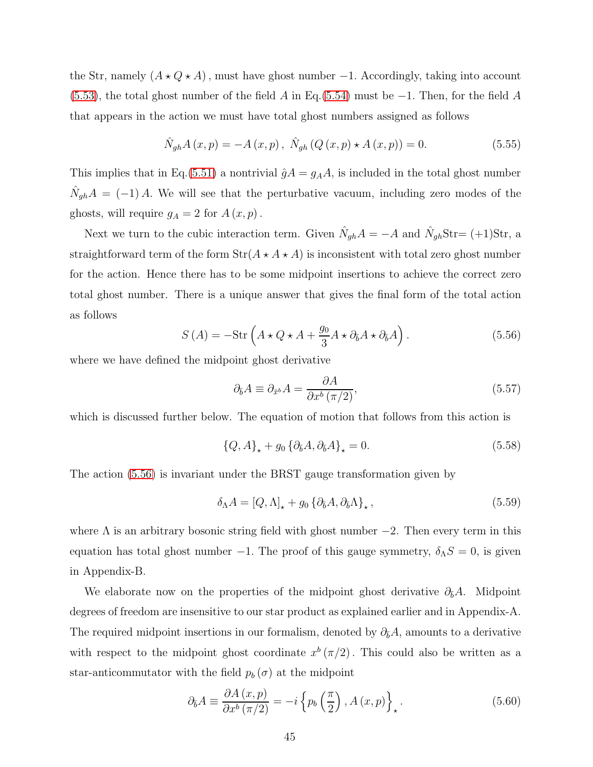the Str, namely  $(A \star Q \star A)$ , must have ghost number -1. Accordingly, taking into account [\(5.53\)](#page-43-1), the total ghost number of the field A in Eq.[\(5.54\)](#page-43-0) must be  $-1$ . Then, for the field A that appears in the action we must have total ghost numbers assigned as follows

$$
\hat{N}_{gh}A(x,p) = -A(x,p), \ \hat{N}_{gh}(Q(x,p) \star A(x,p)) = 0.
$$
\n(5.55)

This implies that in Eq.[\(5.51\)](#page-42-1) a nontrivial  $\hat{g}A = g_A A$ , is included in the total ghost number  $\hat{N}_{gh}A = (-1)A$ . We will see that the perturbative vacuum, including zero modes of the ghosts, will require  $g_A = 2$  for  $A(x, p)$ .

Next we turn to the cubic interaction term. Given  $\hat{N}_{gh}A = -A$  and  $\hat{N}_{gh}Str = (+1)Str$ , a straightforward term of the form  $Str(A \star A \star A)$  is inconsistent with total zero ghost number for the action. Hence there has to be some midpoint insertions to achieve the correct zero total ghost number. There is a unique answer that gives the final form of the total action as follows

<span id="page-44-0"></span>
$$
S(A) = -\text{Str}\left(A \star Q \star A + \frac{g_0}{3} A \star \partial_{\bar{b}} A \star \partial_{\bar{b}} A\right).
$$
 (5.56)

where we have defined the midpoint ghost derivative

$$
\partial_{\bar{b}}A \equiv \partial_{\bar{x}^b}A = \frac{\partial A}{\partial x^b \left(\pi/2\right)},\tag{5.57}
$$

which is discussed further below. The equation of motion that follows from this action is

<span id="page-44-1"></span>
$$
\{Q, A\}_{\star} + g_0 \{\partial_{\bar{b}}A, \partial_{\bar{b}}A\}_{\star} = 0. \tag{5.58}
$$

The action [\(5.56\)](#page-44-0) is invariant under the BRST gauge transformation given by

$$
\delta_{\Lambda} A = [Q, \Lambda]_{\star} + g_0 \left\{ \partial_{\bar{b}} A, \partial_{\bar{b}} \Lambda \right\}_{\star},\tag{5.59}
$$

where  $\Lambda$  is an arbitrary bosonic string field with ghost number  $-2$ . Then every term in this equation has total ghost number −1. The proof of this gauge symmetry,  $\delta_{\Lambda}S = 0$ , is given in Appendix-B.

We elaborate now on the properties of the midpoint ghost derivative  $\partial_{\bar{b}}A$ . Midpoint degrees of freedom are insensitive to our star product as explained earlier and in Appendix-A. The required midpoint insertions in our formalism, denoted by  $\partial_{\bar{b}}A$ , amounts to a derivative with respect to the midpoint ghost coordinate  $x^b(\pi/2)$ . This could also be written as a star-anticommutator with the field  $p_b(\sigma)$  at the midpoint

$$
\partial_{\bar{b}}A \equiv \frac{\partial A\left(x,p\right)}{\partial x^{b}\left(\pi/2\right)} = -i\left\{p_{b}\left(\frac{\pi}{2}\right), A\left(x,p\right)\right\}_{\star}.
$$
\n(5.60)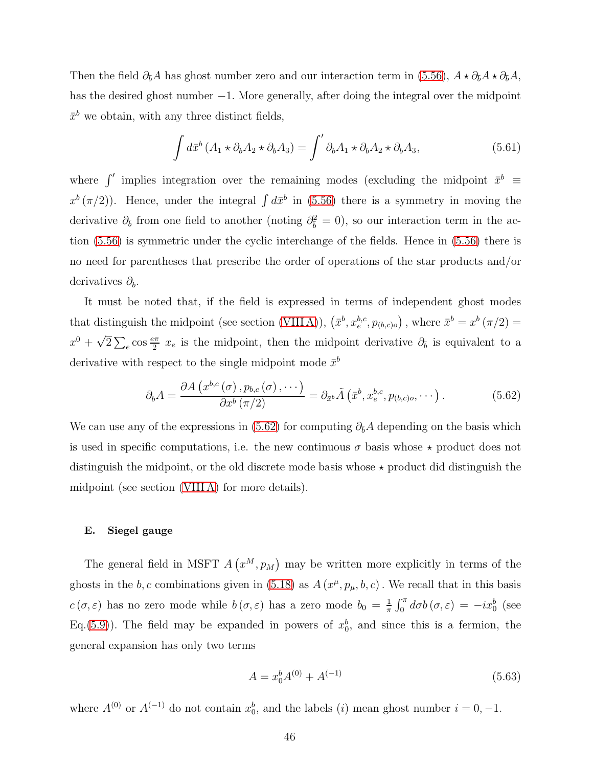Then the field  $\partial_{\bar{b}}A$  has ghost number zero and our interaction term in [\(5.56\)](#page-44-0),  $A \star \partial_{\bar{b}}A \star \partial_{\bar{b}}A$ , has the desired ghost number −1. More generally, after doing the integral over the midpoint  $\bar{x}^b$  we obtain, with any three distinct fields,

$$
\int d\bar{x}^{b} \left( A_{1} \star \partial_{\bar{b}} A_{2} \star \partial_{\bar{b}} A_{3} \right) = \int' \partial_{\bar{b}} A_{1} \star \partial_{\bar{b}} A_{2} \star \partial_{\bar{b}} A_{3}, \tag{5.61}
$$

where  $\int'$  implies integration over the remaining modes (excluding the midpoint  $\bar{x}^b$   $\equiv$  $x^{b}(\pi/2)$ . Hence, under the integral  $\int d\bar{x}^{b}$  in [\(5.56\)](#page-44-0) there is a symmetry in moving the derivative  $\partial_{\bar{b}}$  from one field to another (noting  $\partial_{\bar{b}}^2 = 0$ ), so our interaction term in the action [\(5.56\)](#page-44-0) is symmetric under the cyclic interchange of the fields. Hence in [\(5.56\)](#page-44-0) there is no need for parentheses that prescribe the order of operations of the star products and/or derivatives  $\partial_{\bar{b}}$ .

It must be noted that, if the field is expressed in terms of independent ghost modes that distinguish the midpoint (see section [\(VIII A\)](#page-64-0)),  $(\bar{x}^b, x_e^{b,c}, p_{(b,c)o})$ , where  $\bar{x}^b = x^b (\pi/2) =$  $x^0 + \sqrt{2} \sum_{e} \cos \frac{e\pi}{2} x_e$  is the midpoint, then the midpoint derivative  $\partial_{\bar{b}}$  is equivalent to a derivative with respect to the single midpoint mode  $\bar{x}^b$ 

<span id="page-45-0"></span>
$$
\partial_{\bar{b}}A = \frac{\partial A\left(x^{b,c}\left(\sigma\right), p_{b,c}\left(\sigma\right), \cdots\right)}{\partial x^{b}\left(\pi/2\right)} = \partial_{\bar{x}^{b}}\tilde{A}\left(\bar{x}^{b}, x_{e}^{b,c}, p_{(b,c)o}, \cdots\right). \tag{5.62}
$$

We can use any of the expressions in [\(5.62\)](#page-45-0) for computing  $\partial_{\bar{b}}A$  depending on the basis which is used in specific computations, i.e. the new continuous  $\sigma$  basis whose  $\star$  product does not distinguish the midpoint, or the old discrete mode basis whose  $\star$  product did distinguish the midpoint (see section [\(VIII A\)](#page-64-0) for more details).

### E. Siegel gauge

The general field in MSFT  $A(x^M, p_M)$  may be written more explicitly in terms of the ghosts in the b, c combinations given in [\(5.18\)](#page-34-3) as  $A(x^{\mu}, p_{\mu}, b, c)$ . We recall that in this basis  $c(\sigma,\varepsilon)$  has no zero mode while  $b(\sigma,\varepsilon)$  has a zero mode  $b_0 = \frac{1}{\pi}$  $\frac{1}{\pi} \int_0^{\pi} d\sigma b(\sigma, \varepsilon) = -ix_0^b$  (see Eq.[\(5.9\)](#page-33-1)). The field may be expanded in powers of  $x_0^b$ , and since this is a fermion, the general expansion has only two terms

<span id="page-45-1"></span>
$$
A = x_0^b A^{(0)} + A^{(-1)} \tag{5.63}
$$

where  $A^{(0)}$  or  $A^{(-1)}$  do not contain  $x_0^b$ , and the labels  $(i)$  mean ghost number  $i = 0, -1$ .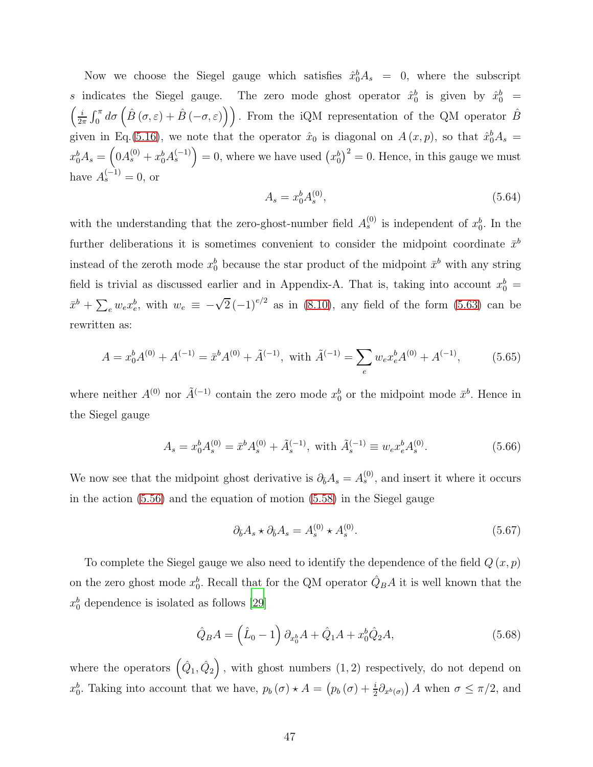Now we choose the Siegel gauge which satisfies  $\hat{x}_0^b A_s = 0$ , where the subscript s indicates the Siegel gauge. The zero mode ghost operator  $\hat{x}_0^b$  is given by  $\hat{x}_0^b$  =  $\sqrt{i}$  $\frac{i}{2\pi} \int_0^{\pi} d\sigma \left( \hat{B}(\sigma,\varepsilon) + \hat{B}(-\sigma,\varepsilon) \right)$ . From the iQM representation of the QM operator  $\hat{B}$ given in Eq.[\(5.16\)](#page-34-1), we note that the operator  $\hat{x}_0$  is diagonal on  $A(x,p)$ , so that  $\hat{x}_0^b A_s =$  $x_0^b A_s = \left(0 A_s^{(0)} + x_0^b A_s^{(-1)}\right) = 0$ , where we have used  $\left(x_0^b\right)^2 = 0$ . Hence, in this gauge we must have  $A_s^{(-1)} = 0$ , or

<span id="page-46-1"></span>
$$
A_s = x_0^b A_s^{(0)},\tag{5.64}
$$

with the understanding that the zero-ghost-number field  $A_s^{(0)}$  is independent of  $x_0^b$ . In the further deliberations it is sometimes convenient to consider the midpoint coordinate  $\bar{x}^b$ instead of the zeroth mode  $x_0^b$  because the star product of the midpoint  $\bar{x}^b$  with any string field is trivial as discussed earlier and in Appendix-A. That is, taking into account  $x_0^b$  =  $\bar{x}^b + \sum_{e} w_e x_e^b$ , with  $w_e \equiv -\sqrt{2} (-1)^{e/2}$  as in [\(8.10\)](#page-66-0), any field of the form [\(5.63\)](#page-45-1) can be rewritten as:

$$
A = x_0^b A^{(0)} + A^{(-1)} = \bar{x}^b A^{(0)} + \tilde{A}^{(-1)}, \text{ with } \tilde{A}^{(-1)} = \sum_e w_e x_e^b A^{(0)} + A^{(-1)}, \quad (5.65)
$$

where neither  $A^{(0)}$  nor  $\tilde{A}^{(-1)}$  contain the zero mode  $x_0^b$  or the midpoint mode  $\bar{x}^b$ . Hence in the Siegel gauge

<span id="page-46-0"></span>
$$
A_s = x_0^b A_s^{(0)} = \bar{x}^b A_s^{(0)} + \tilde{A}_s^{(-1)}, \text{ with } \tilde{A}_s^{(-1)} \equiv w_e x_e^b A_s^{(0)}.
$$
 (5.66)

We now see that the midpoint ghost derivative is  $\partial_{\bar{b}}A_s = A_s^{(0)}$ , and insert it where it occurs in the action [\(5.56\)](#page-44-0) and the equation of motion [\(5.58\)](#page-44-1) in the Siegel gauge

$$
\partial_{\bar{b}} A_s \star \partial_{\bar{b}} A_s = A_s^{(0)} \star A_s^{(0)}.
$$
\n(5.67)

To complete the Siegel gauge we also need to identify the dependence of the field  $Q(x, p)$ on the zero ghost mode  $x_0^b$ . Recall that for the QM operator  $\hat{Q}_B A$  it is well known that the  $x_0^b$  dependence is isolated as follows [\[29\]](#page-75-2)

$$
\hat{Q}_B A = \left(\hat{L}_0 - 1\right) \partial_{x_0^b} A + \hat{Q}_1 A + x_0^b \hat{Q}_2 A,\tag{5.68}
$$

where the operators  $(\hat{Q}_1, \hat{Q}_2)$ , with ghost numbers  $(1, 2)$  respectively, do not depend on  $x_0^b$ . Taking into account that we have,  $p_b(\sigma) \star A = (p_b(\sigma) + \frac{i}{2}\partial_{x^b(\sigma)}) A$  when  $\sigma \leq \pi/2$ , and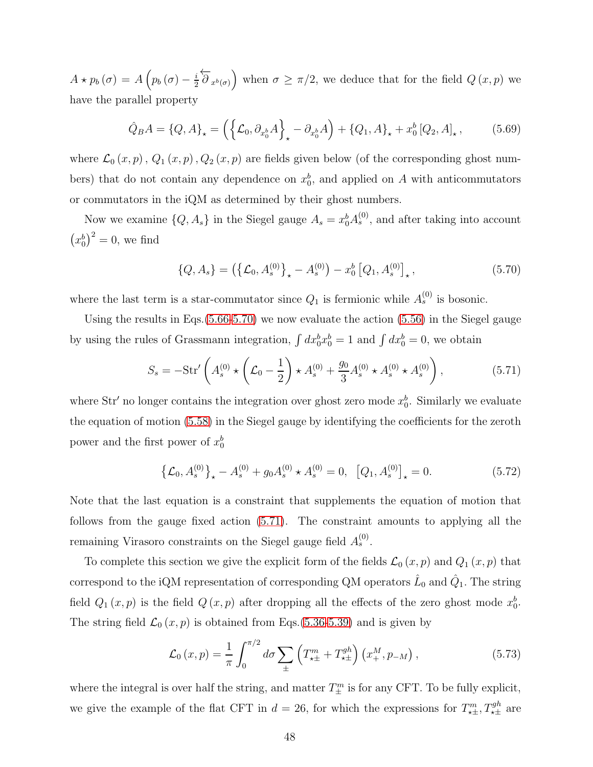$A\star p_{b}\left( \sigma \right) =A\left( p_{b}\left( \sigma \right) -\frac{i}{2}% \sigma _{b}\left( \sigma \right) \right) +\sigma _{b}\left( \sigma \right)$  $\frac{i}{2} \overleftarrow{\partial}_{x^b(\sigma)}$  when  $\sigma \geq \pi/2$ , we deduce that for the field  $Q(x, p)$  we have the parallel property

$$
\hat{Q}_B A = \{Q, A\}_\star = \left( \left\{ \mathcal{L}_0, \partial_{x_0^b} A \right\}_\star - \partial_{x_0^b} A \right) + \left\{ Q_1, A \right\}_\star + x_0^b \left[ Q_2, A \right]_\star, \tag{5.69}
$$

where  $\mathcal{L}_0(x, p)$ ,  $Q_1(x, p)$ ,  $Q_2(x, p)$  are fields given below (of the corresponding ghost numbers) that do not contain any dependence on  $x_0^b$ , and applied on A with anticommutators or commutators in the iQM as determined by their ghost numbers.

Now we examine  $\{Q, A_s\}$  in the Siegel gauge  $A_s = x_0^b A_s^{(0)}$ , and after taking into account  $(x_0^b)^2 = 0$ , we find

<span id="page-47-0"></span>
$$
\{Q, A_s\} = \left(\left\{\mathcal{L}_0, A_s^{(0)}\right\}_\star - A_s^{(0)}\right) - x_0^b \left[Q_1, A_s^{(0)}\right]_\star,\tag{5.70}
$$

where the last term is a star-commutator since  $Q_1$  is fermionic while  $A_s^{(0)}$  is bosonic.

Using the results in Eqs.[\(5.66-](#page-46-0)[5.70\)](#page-47-0) we now evaluate the action [\(5.56\)](#page-44-0) in the Siegel gauge by using the rules of Grassmann integration,  $\int dx_0^b x_0^b = 1$  and  $\int dx_0^b = 0$ , we obtain

<span id="page-47-1"></span>
$$
S_s = -\text{Str}'\left(A_s^{(0)} \star \left(\mathcal{L}_0 - \frac{1}{2}\right) \star A_s^{(0)} + \frac{g_0}{3} A_s^{(0)} \star A_s^{(0)} \star A_s^{(0)}\right),\tag{5.71}
$$

where  $Str'$  no longer contains the integration over ghost zero mode  $x_0^b$ . Similarly we evaluate the equation of motion [\(5.58\)](#page-44-1) in the Siegel gauge by identifying the coefficients for the zeroth power and the first power of  $x_0^b$ 

$$
\left\{\mathcal{L}_0, A_s^{(0)}\right\}_\star - A_s^{(0)} + g_0 A_s^{(0)} \star A_s^{(0)} = 0, \quad \left[Q_1, A_s^{(0)}\right]_\star = 0. \tag{5.72}
$$

Note that the last equation is a constraint that supplements the equation of motion that follows from the gauge fixed action [\(5.71\)](#page-47-1). The constraint amounts to applying all the remaining Virasoro constraints on the Siegel gauge field  $A_s^{(0)}$ .

To complete this section we give the explicit form of the fields  $\mathcal{L}_0(x, p)$  and  $Q_1(x, p)$  that correspond to the iQM representation of corresponding QM operators  $\hat{L}_0$  and  $\hat{Q}_1$ . The string field  $Q_1(x, p)$  is the field  $Q(x, p)$  after dropping all the effects of the zero ghost mode  $x_0^b$ . The string field  $\mathcal{L}_0(x, p)$  is obtained from Eqs.[\(5.36](#page-38-0)[-5.39\)](#page-39-1) and is given by

$$
\mathcal{L}_0(x, p) = \frac{1}{\pi} \int_0^{\pi/2} d\sigma \sum_{\pm} \left( T_{\star \pm}^m + T_{\star \pm}^{gh} \right) \left( x_+^M, p_{-M} \right), \tag{5.73}
$$

where the integral is over half the string, and matter  $T_{\pm}^{m}$  is for any CFT. To be fully explicit, we give the example of the flat CFT in  $d = 26$ , for which the expressions for  $T_{\star\pm}^m, T_{\star\pm}^{gh}$  are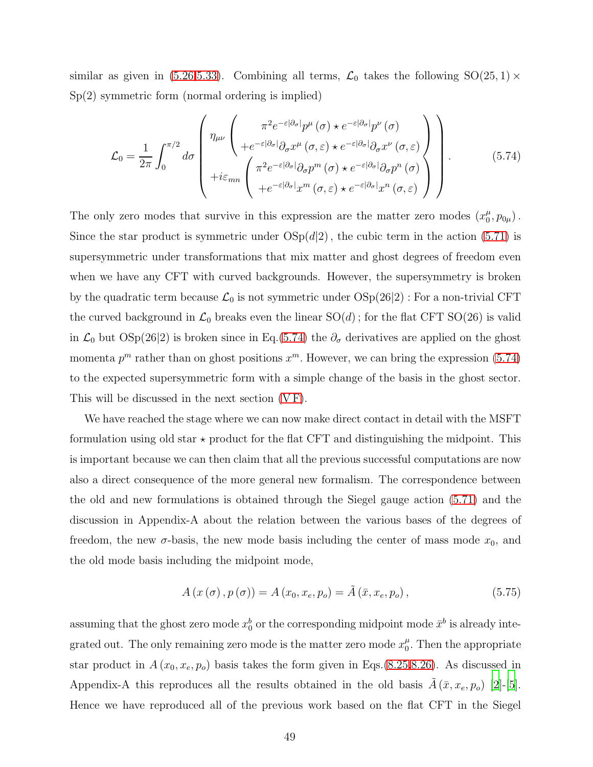similar as given in [\(5.26](#page-36-0)[,5.33\)](#page-37-0). Combining all terms,  $\mathcal{L}_0$  takes the following SO(25, 1)  $\times$ Sp(2) symmetric form (normal ordering is implied)

<span id="page-48-0"></span>
$$
\mathcal{L}_{0} = \frac{1}{2\pi} \int_{0}^{\pi/2} d\sigma \begin{pmatrix} \pi^{2} e^{-\varepsilon |\partial_{\sigma}|} p^{\mu}(\sigma) \star e^{-\varepsilon |\partial_{\sigma}|} p^{\nu}(\sigma) \\ +e^{-\varepsilon |\partial_{\sigma}|} \partial_{\sigma} x^{\mu}(\sigma, \varepsilon) \star e^{-\varepsilon |\partial_{\sigma}|} \partial_{\sigma} x^{\nu}(\sigma, \varepsilon) \\ +i\varepsilon_{mn} \begin{pmatrix} \pi^{2} e^{-\varepsilon |\partial_{\sigma}|} \partial_{\sigma} p^{m}(\sigma) \star e^{-\varepsilon |\partial_{\sigma}|} \partial_{\sigma} p^{n}(\sigma) \\ +e^{-\varepsilon |\partial_{\sigma}|} x^{m}(\sigma, \varepsilon) \star e^{-\varepsilon |\partial_{\sigma}|} x^{n}(\sigma, \varepsilon) \end{pmatrix} \end{pmatrix} .
$$
 (5.74)

The only zero modes that survive in this expression are the matter zero modes  $(x_0^{\mu})$  $\,\,\mu_0^{\mu},p_{0\mu})$  . Since the star product is symmetric under  $OSp(d|2)$ , the cubic term in the action [\(5.71\)](#page-47-1) is supersymmetric under transformations that mix matter and ghost degrees of freedom even when we have any CFT with curved backgrounds. However, the supersymmetry is broken by the quadratic term because  $\mathcal{L}_0$  is not symmetric under  $OSp(26|2)$ : For a non-trivial CFT the curved background in  $\mathcal{L}_0$  breaks even the linear  $SO(d)$ ; for the flat CFT  $SO(26)$  is valid in  $\mathcal{L}_0$  but  $OSp(26|2)$  is broken since in Eq.[\(5.74\)](#page-48-0) the  $\partial_{\sigma}$  derivatives are applied on the ghost momenta  $p^m$  rather than on ghost positions  $x^m$ . However, we can bring the expression [\(5.74\)](#page-48-0) to the expected supersymmetric form with a simple change of the basis in the ghost sector. This will be discussed in the next section [\(V F\)](#page-49-0).

We have reached the stage where we can now make direct contact in detail with the MSFT formulation using old star  $\star$  product for the flat CFT and distinguishing the midpoint. This is important because we can then claim that all the previous successful computations are now also a direct consequence of the more general new formalism. The correspondence between the old and new formulations is obtained through the Siegel gauge action [\(5.71\)](#page-47-1) and the discussion in Appendix-A about the relation between the various bases of the degrees of freedom, the new  $\sigma$ -basis, the new mode basis including the center of mass mode  $x_0$ , and the old mode basis including the midpoint mode,

$$
A\left(x\left(\sigma\right), p\left(\sigma\right)\right) = A\left(x_0, x_e, p_o\right) = \tilde{A}\left(\bar{x}, x_e, p_o\right),\tag{5.75}
$$

assuming that the ghost zero mode  $x_0^b$  or the corresponding midpoint mode  $\bar{x}^b$  is already integrated out. The only remaining zero mode is the matter zero mode  $x_0^{\mu}$  $\frac{\mu}{0}$ . Then the appropriate star product in  $A(x_0, x_e, p_o)$  basis takes the form given in Eqs.[\(8.25,](#page-68-0)[8.26\)](#page-68-1). As discussed in Appendix-A this reproduces all the results obtained in the old basis  $\tilde{A}(\bar{x}, x_e, p_o)$  [\[2\]](#page-72-1)-[\[5\]](#page-73-0). Hence we have reproduced all of the previous work based on the flat CFT in the Siegel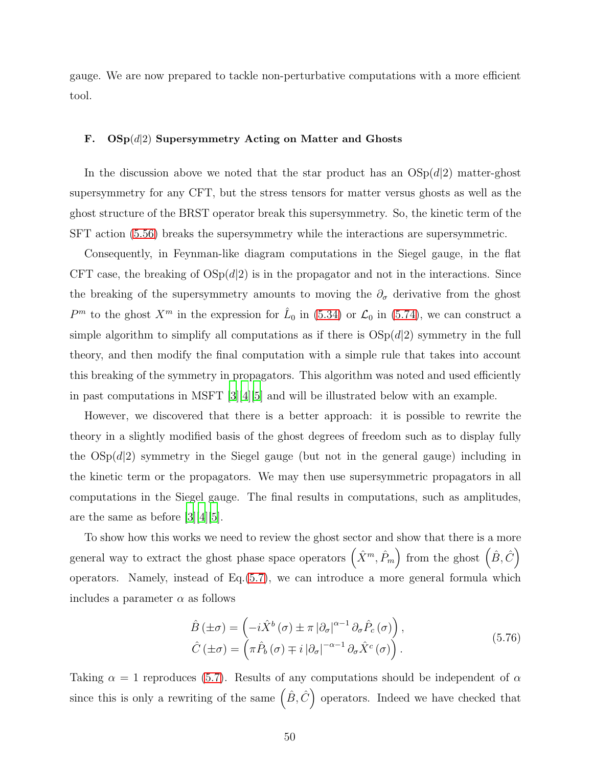gauge. We are now prepared to tackle non-perturbative computations with a more efficient tool.

# <span id="page-49-0"></span>F.  $OSp(d|2)$  Supersymmetry Acting on Matter and Ghosts

In the discussion above we noted that the star product has an  $OSp(d|2)$  matter-ghost supersymmetry for any CFT, but the stress tensors for matter versus ghosts as well as the ghost structure of the BRST operator break this supersymmetry. So, the kinetic term of the SFT action [\(5.56\)](#page-44-0) breaks the supersymmetry while the interactions are supersymmetric.

Consequently, in Feynman-like diagram computations in the Siegel gauge, in the flat CFT case, the breaking of  $OSp(d|2)$  is in the propagator and not in the interactions. Since the breaking of the supersymmetry amounts to moving the  $\partial_{\sigma}$  derivative from the ghost  $P<sup>m</sup>$  to the ghost  $X<sup>m</sup>$  in the expression for  $\hat{L}_0$  in [\(5.34\)](#page-37-1) or  $\mathcal{L}_0$  in [\(5.74\)](#page-48-0), we can construct a simple algorithm to simplify all computations as if there is  $OSp(d|2)$  symmetry in the full theory, and then modify the final computation with a simple rule that takes into account this breaking of the symmetry in propagators. This algorithm was noted and used efficiently in past computations in MSFT [\[3\]](#page-72-2)[\[4](#page-72-3)][\[5\]](#page-73-0) and will be illustrated below with an example.

However, we discovered that there is a better approach: it is possible to rewrite the theory in a slightly modified basis of the ghost degrees of freedom such as to display fully the  $OSp(d|2)$  symmetry in the Siegel gauge (but not in the general gauge) including in the kinetic term or the propagators. We may then use supersymmetric propagators in all computations in the Siegel gauge. The final results in computations, such as amplitudes, are the same as before [\[3\]](#page-72-2)[\[4\]](#page-72-3)[\[5](#page-73-0)].

To show how this works we need to review the ghost sector and show that there is a more general way to extract the ghost phase space operators  $(\hat{X}^m, \hat{P}_m)$  from the ghost  $(\hat{B}, \hat{C})$ operators. Namely, instead of Eq.[\(5.7\)](#page-33-2), we can introduce a more general formula which includes a parameter  $\alpha$  as follows

<span id="page-49-1"></span>
$$
\hat{B}(\pm \sigma) = \left(-i\hat{X}^b(\sigma) \pm \pi |\partial_{\sigma}|^{\alpha - 1} \partial_{\sigma} \hat{P}_c(\sigma)\right),
$$
\n
$$
\hat{C}(\pm \sigma) = \left(\pi \hat{P}_b(\sigma) \mp i |\partial_{\sigma}|^{-\alpha - 1} \partial_{\sigma} \hat{X}^c(\sigma)\right).
$$
\n(5.76)

Taking  $\alpha = 1$  reproduces [\(5.7\)](#page-33-2). Results of any computations should be independent of  $\alpha$ since this is only a rewriting of the same  $(\hat{B}, \hat{C})$  operators. Indeed we have checked that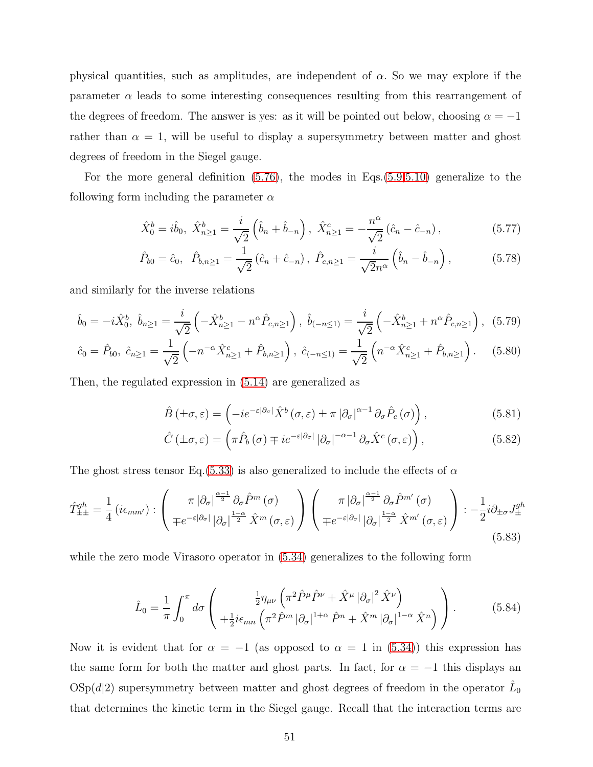physical quantities, such as amplitudes, are independent of  $\alpha$ . So we may explore if the parameter  $\alpha$  leads to some interesting consequences resulting from this rearrangement of the degrees of freedom. The answer is yes: as it will be pointed out below, choosing  $\alpha = -1$ rather than  $\alpha = 1$ , will be useful to display a supersymmetry between matter and ghost degrees of freedom in the Siegel gauge.

For the more general definition [\(5.76\)](#page-49-1), the modes in Eqs.[\(5.9,](#page-33-1)[5.10\)](#page-33-0) generalize to the following form including the parameter  $\alpha$ 

$$
\hat{X}_0^b = i\hat{b}_0, \ \hat{X}_{n \ge 1}^b = \frac{i}{\sqrt{2}} \left( \hat{b}_n + \hat{b}_{-n} \right), \ \hat{X}_{n \ge 1}^c = -\frac{n^{\alpha}}{\sqrt{2}} \left( \hat{c}_n - \hat{c}_{-n} \right), \tag{5.77}
$$

$$
\hat{P}_{b0} = \hat{c}_0, \quad \hat{P}_{b,n \ge 1} = \frac{1}{\sqrt{2}} (\hat{c}_n + \hat{c}_{-n}), \quad \hat{P}_{c,n \ge 1} = \frac{i}{\sqrt{2}n^{\alpha}} (\hat{b}_n - \hat{b}_{-n}), \tag{5.78}
$$

and similarly for the inverse relations

$$
\hat{b}_0 = -i\hat{X}_0^b, \ \hat{b}_{n\geq 1} = \frac{i}{\sqrt{2}} \left( -\hat{X}_{n\geq 1}^b - n^\alpha \hat{P}_{c,n\geq 1} \right), \ \hat{b}_{(-n\leq 1)} = \frac{i}{\sqrt{2}} \left( -\hat{X}_{n\geq 1}^b + n^\alpha \hat{P}_{c,n\geq 1} \right), \ (5.79)
$$

$$
\hat{c}_0 = \hat{P}_{b0}, \ \hat{c}_{n \ge 1} = \frac{1}{\sqrt{2}} \left( -n^{-\alpha} \hat{X}_{n \ge 1}^c + \hat{P}_{b,n \ge 1} \right), \ \hat{c}_{(-n \le 1)} = \frac{1}{\sqrt{2}} \left( n^{-\alpha} \hat{X}_{n \ge 1}^c + \hat{P}_{b,n \ge 1} \right). \tag{5.80}
$$

Then, the regulated expression in [\(5.14\)](#page-34-0) are generalized as

$$
\hat{B}(\pm\sigma,\varepsilon) = \left(-ie^{-\varepsilon|\partial_{\sigma}|}\hat{X}^{b}(\sigma,\varepsilon) \pm \pi |\partial_{\sigma}|^{\alpha-1} \partial_{\sigma}\hat{P}_{c}(\sigma)\right),\tag{5.81}
$$

$$
\hat{C}(\pm\sigma,\varepsilon) = \left(\pi\hat{P}_b(\sigma) \mp i e^{-\varepsilon|\partial_{\sigma}|} |\partial_{\sigma}|^{-\alpha-1} \partial_{\sigma}\hat{X}^c(\sigma,\varepsilon)\right),\tag{5.82}
$$

The ghost stress tensor Eq.[\(5.33\)](#page-37-0) is also generalized to include the effects of  $\alpha$ 

$$
\hat{T}_{\pm\pm}^{gh} = \frac{1}{4} \left( i\epsilon_{mm'} \right) : \begin{pmatrix} \pi \left| \partial_{\sigma} \right|^{\frac{\alpha-1}{2}} \partial_{\sigma} \hat{P}^{m} \left( \sigma \right) \\ \mp e^{-\varepsilon \left| \partial_{\sigma} \right|} \left| \partial_{\sigma} \right|^{\frac{1-\alpha}{2}} \hat{X}^{m} \left( \sigma, \varepsilon \right) \end{pmatrix} \begin{pmatrix} \pi \left| \partial_{\sigma} \right|^{\frac{\alpha-1}{2}} \partial_{\sigma} \hat{P}^{m'} \left( \sigma \right) \\ \mp e^{-\varepsilon \left| \partial_{\sigma} \right|} \left| \partial_{\sigma} \right|^{\frac{1-\alpha}{2}} \hat{X}^{m'} \left( \sigma, \varepsilon \right) \end{pmatrix} : -\frac{1}{2} i \partial_{\pm \sigma} J_{\pm}^{gh} \tag{5.83}
$$

while the zero mode Virasoro operator in [\(5.34\)](#page-37-1) generalizes to the following form

$$
\hat{L}_0 = \frac{1}{\pi} \int_0^{\pi} d\sigma \left( \frac{\frac{1}{2} \eta_{\mu\nu} \left( \pi^2 \hat{P}^{\mu} \hat{P}^{\nu} + \hat{X}^{\mu} |\partial_{\sigma}|^2 \hat{X}^{\nu} \right)}{+\frac{1}{2} i \epsilon_{mn} \left( \pi^2 \hat{P}^m |\partial_{\sigma}|^{1+\alpha} \hat{P}^n + \hat{X}^m |\partial_{\sigma}|^{1-\alpha} \hat{X}^n \right)} \right).
$$
(5.84)

Now it is evident that for  $\alpha = -1$  (as opposed to  $\alpha = 1$  in [\(5.34\)](#page-37-1)) this expression has the same form for both the matter and ghost parts. In fact, for  $\alpha = -1$  this displays an  $\mathrm{OSp}(d|2)$  supersymmetry between matter and ghost degrees of freedom in the operator  $\hat{L}_0$ that determines the kinetic term in the Siegel gauge. Recall that the interaction terms are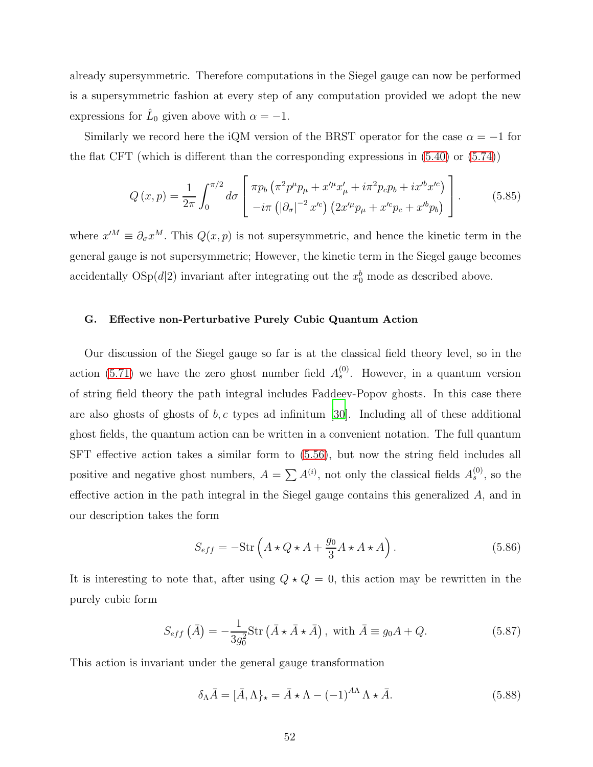already supersymmetric. Therefore computations in the Siegel gauge can now be performed is a supersymmetric fashion at every step of any computation provided we adopt the new expressions for  $\hat{L}_0$  given above with  $\alpha = -1$ .

Similarly we record here the iQM version of the BRST operator for the case  $\alpha = -1$  for the flat CFT (which is different than the corresponding expressions in [\(5.40\)](#page-39-2) or [\(5.74\)](#page-48-0))

$$
Q(x,p) = \frac{1}{2\pi} \int_0^{\pi/2} d\sigma \left[ \frac{\pi p_b \left( \pi^2 p^\mu p_\mu + x'^\mu x'_\mu + i \pi^2 p_c p_b + i x'^b x'^c \right)}{-i \pi \left( |\partial_\sigma|^{-2} x'^c \right) \left( 2x'^\mu p_\mu + x'^c p_c + x'^b p_b \right)} \right]. \tag{5.85}
$$

where  $x^{\prime M} \equiv \partial_{\sigma} x^M$ . This  $Q(x, p)$  is not supersymmetric, and hence the kinetic term in the general gauge is not supersymmetric; However, the kinetic term in the Siegel gauge becomes accidentally  $OSp(d|2)$  invariant after integrating out the  $x_0^b$  mode as described above.

# G. Effective non-Perturbative Purely Cubic Quantum Action

Our discussion of the Siegel gauge so far is at the classical field theory level, so in the action [\(5.71\)](#page-47-1) we have the zero ghost number field  $A_s^{(0)}$ . However, in a quantum version of string field theory the path integral includes Faddeev-Popov ghosts. In this case there are also ghosts of ghosts of  $b, c$  types ad infinitum [\[30](#page-76-0)]. Including all of these additional ghost fields, the quantum action can be written in a convenient notation. The full quantum SFT effective action takes a similar form to [\(5.56\)](#page-44-0), but now the string field includes all positive and negative ghost numbers,  $A = \sum A^{(i)}$ , not only the classical fields  $A_s^{(0)}$ , so the effective action in the path integral in the Siegel gauge contains this generalized A, and in our description takes the form

<span id="page-51-0"></span>
$$
S_{eff} = -\text{Str}\left(A \star Q \star A + \frac{g_0}{3} A \star A \star A\right). \tag{5.86}
$$

It is interesting to note that, after using  $Q \star Q = 0$ , this action may be rewritten in the purely cubic form

<span id="page-51-1"></span>
$$
S_{eff}(\bar{A}) = -\frac{1}{3g_0^2} \text{Str}(\bar{A} \star \bar{A} \star \bar{A}), \text{ with } \bar{A} \equiv g_0 A + Q. \tag{5.87}
$$

This action is invariant under the general gauge transformation

$$
\delta_{\Lambda}\bar{A} = [\bar{A}, \Lambda]_{\star} = \bar{A} \star \Lambda - (-1)^{A\Lambda} \Lambda \star \bar{A}.
$$
\n(5.88)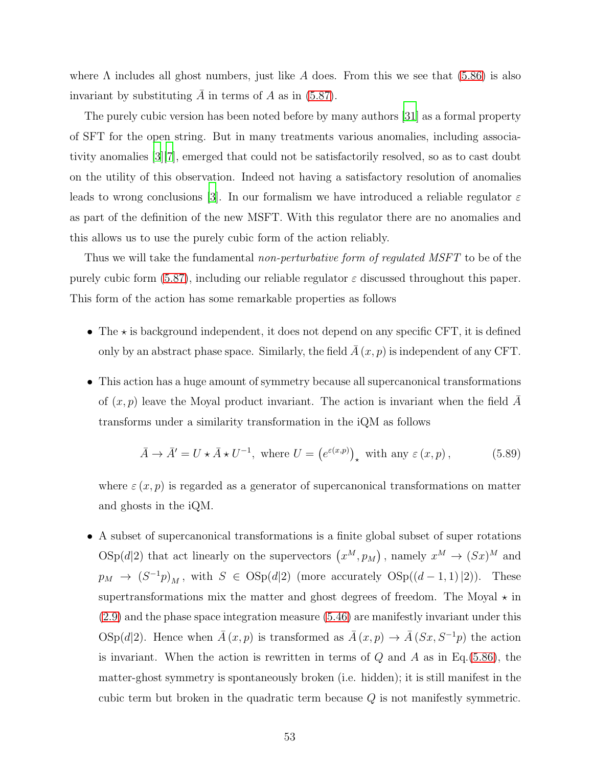where  $\Lambda$  includes all ghost numbers, just like A does. From this we see that [\(5.86\)](#page-51-0) is also invariant by substituting  $\overline{A}$  in terms of A as in [\(5.87\)](#page-51-1).

The purely cubic version has been noted before by many authors [\[31\]](#page-76-1) as a formal property of SFT for the open string. But in many treatments various anomalies, including associativity anomalies [\[3\]](#page-72-2)[\[7](#page-73-1)], emerged that could not be satisfactorily resolved, so as to cast doubt on the utility of this observation. Indeed not having a satisfactory resolution of anomalies leads to wrong conclusions [\[3\]](#page-72-2). In our formalism we have introduced a reliable regulator  $\varepsilon$ as part of the definition of the new MSFT. With this regulator there are no anomalies and this allows us to use the purely cubic form of the action reliably.

Thus we will take the fundamental *non-perturbative form of regulated MSFT* to be of the purely cubic form [\(5.87\)](#page-51-1), including our reliable regulator  $\varepsilon$  discussed throughout this paper. This form of the action has some remarkable properties as follows

- The  $\star$  is background independent, it does not depend on any specific CFT, it is defined only by an abstract phase space. Similarly, the field  $\overline{A}(x, p)$  is independent of any CFT.
- This action has a huge amount of symmetry because all supercanonical transformations of  $(x, p)$  leave the Moyal product invariant. The action is invariant when the field A transforms under a similarity transformation in the iQM as follows

$$
\bar{A} \to \bar{A}' = U \star \bar{A} \star U^{-1}, \text{ where } U = \left(e^{\varepsilon(x,p)}\right)_{\star} \text{ with any } \varepsilon(x,p), \tag{5.89}
$$

where  $\varepsilon(x, p)$  is regarded as a generator of supercanonical transformations on matter and ghosts in the iQM.

• A subset of supercanonical transformations is a finite global subset of super rotations  $\text{OSp}(d|2)$  that act linearly on the supervectors  $(x^M, p_M)$ , namely  $x^M \to (Sx)^M$  and  $p_M \to (S^{-1}p)_M$ , with  $S \in \text{OSp}(d|2)$  (more accurately  $\text{OSp}((d-1,1)|2)$ ). These supertransformations mix the matter and ghost degrees of freedom. The Moyal  $\star$  in [\(2.9\)](#page-9-0) and the phase space integration measure [\(5.46\)](#page-41-0) are manifestly invariant under this OSp(d|2). Hence when  $\bar{A}(x, p)$  is transformed as  $\bar{A}(x, p) \to \bar{A}(S_x, S^{-1}p)$  the action is invariant. When the action is rewritten in terms of  $Q$  and  $A$  as in Eq.[\(5.86\)](#page-51-0), the matter-ghost symmetry is spontaneously broken (i.e. hidden); it is still manifest in the cubic term but broken in the quadratic term because  $Q$  is not manifestly symmetric.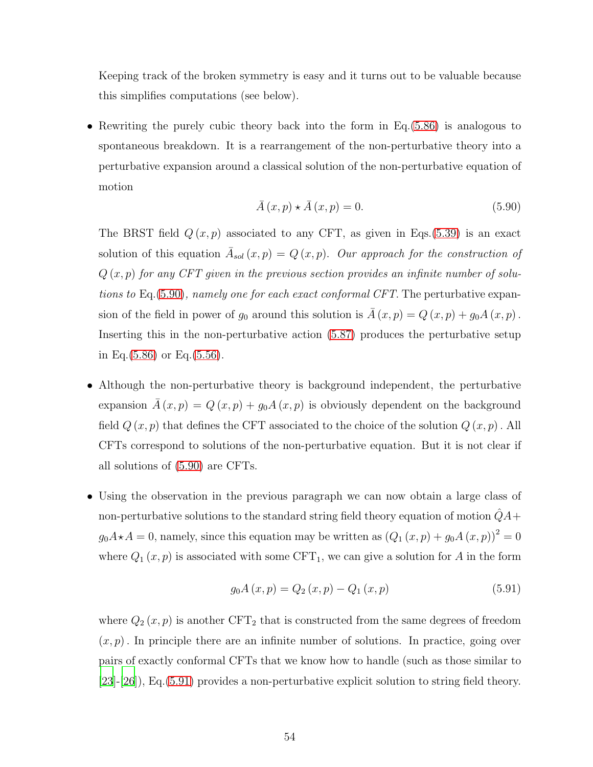Keeping track of the broken symmetry is easy and it turns out to be valuable because this simplifies computations (see below).

• Rewriting the purely cubic theory back into the form in Eq.[\(5.86\)](#page-51-0) is analogous to spontaneous breakdown. It is a rearrangement of the non-perturbative theory into a perturbative expansion around a classical solution of the non-perturbative equation of motion

<span id="page-53-0"></span>
$$
\bar{A}(x,p) \star \bar{A}(x,p) = 0. \tag{5.90}
$$

The BRST field  $Q(x, p)$  associated to any CFT, as given in Eqs.[\(5.39\)](#page-39-1) is an exact solution of this equation  $\overline{A}_{sol}(x,p) = Q(x,p)$ . Our approach for the construction of  $Q(x, p)$  for any CFT given in the previous section provides an infinite number of solutions to Eq.[\(5.90\)](#page-53-0), namely one for each exact conformal CFT. The perturbative expansion of the field in power of  $g_0$  around this solution is  $\overline{A}(x, p) = Q(x, p) + g_0 A(x, p)$ . Inserting this in the non-perturbative action [\(5.87\)](#page-51-1) produces the perturbative setup in Eq.[\(5.86\)](#page-51-0) or Eq.[\(5.56\)](#page-44-0).

- Although the non-perturbative theory is background independent, the perturbative expansion  $\overline{A}(x, p) = Q(x, p) + g_0 A(x, p)$  is obviously dependent on the background field  $Q(x, p)$  that defines the CFT associated to the choice of the solution  $Q(x, p)$ . All CFTs correspond to solutions of the non-perturbative equation. But it is not clear if all solutions of [\(5.90\)](#page-53-0) are CFTs.
- Using the observation in the previous paragraph we can now obtain a large class of non-perturbative solutions to the standard string field theory equation of motion  $\hat{Q}A+$  $g_0A\star A=0$ , namely, since this equation may be written as  $(Q_1(x,p)+g_0A(x,p))^2=0$ where  $Q_1(x, p)$  is associated with some CFT<sub>1</sub>, we can give a solution for A in the form

<span id="page-53-1"></span>
$$
g_0 A(x, p) = Q_2(x, p) - Q_1(x, p)
$$
\n(5.91)

where  $Q_2(x, p)$  is another  $CFT_2$  that is constructed from the same degrees of freedom  $(x, p)$ . In principle there are an infinite number of solutions. In practice, going over pairs of exactly conformal CFTs that we know how to handle (such as those similar to [\[23\]](#page-74-0)-[\[26\]](#page-75-3)), Eq.[\(5.91\)](#page-53-1) provides a non-perturbative explicit solution to string field theory.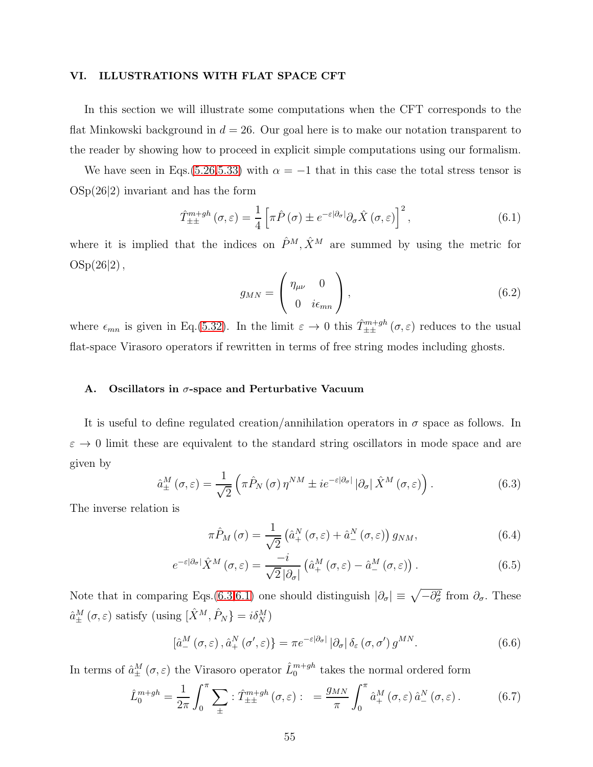### VI. ILLUSTRATIONS WITH FLAT SPACE CFT

In this section we will illustrate some computations when the CFT corresponds to the flat Minkowski background in  $d = 26$ . Our goal here is to make our notation transparent to the reader by showing how to proceed in explicit simple computations using our formalism.

We have seen in Eqs.[\(5.26,](#page-36-0)[5.33\)](#page-37-0) with  $\alpha = -1$  that in this case the total stress tensor is  $OSp(26|2)$  invariant and has the form

<span id="page-54-1"></span>
$$
\hat{T}_{\pm\pm}^{m+gh}(\sigma,\varepsilon) = \frac{1}{4} \left[ \pi \hat{P}(\sigma) \pm e^{-\varepsilon |\partial_{\sigma}|} \partial_{\sigma} \hat{X}(\sigma,\varepsilon) \right]^2, \tag{6.1}
$$

where it is implied that the indices on  $\hat{P}^M$ ,  $\hat{X}^M$  are summed by using the metric for  $OSp(26|2)$ ,

$$
g_{MN} = \begin{pmatrix} \eta_{\mu\nu} & 0\\ 0 & i\epsilon_{mn} \end{pmatrix}, \qquad (6.2)
$$

where  $\epsilon_{mn}$  is given in Eq.[\(5.32\)](#page-37-2). In the limit  $\varepsilon \to 0$  this  $\hat{T}^{m+gh}_{\pm\pm}(\sigma,\varepsilon)$  reduces to the usual flat-space Virasoro operators if rewritten in terms of free string modes including ghosts.

# A. Oscillators in  $\sigma$ -space and Perturbative Vacuum

It is useful to define regulated creation/annihilation operators in  $\sigma$  space as follows. In  $\varepsilon \to 0$  limit these are equivalent to the standard string oscillators in mode space and are given by

<span id="page-54-0"></span>
$$
\hat{a}_{\pm}^{M}\left(\sigma,\varepsilon\right) = \frac{1}{\sqrt{2}}\left(\pi\hat{P}_{N}\left(\sigma\right)\eta^{NM} \pm i e^{-\varepsilon|\partial_{\sigma}|}\left|\partial_{\sigma}\right|\hat{X}^{M}\left(\sigma,\varepsilon\right)\right). \tag{6.3}
$$

The inverse relation is

<span id="page-54-3"></span><span id="page-54-2"></span>
$$
\pi \hat{P}_M(\sigma) = \frac{1}{\sqrt{2}} \left( \hat{a}^N_+(\sigma, \varepsilon) + \hat{a}^N_-(\sigma, \varepsilon) \right) g_{NM}, \tag{6.4}
$$

$$
e^{-\varepsilon|\partial_{\sigma}|}\hat{X}^{M}(\sigma,\varepsilon) = \frac{-i}{\sqrt{2}|\partial_{\sigma}|}\left(\hat{a}_{+}^{M}(\sigma,\varepsilon) - \hat{a}_{-}^{M}(\sigma,\varepsilon)\right).
$$
 (6.5)

Note that in comparing Eqs.[\(6.3](#page-54-0)[,6.1\)](#page-54-1) one should distinguish  $|\partial_{\sigma}| \equiv \sqrt{-\partial_{\sigma}^2}$  from  $\partial_{\sigma}$ . These  $\hat{a}^M_{\pm}(\sigma,\varepsilon)$  satisfy (using  $[\hat{X}^M,\hat{P}_N]=i\delta_N^M$ )

$$
\left[\hat{a}^M_-(\sigma,\varepsilon),\hat{a}^N_+(\sigma',\varepsilon)\right] = \pi e^{-\varepsilon|\partial_\sigma|} |\partial_\sigma| \,\delta_\varepsilon(\sigma,\sigma') g^{MN}.\tag{6.6}
$$

In terms of  $\hat{a}^M_{\pm}(\sigma,\varepsilon)$  the Virasoro operator  $\hat{L}^{m+gh}_0$  takes the normal ordered form

$$
\hat{L}_0^{m+gh} = \frac{1}{2\pi} \int_0^{\pi} \sum_{\pm} : \hat{T}_{\pm\pm}^{m+gh} (\sigma, \varepsilon) : = \frac{g_{MN}}{\pi} \int_0^{\pi} \hat{a}_+^M (\sigma, \varepsilon) \hat{a}_-^N (\sigma, \varepsilon) . \tag{6.7}
$$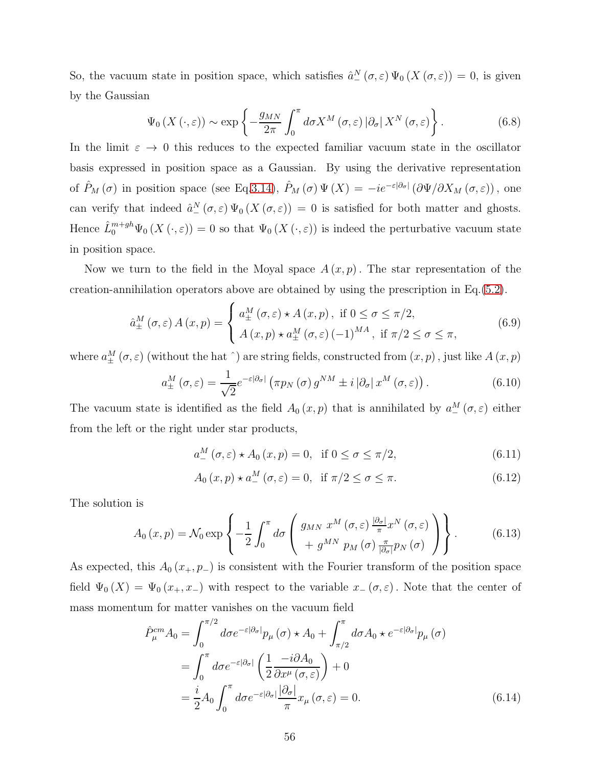So, the vacuum state in position space, which satisfies  $\hat{a}^N_-(\sigma,\varepsilon)\Psi_0(X(\sigma,\varepsilon))=0$ , is given by the Gaussian

$$
\Psi_0\left(X\left(\cdot,\varepsilon\right)\right) \sim \exp\left\{-\frac{g_{MN}}{2\pi} \int_0^\pi d\sigma X^M\left(\sigma,\varepsilon\right) \left|\partial_\sigma\right| X^N\left(\sigma,\varepsilon\right)\right\}.
$$
\n(6.8)

In the limit  $\varepsilon \to 0$  this reduces to the expected familiar vacuum state in the oscillator basis expressed in position space as a Gaussian. By using the derivative representation of  $\hat{P}_M(\sigma)$  in position space (see Eq[.3.14\)](#page-18-0),  $\hat{P}_M(\sigma) \Psi(X) = -ie^{-\varepsilon |\partial_{\sigma}|} (\partial \Psi/\partial X_M(\sigma,\varepsilon))$ , one can verify that indeed  $\hat{a}^N_{-}(\sigma,\varepsilon)\Psi_0(X(\sigma,\varepsilon))=0$  is satisfied for both matter and ghosts. Hence  $\hat{L}_0^{m+gh}\Psi_0(X(\cdot,\varepsilon))=0$  so that  $\Psi_0(X(\cdot,\varepsilon))$  is indeed the perturbative vacuum state in position space.

Now we turn to the field in the Moyal space  $A(x, p)$ . The star representation of the creation-annihilation operators above are obtained by using the prescription in Eq.[\(5.2\)](#page-30-1).

$$
\hat{a}_{\pm}^{M}\left(\sigma,\varepsilon\right)A\left(x,p\right) = \begin{cases} a_{\pm}^{M}\left(\sigma,\varepsilon\right) \star A\left(x,p\right), \text{ if } 0 \leq \sigma \leq \pi/2, \\ A\left(x,p\right) \star a_{\pm}^{M}\left(\sigma,\varepsilon\right) \left(-1\right)^{MA}, \text{ if } \pi/2 \leq \sigma \leq \pi, \end{cases}
$$
\n
$$
(6.9)
$$

where  $a_{\pm}^{M}(\sigma,\varepsilon)$  (without the hat  $\hat{ }}$ ) are string fields, constructed from  $(x,p)$ , just like  $A(x,p)$ 

$$
a_{\pm}^{M}\left(\sigma,\varepsilon\right) = \frac{1}{\sqrt{2}}e^{-\varepsilon|\partial_{\sigma}|}\left(\pi p_{N}\left(\sigma\right)g^{NM} \pm i\left|\partial_{\sigma}\right|x^{M}\left(\sigma,\varepsilon\right)\right). \tag{6.10}
$$

The vacuum state is identified as the field  $A_0(x, p)$  that is annihilated by  $a_-^M(\sigma, \varepsilon)$  either from the left or the right under star products,

$$
a_{-}^{M}(\sigma,\varepsilon) \star A_{0}(x,p) = 0, \text{ if } 0 \le \sigma \le \pi/2,
$$
\n(6.11)

$$
A_0(x,p) \star a^M_-(\sigma,\varepsilon) = 0, \text{ if } \pi/2 \le \sigma \le \pi. \tag{6.12}
$$

The solution is

<span id="page-55-0"></span>
$$
A_0(x,p) = \mathcal{N}_0 \exp\left\{-\frac{1}{2} \int_0^{\pi} d\sigma \left(\frac{g_{MN} x^M(\sigma,\varepsilon) \frac{|\partial_{\sigma}|}{\pi} x^N(\sigma,\varepsilon)}{+ g^{MN} p_M(\sigma) \frac{\pi}{|\partial_{\sigma}|} p_N(\sigma)}\right)\right\}.
$$
 (6.13)

As expected, this  $A_0(x_+, p_-)$  is consistent with the Fourier transform of the position space field  $\Psi_0(X) = \Psi_0(x_+, x_-)$  with respect to the variable  $x_-(\sigma, \varepsilon)$ . Note that the center of mass momentum for matter vanishes on the vacuum field

$$
\hat{P}_{\mu}^{cm} A_0 = \int_0^{\pi/2} d\sigma e^{-\varepsilon |\partial_{\sigma}|} p_{\mu}(\sigma) \star A_0 + \int_{\pi/2}^{\pi} d\sigma A_0 \star e^{-\varepsilon |\partial_{\sigma}|} p_{\mu}(\sigma)
$$
\n
$$
= \int_0^{\pi} d\sigma e^{-\varepsilon |\partial_{\sigma}|} \left( \frac{1}{2} \frac{-i \partial A_0}{\partial x^{\mu}(\sigma, \varepsilon)} \right) + 0
$$
\n
$$
= \frac{i}{2} A_0 \int_0^{\pi} d\sigma e^{-\varepsilon |\partial_{\sigma}|} \frac{|\partial_{\sigma}|}{\pi} x_{\mu}(\sigma, \varepsilon) = 0.
$$
\n(6.14)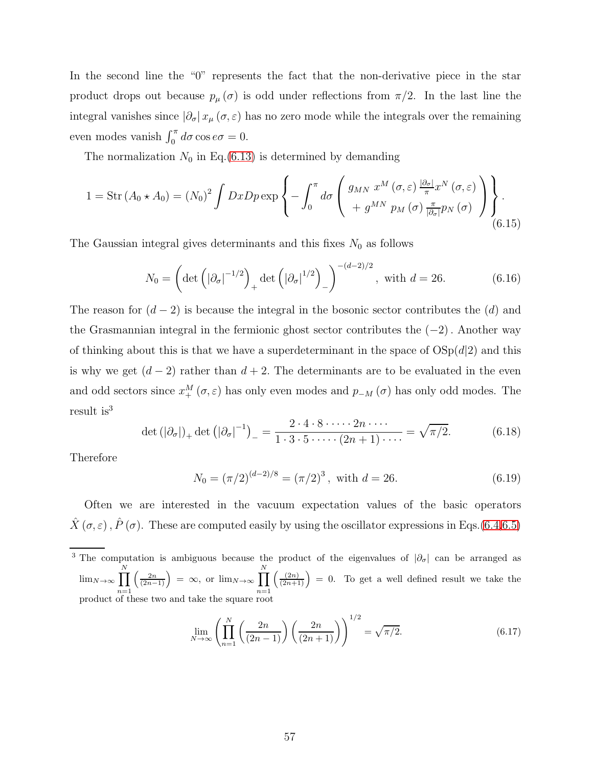In the second line the "0" represents the fact that the non-derivative piece in the star product drops out because  $p_{\mu}(\sigma)$  is odd under reflections from  $\pi/2$ . In the last line the integral vanishes since  $|\partial_{\sigma}| x_{\mu}(\sigma, \varepsilon)$  has no zero mode while the integrals over the remaining even modes vanish  $\int_0^{\pi} d\sigma \cos e \sigma = 0$ .

The normalization  $N_0$  in Eq.[\(6.13\)](#page-55-0) is determined by demanding

$$
1 = \operatorname{Str}(A_0 \star A_0) = (N_0)^2 \int Dx Dp \exp \left\{ - \int_0^{\pi} d\sigma \left( \frac{g_{MN} x^M (\sigma, \varepsilon) \frac{|\partial_{\sigma}|}{\pi} x^N (\sigma, \varepsilon)}{+ g^{MN} p_M (\sigma) \frac{\pi}{|\partial_{\sigma}|} p_N (\sigma)} \right) \right\}.
$$
\n(6.15)

The Gaussian integral gives determinants and this fixes  $N_0$  as follows

$$
N_0 = \left(\det\left(|\partial_{\sigma}|^{-1/2}\right)_+ \det\left(|\partial_{\sigma}|^{1/2}\right)_-\right)^{-(d-2)/2}, \text{ with } d = 26. \tag{6.16}
$$

The reason for  $(d-2)$  is because the integral in the bosonic sector contributes the  $(d)$  and the Grasmannian integral in the fermionic ghost sector contributes the  $(-2)$ . Another way of thinking about this is that we have a superdeterminant in the space of  $OSp(d|2)$  and this is why we get  $(d-2)$  rather than  $d+2$ . The determinants are to be evaluated in the even and odd sectors since  $x_+^M(\sigma, \varepsilon)$  has only even modes and  $p_{-M}(\sigma)$  has only odd modes. The result is<sup>3</sup>

$$
\det\left(|\partial_{\sigma}|\right)_+\det\left(|\partial_{\sigma}|^{-1}\right)_-=\frac{2\cdot 4\cdot 8\cdot \cdots \cdot 2n\cdot \cdots}{1\cdot 3\cdot 5\cdot \cdots \cdot (2n+1)\cdot \cdots}=\sqrt{\pi/2}.\tag{6.18}
$$

Therefore

$$
N_0 = (\pi/2)^{(d-2)/8} = (\pi/2)^3, \text{ with } d = 26.
$$
 (6.19)

Often we are interested in the vacuum expectation values of the basic operators  $\hat{X}(\sigma,\varepsilon), \hat{P}(\sigma)$ . These are computed easily by using the oscillator expressions in Eqs.[\(6.4,](#page-54-2)[6.5\)](#page-54-3)

<sup>3</sup> The computation is ambiguous because the product of the eigenvalues of  $|\partial_{\sigma}|$  can be arranged as  $\lim_{N\to\infty}$   $\prod$ N  $n=1$  $\left(\frac{2n}{(2n-1)}\right) = \infty$ , or  $\lim_{N\to\infty} \prod$ N  $n=1$  $\left(\frac{(2n)}{(2n+1)}\right) = 0$ . To get a well defined result we take the product of these two and take the square root

$$
\lim_{N \to \infty} \left( \prod_{n=1}^{N} \left( \frac{2n}{(2n-1)} \right) \left( \frac{2n}{(2n+1)} \right) \right)^{1/2} = \sqrt{\pi/2}.
$$
 (6.17)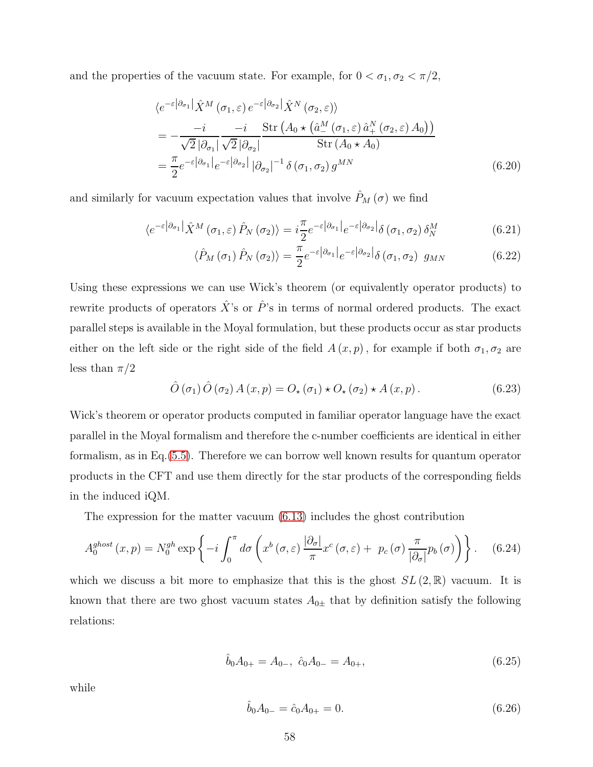and the properties of the vacuum state. For example, for  $0 < \sigma_1, \sigma_2 < \pi/2$ ,

$$
\langle e^{-\varepsilon |\partial_{\sigma_1}|} \hat{X}^M (\sigma_1, \varepsilon) e^{-\varepsilon |\partial_{\sigma_2}|} \hat{X}^N (\sigma_2, \varepsilon) \rangle
$$
  
= 
$$
-\frac{-i}{\sqrt{2} |\partial_{\sigma_1}|} \frac{-i}{\sqrt{2} |\partial_{\sigma_2}|} \frac{\operatorname{Str} (A_0 \star (\hat{a}^M_- (\sigma_1, \varepsilon) \hat{a}^N_+ (\sigma_2, \varepsilon) A_0))}{\operatorname{Str} (A_0 \star A_0)}
$$
  
= 
$$
\frac{\pi}{2} e^{-\varepsilon |\partial_{\sigma_1}|} e^{-\varepsilon |\partial_{\sigma_2}|} |\partial_{\sigma_2}|^{-1} \delta (\sigma_1, \sigma_2) g^{MN}
$$
(6.20)

and similarly for vacuum expectation values that involve  $\hat{P}_M(\sigma)$  we find

$$
\langle e^{-\varepsilon |\partial_{\sigma_1}|} \hat{X}^M(\sigma_1, \varepsilon) \hat{P}_N(\sigma_2) \rangle = i \frac{\pi}{2} e^{-\varepsilon |\partial_{\sigma_1}|} e^{-\varepsilon |\partial_{\sigma_2}|} \delta(\sigma_1, \sigma_2) \delta_N^M \tag{6.21}
$$

$$
\langle \hat{P}_M(\sigma_1) \hat{P}_N(\sigma_2) \rangle = \frac{\pi}{2} e^{-\varepsilon |\partial_{\sigma_1}|} e^{-\varepsilon |\partial_{\sigma_2}|} \delta(\sigma_1, \sigma_2) g_{MN}
$$
(6.22)

Using these expressions we can use Wick's theorem (or equivalently operator products) to rewrite products of operators  $\hat{X}$ 's or  $\hat{P}$ 's in terms of normal ordered products. The exact parallel steps is available in the Moyal formulation, but these products occur as star products either on the left side or the right side of the field  $A(x, p)$ , for example if both  $\sigma_1, \sigma_2$  are less than  $\pi/2$ 

$$
\hat{O}(\sigma_1)\,\hat{O}(\sigma_2)\,A\,(x,p) = O_\star(\sigma_1)\star O_\star(\sigma_2)\star A\,(x,p)\,. \tag{6.23}
$$

Wick's theorem or operator products computed in familiar operator language have the exact parallel in the Moyal formalism and therefore the c-number coefficients are identical in either formalism, as in Eq.[\(5.5\)](#page-32-0). Therefore we can borrow well known results for quantum operator products in the CFT and use them directly for the star products of the corresponding fields in the induced iQM.

The expression for the matter vacuum [\(6.13\)](#page-55-0) includes the ghost contribution

$$
A_0^{ghost}(x,p) = N_0^{gh} \exp\left\{-i \int_0^{\pi} d\sigma \left(x^b(\sigma,\varepsilon) \frac{|\partial_{\sigma}|}{\pi} x^c(\sigma,\varepsilon) + p_c(\sigma) \frac{\pi}{|\partial_{\sigma}|} p_b(\sigma)\right)\right\}.
$$
 (6.24)

which we discuss a bit more to emphasize that this is the ghost  $SL(2,\mathbb{R})$  vacuum. It is known that there are two ghost vacuum states  $A_{0\pm}$  that by definition satisfy the following relations:

$$
\hat{b}_0 A_{0+} = A_{0-}, \ \hat{c}_0 A_{0-} = A_{0+}, \tag{6.25}
$$

while

$$
\hat{b}_0 A_{0-} = \hat{c}_0 A_{0+} = 0. \tag{6.26}
$$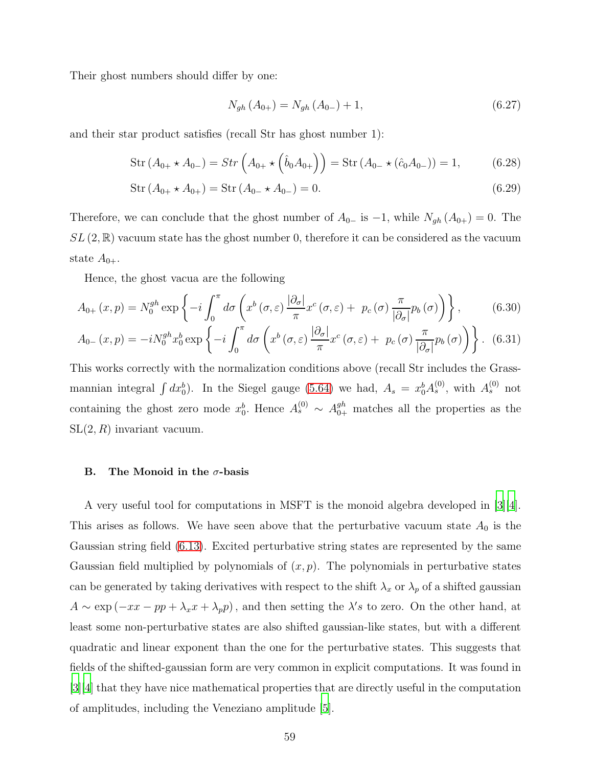Their ghost numbers should differ by one:

$$
N_{gh}(A_{0+}) = N_{gh}(A_{0-}) + 1, \tag{6.27}
$$

and their star product satisfies (recall Str has ghost number 1):

$$
Str (A_{0+} \star A_{0-}) = Str \left( A_{0+} \star \left( \hat{b}_0 A_{0+} \right) \right) = Str (A_{0-} \star (\hat{c}_0 A_{0-})) = 1,
$$
 (6.28)

$$
Str (A_{0+} \star A_{0+}) = Str (A_{0-} \star A_{0-}) = 0.
$$
\n(6.29)

Therefore, we can conclude that the ghost number of  $A_{0-}$  is  $-1$ , while  $N_{gh}(A_{0+})=0$ . The  $SL(2,\mathbb{R})$  vacuum state has the ghost number 0, therefore it can be considered as the vacuum state  $A_{0+}$ .

Hence, the ghost vacua are the following

$$
A_{0+}(x,p) = N_0^{gh} \exp\left\{-i \int_0^{\pi} d\sigma \left(x^b(\sigma,\varepsilon) \frac{|\partial_{\sigma}|}{\pi} x^c(\sigma,\varepsilon) + p_c(\sigma) \frac{\pi}{|\partial_{\sigma}|} p_b(\sigma)\right)\right\},\tag{6.30}
$$

$$
A_{0-}(x,p) = -iN_0^{gh}x_0^b \exp\left\{-i\int_0^\pi d\sigma \left(x^b(\sigma,\varepsilon)\frac{|\partial_\sigma|}{\pi}x^c(\sigma,\varepsilon) + p_c(\sigma)\frac{\pi}{|\partial_\sigma|}p_b(\sigma)\right)\right\}.
$$
 (6.31)

This works correctly with the normalization conditions above (recall Str includes the Grassmannian integral  $\int dx_0^b$ ). In the Siegel gauge [\(5.64\)](#page-46-1) we had,  $A_s = x_0^b A_s^{(0)}$ , with  $A_s^{(0)}$  not containing the ghost zero mode  $x_0^b$ . Hence  $A_s^{(0)} \sim A_{0+}^{gh}$  matches all the properties as the  $SL(2, R)$  invariant vacuum.

#### B. The Monoid in the  $\sigma$ -basis

A very useful tool for computations in MSFT is the monoid algebra developed in [\[3](#page-72-2)][\[4\]](#page-72-3). This arises as follows. We have seen above that the perturbative vacuum state  $A_0$  is the Gaussian string field [\(6.13\)](#page-55-0). Excited perturbative string states are represented by the same Gaussian field multiplied by polynomials of  $(x, p)$ . The polynomials in perturbative states can be generated by taking derivatives with respect to the shift  $\lambda_x$  or  $\lambda_p$  of a shifted gaussian  $A \sim \exp(-xx - pp + \lambda_x x + \lambda_p p)$ , and then setting the  $\lambda's$  to zero. On the other hand, at least some non-perturbative states are also shifted gaussian-like states, but with a different quadratic and linear exponent than the one for the perturbative states. This suggests that fields of the shifted-gaussian form are very common in explicit computations. It was found in [\[3](#page-72-2)][\[4](#page-72-3)] that they have nice mathematical properties that are directly useful in the computation of amplitudes, including the Veneziano amplitude [\[5\]](#page-73-0).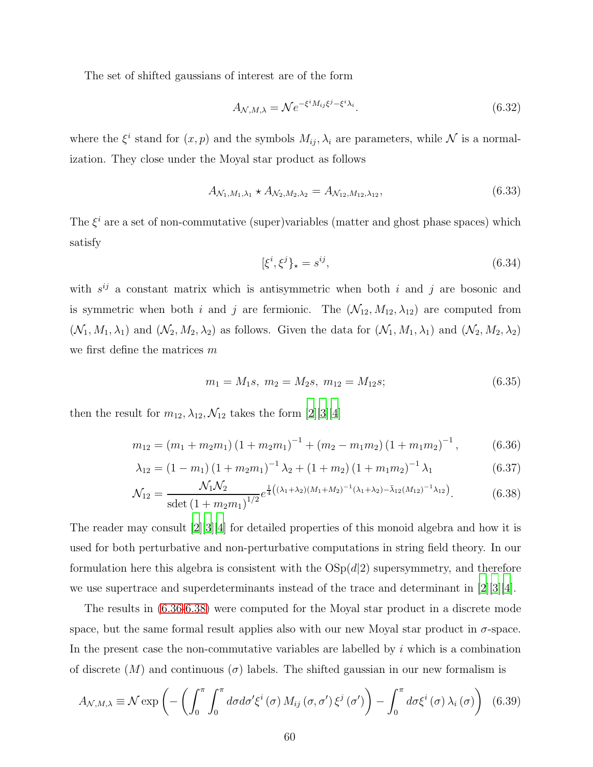The set of shifted gaussians of interest are of the form

$$
A_{\mathcal{N},M,\lambda} = \mathcal{N}e^{-\xi^i M_{ij}\xi^j - \xi^i \lambda_i}.
$$
\n(6.32)

where the  $\xi^i$  stand for  $(x, p)$  and the symbols  $M_{ij}$ ,  $\lambda_i$  are parameters, while  $\mathcal N$  is a normalization. They close under the Moyal star product as follows

$$
A_{\mathcal{N}_1, M_1, \lambda_1} \star A_{\mathcal{N}_2, M_2, \lambda_2} = A_{\mathcal{N}_{12}, M_{12}, \lambda_{12}}, \tag{6.33}
$$

The  $\xi^i$  are a set of non-commutative (super)variables (matter and ghost phase spaces) which satisfy

<span id="page-59-0"></span>
$$
[\xi^i, \xi^j]_\star = s^{ij},\tag{6.34}
$$

with  $s^{ij}$  a constant matrix which is antisymmetric when both i and j are bosonic and is symmetric when both i and j are fermionic. The  $(\mathcal{N}_{12}, M_{12}, \lambda_{12})$  are computed from  $(\mathcal{N}_1, M_1, \lambda_1)$  and  $(\mathcal{N}_2, M_2, \lambda_2)$  as follows. Given the data for  $(\mathcal{N}_1, M_1, \lambda_1)$  and  $(\mathcal{N}_2, M_2, \lambda_2)$ we first define the matrices m

<span id="page-59-1"></span>
$$
m_1 = M_1 s, \ m_2 = M_2 s, \ m_{12} = M_{12} s; \tag{6.35}
$$

then the result for  $m_{12}, \lambda_{12}, \mathcal{N}_{12}$  takes the form  $[2][3][4]$  $[2][3][4]$  $[2][3][4]$  $[2][3][4]$ 

$$
m_{12} = (m_1 + m_2 m_1) (1 + m_2 m_1)^{-1} + (m_2 - m_1 m_2) (1 + m_1 m_2)^{-1}, \qquad (6.36)
$$

$$
\lambda_{12} = (1 - m_1) (1 + m_2 m_1)^{-1} \lambda_2 + (1 + m_2) (1 + m_1 m_2)^{-1} \lambda_1 \tag{6.37}
$$

$$
\mathcal{N}_{12} = \frac{\mathcal{N}_1 \mathcal{N}_2}{\text{sdet} \left(1 + m_2 m_1\right)^{1/2}} e^{\frac{1}{4}\left((\lambda_1 + \lambda_2)(M_1 + M_2)^{-1}(\lambda_1 + \lambda_2) - \bar{\lambda}_{12}(M_{12})^{-1}\lambda_{12}\right)}.
$$
(6.38)

The reader may consult [\[2\]](#page-72-1)[\[3](#page-72-2)][\[4\]](#page-72-3) for detailed properties of this monoid algebra and how it is used for both perturbative and non-perturbative computations in string field theory. In our formulation here this algebra is consistent with the  $OSp(d|2)$  supersymmetry, and therefore we use supertrace and superdeterminants instead of the trace and determinant in [\[2](#page-72-1)][\[3\]](#page-72-2)[\[4\]](#page-72-3).

The results in [\(6.36-](#page-59-0)[6.38\)](#page-59-1) were computed for the Moyal star product in a discrete mode space, but the same formal result applies also with our new Moyal star product in  $\sigma$ -space. In the present case the non-commutative variables are labelled by  $i$  which is a combination of discrete  $(M)$  and continuous  $(\sigma)$  labels. The shifted gaussian in our new formalism is

$$
A_{\mathcal{N},M,\lambda} \equiv \mathcal{N} \exp\left(-\left(\int_0^\pi \int_0^\pi d\sigma d\sigma' \xi^i(\sigma) M_{ij}(\sigma,\sigma') \xi^j(\sigma')\right) - \int_0^\pi d\sigma \xi^i(\sigma) \lambda_i(\sigma)\right) (6.39)
$$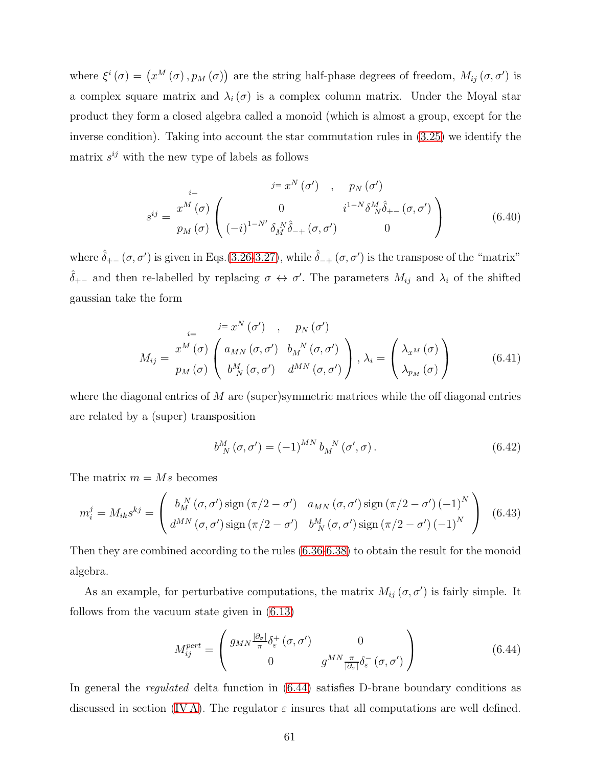where  $\xi^i(\sigma) = (x^M(\sigma), p_M(\sigma))$  are the string half-phase degrees of freedom,  $M_{ij}(\sigma, \sigma')$  is a complex square matrix and  $\lambda_i(\sigma)$  is a complex column matrix. Under the Moyal star product they form a closed algebra called a monoid (which is almost a group, except for the inverse condition). Taking into account the star commutation rules in [\(3.25\)](#page-20-0) we identify the matrix  $s^{ij}$  with the new type of labels as follows

$$
\begin{aligned}\n &\stackrel{i=}{\circ} x^N \left( \sigma' \right) \quad , \quad p_N \left( \sigma' \right) \\
 &\stackrel{i=}{\circ} x^M \left( \sigma \right) \left( \begin{array}{cc} 0 & i^{1-N} \delta^M_N \hat{\delta}_{+-} \left( \sigma, \sigma' \right) \\
 \left( -i \right)^{1-N'} \delta^N_M \hat{\delta}_{-+} \left( \sigma, \sigma' \right) & 0 \end{array} \right) \\
 &\tag{6.40}\n \end{aligned}
$$

where  $\hat{\delta}_{+-}(\sigma,\sigma')$  is given in Eqs.[\(3.26-](#page-20-1)[3.27\)](#page-20-2), while  $\hat{\delta}_{-+}(\sigma,\sigma')$  is the transpose of the "matrix"  $\hat{\delta}_{+-}$  and then re-labelled by replacing  $\sigma \leftrightarrow \sigma'$ . The parameters  $M_{ij}$  and  $\lambda_i$  of the shifted gaussian take the form

$$
M_{ij} = \frac{x^M(\sigma)}{p_M(\sigma)} \begin{pmatrix} i = x^N(\sigma') & , & p_N(\sigma') \\ a_{MN}(\sigma, \sigma') & b_M^N(\sigma, \sigma') \\ b_M^M(\sigma, \sigma') & d^{MN}(\sigma, \sigma') \end{pmatrix}, \lambda_i = \begin{pmatrix} \lambda_{x^M}(\sigma) \\ \lambda_{p_M}(\sigma) \end{pmatrix}
$$
(6.41)

where the diagonal entries of  $M$  are (super)symmetric matrices while the off diagonal entries are related by a (super) transposition

$$
b_N^M\left(\sigma,\sigma'\right) = (-1)^{MN} b_N^N\left(\sigma',\sigma\right). \tag{6.42}
$$

The matrix  $m = Ms$  becomes

$$
m_i^j = M_{ik}s^{kj} = \begin{pmatrix} b_M^N(\sigma, \sigma') \operatorname{sign}(\pi/2 - \sigma') & a_{MN}(\sigma, \sigma') \operatorname{sign}(\pi/2 - \sigma') (-1)^N \\ d^{MN}(\sigma, \sigma') \operatorname{sign}(\pi/2 - \sigma') & b_M^M(\sigma, \sigma') \operatorname{sign}(\pi/2 - \sigma') (-1)^N \end{pmatrix}
$$
(6.43)

Then they are combined according to the rules [\(6.36](#page-59-0)[-6.38\)](#page-59-1) to obtain the result for the monoid algebra.

As an example, for perturbative computations, the matrix  $M_{ij}(\sigma, \sigma')$  is fairly simple. It follows from the vacuum state given in [\(6.13\)](#page-55-0)

<span id="page-60-0"></span>
$$
M_{ij}^{pert} = \begin{pmatrix} g_{MN} \frac{|\partial_{\sigma}|}{\pi} \delta_{\varepsilon}^{+} (\sigma, \sigma') & 0\\ 0 & g^{MN} \frac{\pi}{|\partial_{\sigma}|} \delta_{\varepsilon}^{-} (\sigma, \sigma') \end{pmatrix}
$$
(6.44)

In general the regulated delta function in [\(6.44\)](#page-60-0) satisfies D-brane boundary conditions as discussed in section (IVA). The regulator  $\varepsilon$  insures that all computations are well defined.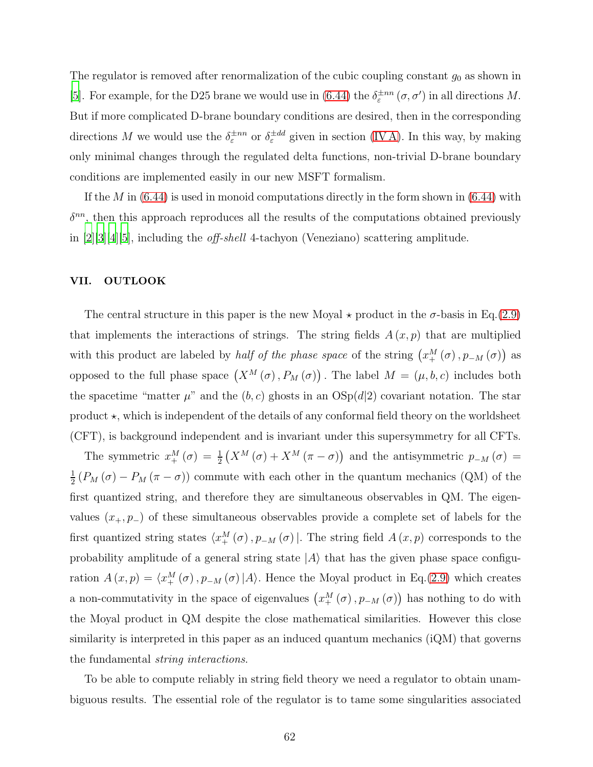The regulator is removed after renormalization of the cubic coupling constant  $g_0$  as shown in [\[5](#page-73-0)]. For example, for the D25 brane we would use in [\(6.44\)](#page-60-0) the  $\delta_{\varepsilon}^{\pm n n}(\sigma, \sigma')$  in all directions M. But if more complicated D-brane boundary conditions are desired, then in the corresponding directions M we would use the  $\delta_{\varepsilon}^{\pm n n}$  or  $\delta_{\varepsilon}^{\pm d d}$  given in section (IVA). In this way, by making only minimal changes through the regulated delta functions, non-trivial D-brane boundary conditions are implemented easily in our new MSFT formalism.

If the M in  $(6.44)$  is used in monoid computations directly in the form shown in  $(6.44)$  with  $\delta^{nn}$ , then this approach reproduces all the results of the computations obtained previously in [\[2\]](#page-72-1)[\[3](#page-72-2)][\[4\]](#page-72-3)[\[5\]](#page-73-0), including the off-shell 4-tachyon (Veneziano) scattering amplitude.

### VII. OUTLOOK

The central structure in this paper is the new Moyal  $\star$  product in the  $\sigma$ -basis in Eq.[\(2.9\)](#page-9-0) that implements the interactions of strings. The string fields  $A(x, p)$  that are multiplied with this product are labeled by *half of the phase space* of the string  $(x_+^M(\sigma), p_{-M}(\sigma))$  as opposed to the full phase space  $(X^M(\sigma), P_M(\sigma))$ . The label  $M = (\mu, b, c)$  includes both the spacetime "matter  $\mu$ " and the  $(b, c)$  ghosts in an  $OSp(d|2)$  covariant notation. The star product  $\star$ , which is independent of the details of any conformal field theory on the worldsheet (CFT), is background independent and is invariant under this supersymmetry for all CFTs.

The symmetric  $x_+^M(\sigma) = \frac{1}{2} (X^M(\sigma) + X^M(\pi - \sigma))$  and the antisymmetric  $p_{-M}(\sigma) =$ 1  $\frac{1}{2}(P_M(\sigma) - P_M(\pi - \sigma))$  commute with each other in the quantum mechanics (QM) of the first quantized string, and therefore they are simultaneous observables in QM. The eigenvalues  $(x_+, p_-)$  of these simultaneous observables provide a complete set of labels for the first quantized string states  $\langle x_+^M(\sigma), p_{-M}(\sigma) |$ . The string field  $A(x, p)$  corresponds to the probability amplitude of a general string state  $|A\rangle$  that has the given phase space configuration  $A(x,p) = \langle x_+^M(\sigma), p_{-M}(\sigma) | A \rangle$ . Hence the Moyal product in Eq.[\(2.9\)](#page-9-0) which creates a non-commutativity in the space of eigenvalues  $(x<sub>+</sub><sup>M</sup>(\sigma), p<sub>-M</sub>(\sigma))$  has nothing to do with the Moyal product in QM despite the close mathematical similarities. However this close similarity is interpreted in this paper as an induced quantum mechanics (iQM) that governs the fundamental string interactions.

To be able to compute reliably in string field theory we need a regulator to obtain unambiguous results. The essential role of the regulator is to tame some singularities associated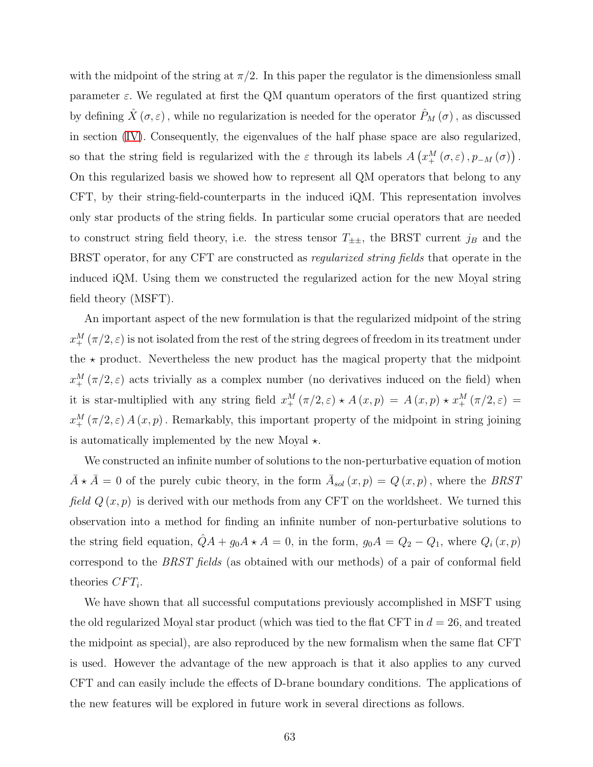with the midpoint of the string at  $\pi/2$ . In this paper the regulator is the dimensionless small parameter  $\varepsilon$ . We regulated at first the QM quantum operators of the first quantized string by defining  $\hat{X}(\sigma,\varepsilon)$ , while no regularization is needed for the operator  $\hat{P}_M(\sigma)$ , as discussed in section [\(IV\)](#page-23-0). Consequently, the eigenvalues of the half phase space are also regularized, so that the string field is regularized with the  $\varepsilon$  through its labels  $A\left(x_+^M(\sigma,\varepsilon), p_{-M}(\sigma)\right)$ . On this regularized basis we showed how to represent all QM operators that belong to any CFT, by their string-field-counterparts in the induced iQM. This representation involves only star products of the string fields. In particular some crucial operators that are needed to construct string field theory, i.e. the stress tensor  $T_{\pm\pm}$ , the BRST current  $j_B$  and the BRST operator, for any CFT are constructed as regularized string fields that operate in the induced iQM. Using them we constructed the regularized action for the new Moyal string field theory (MSFT).

An important aspect of the new formulation is that the regularized midpoint of the string  $x_{+}^{M}(\pi/2,\varepsilon)$  is not isolated from the rest of the string degrees of freedom in its treatment under the  $\star$  product. Nevertheless the new product has the magical property that the midpoint  $x_{+}^{M}(\pi/2,\varepsilon)$  acts trivially as a complex number (no derivatives induced on the field) when it is star-multiplied with any string field  $x_+^M(\pi/2, \varepsilon) \star A(x,p) = A(x,p) \star x_+^M(\pi/2, \varepsilon) =$  $x_+^M(\pi/2,\varepsilon) A(x,p)$ . Remarkably, this important property of the midpoint in string joining is automatically implemented by the new Moyal  $\star$ .

We constructed an infinite number of solutions to the non-perturbative equation of motion  $\bar{A} \star \bar{A} = 0$  of the purely cubic theory, in the form  $\bar{A}_{sol}(x,p) = Q(x,p)$ , where the BRST field  $Q(x, p)$  is derived with our methods from any CFT on the worldsheet. We turned this observation into a method for finding an infinite number of non-perturbative solutions to the string field equation,  $\hat{Q}A + g_0A \star A = 0$ , in the form,  $g_0A = Q_2 - Q_1$ , where  $Q_i(x, p)$ correspond to the BRST fields (as obtained with our methods) of a pair of conformal field theories  $CFT_i$ .

We have shown that all successful computations previously accomplished in MSFT using the old regularized Moyal star product (which was tied to the flat CFT in  $d = 26$ , and treated the midpoint as special), are also reproduced by the new formalism when the same flat CFT is used. However the advantage of the new approach is that it also applies to any curved CFT and can easily include the effects of D-brane boundary conditions. The applications of the new features will be explored in future work in several directions as follows.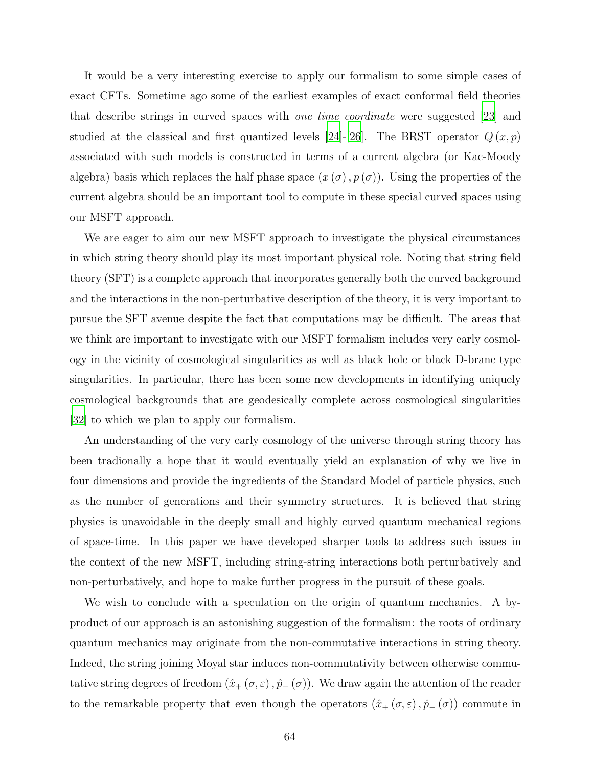It would be a very interesting exercise to apply our formalism to some simple cases of exact CFTs. Sometime ago some of the earliest examples of exact conformal field theories that describe strings in curved spaces with one time coordinate were suggested [\[23\]](#page-74-0) and studied at the classical and first quantized levels [\[24\]](#page-75-4)-[\[26\]](#page-75-3). The BRST operator  $Q(x, p)$ associated with such models is constructed in terms of a current algebra (or Kac-Moody algebra) basis which replaces the half phase space  $(x(\sigma), p(\sigma))$ . Using the properties of the current algebra should be an important tool to compute in these special curved spaces using our MSFT approach.

We are eager to aim our new MSFT approach to investigate the physical circumstances in which string theory should play its most important physical role. Noting that string field theory (SFT) is a complete approach that incorporates generally both the curved background and the interactions in the non-perturbative description of the theory, it is very important to pursue the SFT avenue despite the fact that computations may be difficult. The areas that we think are important to investigate with our MSFT formalism includes very early cosmology in the vicinity of cosmological singularities as well as black hole or black D-brane type singularities. In particular, there has been some new developments in identifying uniquely cosmological backgrounds that are geodesically complete across cosmological singularities [\[32](#page-76-2)] to which we plan to apply our formalism.

An understanding of the very early cosmology of the universe through string theory has been tradionally a hope that it would eventually yield an explanation of why we live in four dimensions and provide the ingredients of the Standard Model of particle physics, such as the number of generations and their symmetry structures. It is believed that string physics is unavoidable in the deeply small and highly curved quantum mechanical regions of space-time. In this paper we have developed sharper tools to address such issues in the context of the new MSFT, including string-string interactions both perturbatively and non-perturbatively, and hope to make further progress in the pursuit of these goals.

We wish to conclude with a speculation on the origin of quantum mechanics. A byproduct of our approach is an astonishing suggestion of the formalism: the roots of ordinary quantum mechanics may originate from the non-commutative interactions in string theory. Indeed, the string joining Moyal star induces non-commutativity between otherwise commutative string degrees of freedom  $(\hat{x}_+(\sigma,\varepsilon), \hat{p}_-(\sigma))$ . We draw again the attention of the reader to the remarkable property that even though the operators  $(\hat{x}_+(\sigma,\varepsilon), \hat{p}_-(\sigma))$  commute in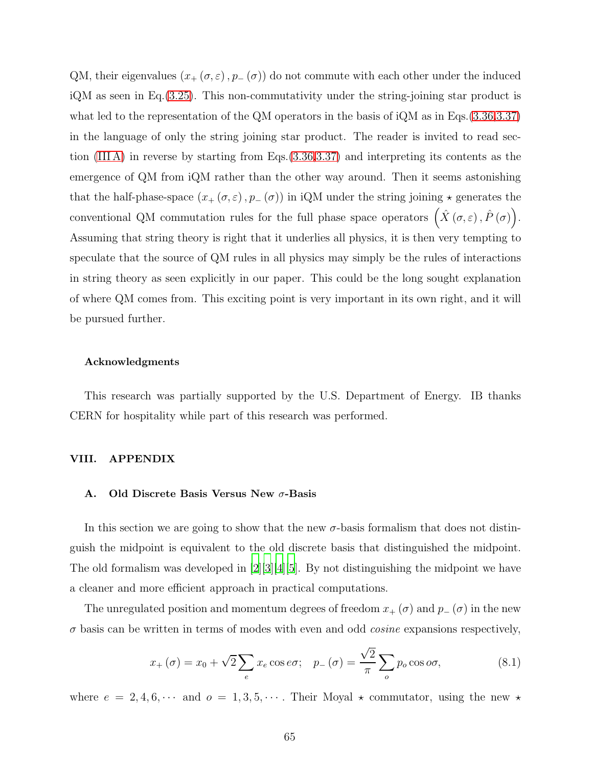QM, their eigenvalues  $(x_+(\sigma,\varepsilon), p_-(\sigma))$  do not commute with each other under the induced iQM as seen in Eq.[\(3.25\)](#page-20-0). This non-commutativity under the string-joining star product is what led to the representation of the QM operators in the basis of iQM as in Eqs.[\(3.36,](#page-22-0)[3.37\)](#page-22-1) in the language of only the string joining star product. The reader is invited to read section [\(III A\)](#page-16-0) in reverse by starting from Eqs.[\(3.36](#page-22-0)[,3.37\)](#page-22-1) and interpreting its contents as the emergence of QM from iQM rather than the other way around. Then it seems astonishing that the half-phase-space  $(x_+(\sigma,\varepsilon), p_-(\sigma))$  in iQM under the string joining  $\star$  generates the conventional QM commutation rules for the full phase space operators  $(\hat{X}(\sigma,\varepsilon), \hat{P}(\sigma))$ . Assuming that string theory is right that it underlies all physics, it is then very tempting to speculate that the source of QM rules in all physics may simply be the rules of interactions in string theory as seen explicitly in our paper. This could be the long sought explanation of where QM comes from. This exciting point is very important in its own right, and it will be pursued further.

#### Acknowledgments

This research was partially supported by the U.S. Department of Energy. IB thanks CERN for hospitality while part of this research was performed.

### VIII. APPENDIX

### <span id="page-64-0"></span>A. Old Discrete Basis Versus New σ-Basis

In this section we are going to show that the new  $\sigma$ -basis formalism that does not distinguish the midpoint is equivalent to the old discrete basis that distinguished the midpoint. The old formalism was developed in [\[2](#page-72-1)][\[3\]](#page-72-2)[\[4\]](#page-72-3)[\[5](#page-73-0)]. By not distinguishing the midpoint we have a cleaner and more efficient approach in practical computations.

The unregulated position and momentum degrees of freedom  $x_+(\sigma)$  and  $p_-(\sigma)$  in the new  $\sigma$  basis can be written in terms of modes with even and odd *cosine* expansions respectively,

<span id="page-64-1"></span>
$$
x_+(\sigma) = x_0 + \sqrt{2} \sum_e x_e \cos e\sigma; \quad p_-(\sigma) = \frac{\sqrt{2}}{\pi} \sum_o p_o \cos o\sigma,
$$
 (8.1)

where  $e = 2, 4, 6, \cdots$  and  $o = 1, 3, 5, \cdots$ . Their Moyal  $\star$  commutator, using the new  $\star$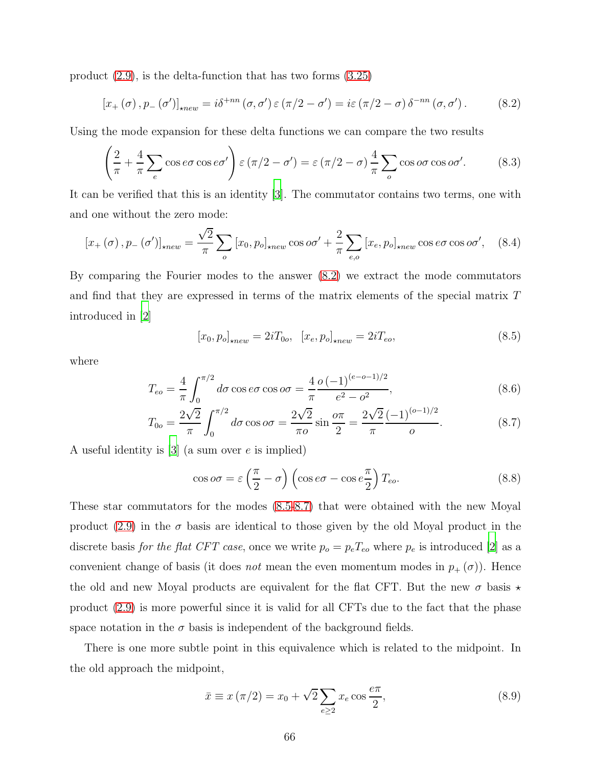product [\(2.9\)](#page-9-0), is the delta-function that has two forms [\(3.25\)](#page-20-0)

<span id="page-65-0"></span>
$$
[x_{+}(\sigma), p_{-}(\sigma')]_{\star new} = i\delta^{+nn}(\sigma, \sigma') \varepsilon (\pi/2 - \sigma') = i\varepsilon (\pi/2 - \sigma) \delta^{-nn}(\sigma, \sigma'). \tag{8.2}
$$

Using the mode expansion for these delta functions we can compare the two results

$$
\left(\frac{2}{\pi} + \frac{4}{\pi} \sum_{e} \cos e\sigma \cos e\sigma'\right) \varepsilon (\pi/2 - \sigma') = \varepsilon (\pi/2 - \sigma) \frac{4}{\pi} \sum_{o} \cos o\sigma \cos o\sigma'. \tag{8.3}
$$

It can be verified that this is an identity [\[3\]](#page-72-2). The commutator contains two terms, one with and one without the zero mode:

<span id="page-65-4"></span>
$$
\left[x_{+}\left(\sigma\right), p_{-}\left(\sigma'\right)\right]_{\star new} = \frac{\sqrt{2}}{\pi} \sum_{o} \left[x_{0}, p_{o}\right]_{\star new} \cos o\sigma' + \frac{2}{\pi} \sum_{e,o} \left[x_{e}, p_{o}\right]_{\star new} \cos e\sigma \cos o\sigma', \quad (8.4)
$$

By comparing the Fourier modes to the answer [\(8.2\)](#page-65-0) we extract the mode commutators and find that they are expressed in terms of the matrix elements of the special matrix T introduced in [\[2](#page-72-1)]

<span id="page-65-5"></span><span id="page-65-2"></span><span id="page-65-1"></span>
$$
[x_0, p_o]_{\star new} = 2iT_{0o}, \ [x_e, p_o]_{\star new} = 2iT_{eo}, \tag{8.5}
$$

where

$$
T_{eo} = \frac{4}{\pi} \int_0^{\pi/2} d\sigma \cos e \sigma \cos \omega \sigma = \frac{4}{\pi} \frac{o(-1)^{(e-o-1)/2}}{e^2 - o^2},
$$
\n(8.6)

$$
T_{0o} = \frac{2\sqrt{2}}{\pi} \int_0^{\pi/2} d\sigma \cos \omega \sigma = \frac{2\sqrt{2}}{\pi o} \sin \frac{\omega \pi}{2} = \frac{2\sqrt{2}}{\pi} \frac{(-1)^{(o-1)/2}}{o}.
$$
 (8.7)

A useful identity is  $[3]$  (a sum over e is implied)

<span id="page-65-3"></span>
$$
\cos \omega \sigma = \varepsilon \left(\frac{\pi}{2} - \sigma\right) \left(\cos e\sigma - \cos e\frac{\pi}{2}\right) T_{eo}.\tag{8.8}
$$

These star commutators for the modes [\(8.5](#page-65-1)[-8.7\)](#page-65-2) that were obtained with the new Moyal product [\(2.9\)](#page-9-0) in the  $\sigma$  basis are identical to those given by the old Moyal product in the discrete basis for the flat CFT case, once we write  $p_o = p_eT_{eo}$  where  $p_e$  is introduced [\[2\]](#page-72-1) as a convenient change of basis (it does *not* mean the even momentum modes in  $p_+(\sigma)$ ). Hence the old and new Moyal products are equivalent for the flat CFT. But the new  $\sigma$  basis  $\star$ product [\(2.9\)](#page-9-0) is more powerful since it is valid for all CFTs due to the fact that the phase space notation in the  $\sigma$  basis is independent of the background fields.

There is one more subtle point in this equivalence which is related to the midpoint. In the old approach the midpoint,

$$
\bar{x} \equiv x(\pi/2) = x_0 + \sqrt{2} \sum_{e \ge 2} x_e \cos \frac{e\pi}{2},
$$
\n(8.9)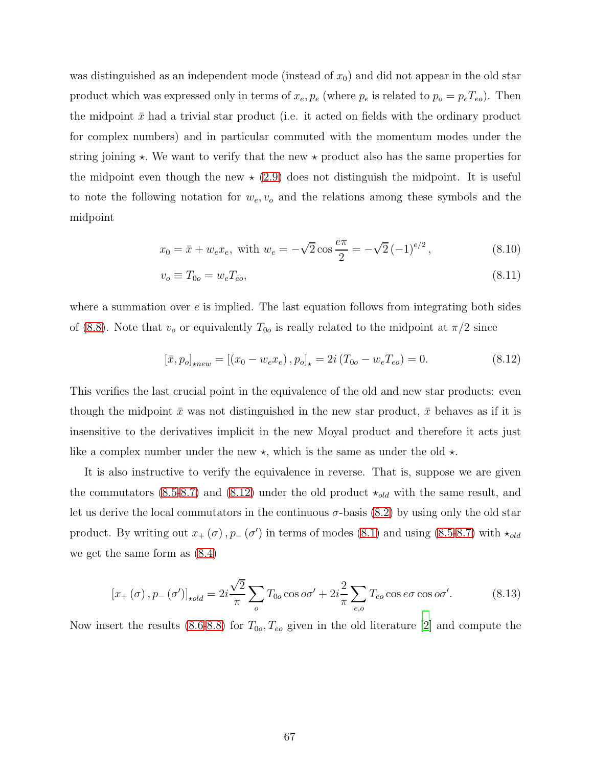was distinguished as an independent mode (instead of  $x_0$ ) and did not appear in the old star product which was expressed only in terms of  $x_e, p_e$  (where  $p_e$  is related to  $p_o = p_e T_{eo}$ ). Then the midpoint  $\bar{x}$  had a trivial star product (i.e. it acted on fields with the ordinary product for complex numbers) and in particular commuted with the momentum modes under the string joining  $\star$ . We want to verify that the new  $\star$  product also has the same properties for the midpoint even though the new  $\star$  [\(2.9\)](#page-9-0) does not distinguish the midpoint. It is useful to note the following notation for  $w_e, v_o$  and the relations among these symbols and the midpoint

<span id="page-66-0"></span>
$$
x_0 = \bar{x} + w_e x_e
$$
, with  $w_e = -\sqrt{2} \cos \frac{e\pi}{2} = -\sqrt{2} (-1)^{e/2}$ , (8.10)

$$
v_o \equiv T_{0o} = w_e T_{eo},\tag{8.11}
$$

where a summation over  $e$  is implied. The last equation follows from integrating both sides of [\(8.8\)](#page-65-3). Note that  $v<sub>o</sub>$  or equivalently  $T<sub>0o</sub>$  is really related to the midpoint at  $\pi/2$  since

<span id="page-66-1"></span>
$$
[\bar{x}, p_o]_{\star new} = [(x_0 - w_e x_e), p_o]_{\star} = 2i (T_{0o} - w_e T_{eo}) = 0.
$$
 (8.12)

This verifies the last crucial point in the equivalence of the old and new star products: even though the midpoint  $\bar{x}$  was not distinguished in the new star product,  $\bar{x}$  behaves as if it is insensitive to the derivatives implicit in the new Moyal product and therefore it acts just like a complex number under the new  $\star$ , which is the same as under the old  $\star$ .

It is also instructive to verify the equivalence in reverse. That is, suppose we are given the commutators [\(8.5-](#page-65-1)[8.7\)](#page-65-2) and [\(8.12\)](#page-66-1) under the old product  $\star_{old}$  with the same result, and let us derive the local commutators in the continuous  $\sigma$ -basis [\(8.2\)](#page-65-0) by using only the old star product. By writing out  $x_+(\sigma)$ ,  $p_-(\sigma')$  in terms of modes [\(8.1\)](#page-64-1) and using [\(8.5-](#page-65-1)[8.7\)](#page-65-2) with  $\star_{old}$ we get the same form as [\(8.4\)](#page-65-4)

$$
[x_+(\sigma), p_-(\sigma')]_{\star old} = 2i\frac{\sqrt{2}}{\pi} \sum_o T_{0o} \cos o\sigma' + 2i\frac{2}{\pi} \sum_{e,o} T_{eo} \cos e\sigma \cos o\sigma'. \tag{8.13}
$$

Now insert the results [\(8.6-](#page-65-5)[8.8\)](#page-65-3) for  $T_{0o}$ ,  $T_{eo}$  given in the old literature [\[2](#page-72-1)] and compute the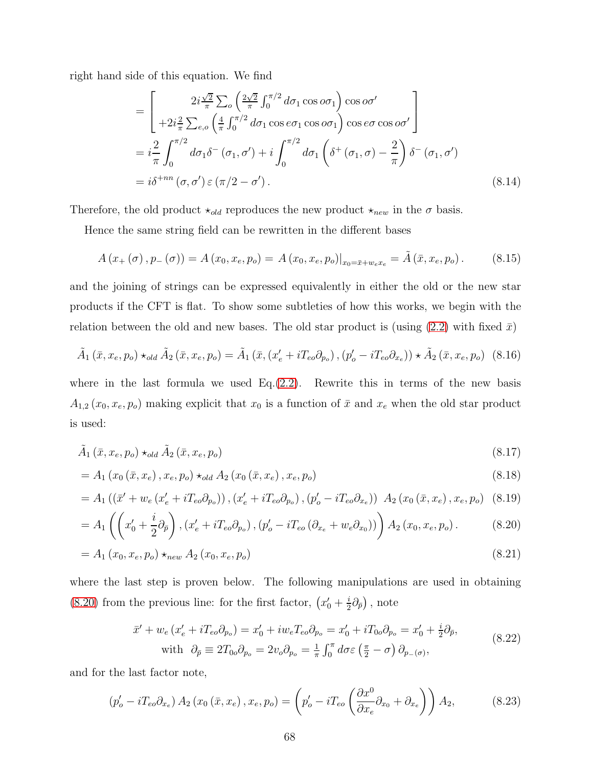right hand side of this equation. We find

$$
= \left[ \begin{array}{c} 2i\frac{\sqrt{2}}{\pi} \sum_{o} \left( \frac{2\sqrt{2}}{\pi} \int_{0}^{\pi/2} d\sigma_{1} \cos o\sigma_{1} \right) \cos o\sigma' \\ +2i\frac{2}{\pi} \sum_{e,o} \left( \frac{4}{\pi} \int_{0}^{\pi/2} d\sigma_{1} \cos e\sigma_{1} \cos o\sigma_{1} \right) \cos e\sigma \cos o\sigma' \end{array} \right]
$$
  
=  $i\frac{2}{\pi} \int_{0}^{\pi/2} d\sigma_{1} \delta^{-} (\sigma_{1}, \sigma') + i \int_{0}^{\pi/2} d\sigma_{1} \left( \delta^{+} (\sigma_{1}, \sigma) - \frac{2}{\pi} \right) \delta^{-} (\sigma_{1}, \sigma')$   
=  $i\delta^{+nn} (\sigma, \sigma') \in (\pi/2 - \sigma').$  (8.14)

Therefore, the old product  $\star_{old}$  reproduces the new product  $\star_{new}$  in the  $\sigma$  basis.

Hence the same string field can be rewritten in the different bases

<span id="page-67-5"></span>
$$
A(x_{+}(\sigma), p_{-}(\sigma)) = A(x_{0}, x_{e}, p_{o}) = A(x_{0}, x_{e}, p_{o})|_{x_{0} = \bar{x} + w_{e}x_{e}} = \tilde{A}(\bar{x}, x_{e}, p_{o}). \tag{8.15}
$$

and the joining of strings can be expressed equivalently in either the old or the new star products if the CFT is flat. To show some subtleties of how this works, we begin with the relation between the old and new bases. The old star product is (using  $(2.2)$  with fixed  $\bar{x}$ )

$$
\tilde{A}_1\left(\bar{x}, x_e, p_o\right) \star_{old} \tilde{A}_2\left(\bar{x}, x_e, p_o\right) = \tilde{A}_1\left(\bar{x}, \left(x'_e + iT_{eo}\partial_{p_o}\right), \left(p'_o - iT_{eo}\partial_{x_e}\right)\right) \star \tilde{A}_2\left(\bar{x}, x_e, p_o\right) \tag{8.16}
$$

where in the last formula we used  $Eq.(2.2)$  $Eq.(2.2)$ . Rewrite this in terms of the new basis  $A_{1,2}(x_0, x_e, p_o)$  making explicit that  $x_0$  is a function of  $\bar{x}$  and  $x_e$  when the old star product is used:

$$
\tilde{A}_1(\bar{x}, x_e, p_o) \star_{old} \tilde{A}_2(\bar{x}, x_e, p_o) \tag{8.17}
$$

$$
= A_1(x_0(\bar{x}, x_e), x_e, p_o) \star_{old} A_2(x_0(\bar{x}, x_e), x_e, p_o)
$$
\n(8.18)

$$
= A_1 \left( \left( \bar{x}' + w_e \left( x'_e + i T_{eo} \partial_{p_o} \right) \right), \left( x'_e + i T_{eo} \partial_{p_o} \right), \left( p'_o - i T_{eo} \partial_{x_e} \right) \right) A_2 \left( x_0 \left( \bar{x}, x_e \right), x_e, p_o \right) \tag{8.19}
$$

$$
=A_1\left(\left(x'_0+\frac{i}{2}\partial_{\bar{p}}\right),\left(x'_e+iT_{eo}\partial_{p_o}\right),\left(p'_o-iT_{eo}\left(\partial_{x_e}+w_e\partial_{x_0}\right)\right)\right)A_2\left(x_0,x_e,p_o\right). \hspace{1cm} (8.20)
$$

$$
= A_1(x_0, x_e, p_o) \star_{new} A_2(x_0, x_e, p_o)
$$
\n(8.21)

where the last step is proven below. The following manipulations are used in obtaining [\(8.20\)](#page-67-0) from the previous line: for the first factor,  $\left(x'_0 + \frac{i}{2}\right)$  $\frac{i}{2}\partial_{\bar{p}}\big)$ , note

<span id="page-67-4"></span><span id="page-67-3"></span><span id="page-67-2"></span><span id="page-67-0"></span>
$$
\bar{x}' + w_e (x'_e + iT_{eo} \partial_{p_o}) = x'_0 + i w_e T_{eo} \partial_{p_o} = x'_0 + i T_{0o} \partial_{p_o} = x'_0 + \frac{i}{2} \partial_{\bar{p}},
$$
  
with  $\partial_{\bar{p}} \equiv 2T_{0o} \partial_{p_o} = 2v_o \partial_{p_o} = \frac{1}{\pi} \int_0^{\pi} d\sigma \varepsilon \left(\frac{\pi}{2} - \sigma\right) \partial_{p_{-}(\sigma)},$  (8.22)

and for the last factor note,

<span id="page-67-1"></span>
$$
\left(p_o' - i T_{eo} \partial_{x_e}\right) A_2 \left(x_0 \left(\bar{x}, x_e\right), x_e, p_o\right) = \left(p_o' - i T_{eo} \left(\frac{\partial x^0}{\partial x_e} \partial_{x_0} + \partial_{x_e}\right)\right) A_2,\tag{8.23}
$$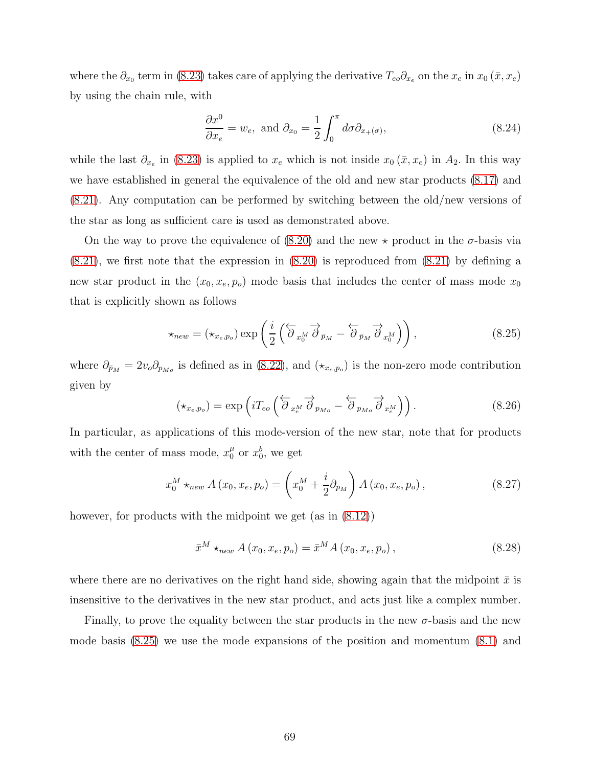where the  $\partial_{x_0}$  term in [\(8.23\)](#page-67-1) takes care of applying the derivative  $T_{eo}\partial_{x_e}$  on the  $x_e$  in  $x_0(\bar{x}, x_e)$ by using the chain rule, with

$$
\frac{\partial x^0}{\partial x_e} = w_e, \text{ and } \partial_{x_0} = \frac{1}{2} \int_0^{\pi} d\sigma \partial_{x_+(\sigma)}, \tag{8.24}
$$

while the last  $\partial_{x_e}$  in [\(8.23\)](#page-67-1) is applied to  $x_e$  which is not inside  $x_0(\bar{x}, x_e)$  in  $A_2$ . In this way we have established in general the equivalence of the old and new star products [\(8.17\)](#page-67-2) and [\(8.21\)](#page-67-3). Any computation can be performed by switching between the old/new versions of the star as long as sufficient care is used as demonstrated above.

On the way to prove the equivalence of  $(8.20)$  and the new  $\star$  product in the  $\sigma$ -basis via  $(8.21)$ , we first note that the expression in  $(8.20)$  is reproduced from  $(8.21)$  by defining a new star product in the  $(x_0, x_e, p_o)$  mode basis that includes the center of mass mode  $x_0$ that is explicitly shown as follows

<span id="page-68-0"></span>
$$
\star_{new} = (\star_{x_e, p_o}) \exp\left(\frac{i}{2} \left(\overleftarrow{\partial}_{x_0^M} \overrightarrow{\partial}_{\bar{p}_M} - \overleftarrow{\partial}_{\bar{p}_M} \overrightarrow{\partial}_{x_0^M}\right)\right),\tag{8.25}
$$

where  $\partial_{\bar{p}_M} = 2v_o \partial_{p_{M_o}}$  is defined as in [\(8.22\)](#page-67-4), and  $(\star_{x_e, p_o})$  is the non-zero mode contribution given by

<span id="page-68-1"></span>
$$
(\star_{x_e, p_o}) = \exp\left(i T_{eo} \left(\overleftarrow{\partial}_{x_e^M} \overrightarrow{\partial}_{p_{Mo}} - \overleftarrow{\partial}_{p_{Mo}} \overrightarrow{\partial}_{x_e^M}\right)\right). \tag{8.26}
$$

In particular, as applications of this mode-version of the new star, note that for products with the center of mass mode,  $x_0^{\mu}$  or  $x_0^b$ , we get

$$
x_0^M \star_{new} A(x_0, x_e, p_o) = \left(x_0^M + \frac{i}{2} \partial_{\bar{p}_M}\right) A(x_0, x_e, p_o), \qquad (8.27)
$$

however, for products with the midpoint we get (as in  $(8.12)$ )

$$
\bar{x}^{M} \star_{new} A(x_0, x_e, p_o) = \bar{x}^{M} A(x_0, x_e, p_o), \qquad (8.28)
$$

where there are no derivatives on the right hand side, showing again that the midpoint  $\bar{x}$  is insensitive to the derivatives in the new star product, and acts just like a complex number.

Finally, to prove the equality between the star products in the new  $\sigma$ -basis and the new mode basis [\(8.25\)](#page-68-0) we use the mode expansions of the position and momentum [\(8.1\)](#page-64-1) and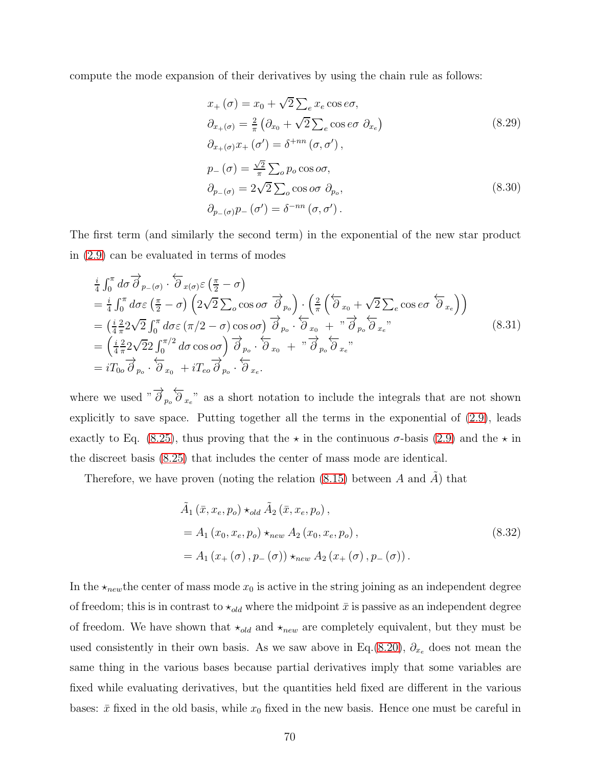compute the mode expansion of their derivatives by using the chain rule as follows:

$$
x_{+}(\sigma) = x_{0} + \sqrt{2} \sum_{e} x_{e} \cos e\sigma,
$$
  
\n
$$
\partial_{x_{+}(\sigma)} = \frac{2}{\pi} \left( \partial_{x_{0}} + \sqrt{2} \sum_{e} \cos e\sigma \partial_{x_{e}} \right)
$$
  
\n
$$
\partial_{x_{+}(\sigma)} x_{+}(\sigma') = \delta^{+nn} (\sigma, \sigma'),
$$
  
\n
$$
p_{-}(\sigma) = \frac{\sqrt{2}}{\pi} \sum_{o} p_{o} \cos o\sigma,
$$
  
\n
$$
\partial_{p_{-}(\sigma)} = 2\sqrt{2} \sum_{o} \cos o\sigma \partial_{p_{o}},
$$
  
\n
$$
\partial_{p_{-}(\sigma)} p_{-}(\sigma') = \delta^{-nn} (\sigma, \sigma').
$$
\n(8.30)

The first term (and similarly the second term) in the exponential of the new star product in [\(2.9\)](#page-9-0) can be evaluated in terms of modes

$$
\frac{i}{4} \int_0^{\pi} d\sigma \overrightarrow{\partial}_{p_{-}(\sigma)} \cdot \overleftarrow{\partial}_{x(\sigma)} \varepsilon \left(\frac{\pi}{2} - \sigma\right)
$$
\n
$$
= \frac{i}{4} \int_0^{\pi} d\sigma \varepsilon \left(\frac{\pi}{2} - \sigma\right) \left(2\sqrt{2} \sum_o \cos o\sigma \overrightarrow{\partial}_{p_o}\right) \cdot \left(\frac{2}{\pi} \left(\overleftarrow{\partial}_{x_0} + \sqrt{2} \sum_e \cos e\sigma \overleftarrow{\partial}_{x_e}\right)\right)
$$
\n
$$
= \left(\frac{i}{4} \frac{2}{\pi} 2\sqrt{2} \int_0^{\pi} d\sigma \varepsilon \left(\pi/2 - \sigma\right) \cos o\sigma \right) \overrightarrow{\partial}_{p_o} \cdot \overleftarrow{\partial}_{x_0} + \sqrt[n]{\overrightarrow{\partial}_{p_o}} \overleftarrow{\partial}_{x_e},
$$
\n
$$
= \left(\frac{i}{4} \frac{2}{\pi} 2\sqrt{2} 2 \int_0^{\pi/2} d\sigma \cos o\sigma \right) \overrightarrow{\partial}_{p_o} \cdot \overleftarrow{\partial}_{x_0} + \sqrt[n]{\overrightarrow{\partial}_{p_o}} \overleftarrow{\partial}_{x_e},
$$
\n
$$
= iT_{0o} \overrightarrow{\partial}_{p_o} \cdot \overleftarrow{\partial}_{x_0} + iT_{eo} \overrightarrow{\partial}_{p_o} \cdot \overleftarrow{\partial}_{x_e}.
$$
\n(8.31)

where we used  $\sqrt[n]{\partial}_{p_o} \overleftarrow{\partial}_{x_e}$  as a short notation to include the integrals that are not shown explicitly to save space. Putting together all the terms in the exponential of [\(2.9\)](#page-9-0), leads exactly to Eq. [\(8.25\)](#page-68-0), thus proving that the  $\star$  in the continuous  $\sigma$ -basis [\(2.9\)](#page-9-0) and the  $\star$  in the discreet basis [\(8.25\)](#page-68-0) that includes the center of mass mode are identical.

Therefore, we have proven (noting the relation [\(8.15\)](#page-67-5) between  $A$  and  $\tilde{A}$ ) that

$$
\tilde{A}_{1} (\bar{x}, x_{e}, p_{o}) \star_{old} \tilde{A}_{2} (\bar{x}, x_{e}, p_{o}), \n= A_{1} (x_{0}, x_{e}, p_{o}) \star_{new} A_{2} (x_{0}, x_{e}, p_{o}), \n= A_{1} (x_{+} (\sigma), p_{-} (\sigma)) \star_{new} A_{2} (x_{+} (\sigma), p_{-} (\sigma)).
$$
\n(8.32)

In the  $\star_{new}$  the center of mass mode  $x_0$  is active in the string joining as an independent degree of freedom; this is in contrast to  $\star_{old}$  where the midpoint  $\bar{x}$  is passive as an independent degree of freedom. We have shown that  $\star_{old}$  and  $\star_{new}$  are completely equivalent, but they must be used consistently in their own basis. As we saw above in Eq.[\(8.20\)](#page-67-0),  $\partial_{x_e}$  does not mean the same thing in the various bases because partial derivatives imply that some variables are fixed while evaluating derivatives, but the quantities held fixed are different in the various bases:  $\bar{x}$  fixed in the old basis, while  $x_0$  fixed in the new basis. Hence one must be careful in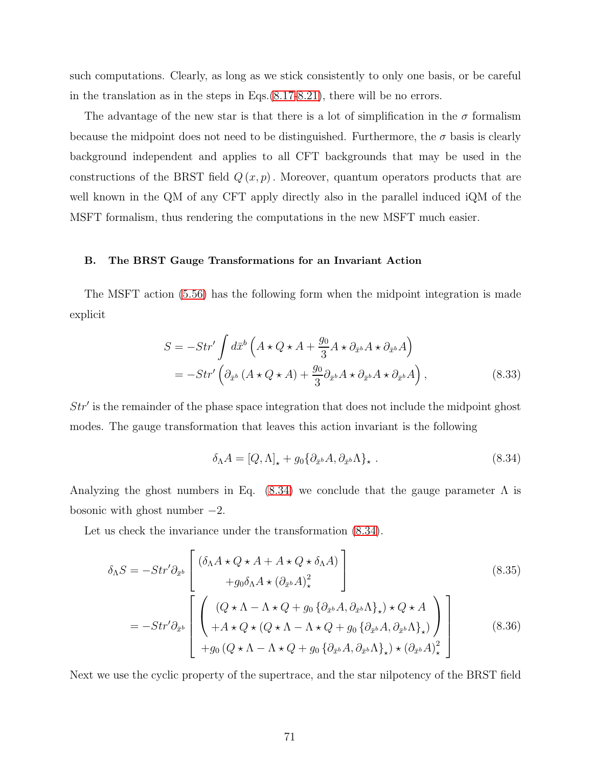such computations. Clearly, as long as we stick consistently to only one basis, or be careful in the translation as in the steps in Eqs.[\(8.17-](#page-67-2)[8.21\)](#page-67-3), there will be no errors.

The advantage of the new star is that there is a lot of simplification in the  $\sigma$  formalism because the midpoint does not need to be distinguished. Furthermore, the  $\sigma$  basis is clearly background independent and applies to all CFT backgrounds that may be used in the constructions of the BRST field  $Q(x, p)$ . Moreover, quantum operators products that are well known in the QM of any CFT apply directly also in the parallel induced iQM of the MSFT formalism, thus rendering the computations in the new MSFT much easier.

# B. The BRST Gauge Transformations for an Invariant Action

The MSFT action [\(5.56\)](#page-44-0) has the following form when the midpoint integration is made explicit

$$
S = -Str' \int d\bar{x}^{b} \left( A \star Q \star A + \frac{g_0}{3} A \star \partial_{\bar{x}^{b}} A \star \partial_{\bar{x}^{b}} A \right)
$$
  
= 
$$
-Str' \left( \partial_{\bar{x}^{b}} \left( A \star Q \star A \right) + \frac{g_0}{3} \partial_{\bar{x}^{b}} A \star \partial_{\bar{x}^{b}} A \star \partial_{\bar{x}^{b}} A \right),
$$
(8.33)

Str′ is the remainder of the phase space integration that does not include the midpoint ghost modes. The gauge transformation that leaves this action invariant is the following

<span id="page-70-0"></span>
$$
\delta_{\Lambda} A = [Q, \Lambda]_{\star} + g_0 \{ \partial_{\bar{x}^b} A, \partial_{\bar{x}^b} \Lambda \}_{\star} . \tag{8.34}
$$

Analyzing the ghost numbers in Eq.  $(8.34)$  we conclude that the gauge parameter  $\Lambda$  is bosonic with ghost number  $-2$ .

Let us check the invariance under the transformation  $(8.34)$ .

$$
\delta_{\Lambda}S = -Str'\partial_{\bar{x}^{b}} \begin{bmatrix}\n(\delta_{\Lambda}A \star Q \star A + A \star Q \star \delta_{\Lambda}A) \\
+ g_{0}\delta_{\Lambda}A \star (\partial_{\bar{x}^{b}}A)_{\star}^{2}\n\end{bmatrix}
$$
\n(8.35)\n
$$
= -Str'\partial_{\bar{x}^{b}} \begin{bmatrix}\n(Q \star \Lambda - \Lambda \star Q + g_{0} \{\partial_{\bar{x}^{b}}A, \partial_{\bar{x}^{b}}\Lambda\}_{\star}) \star Q \star A \\
+ A \star Q \star (Q \star \Lambda - \Lambda \star Q + g_{0} \{\partial_{\bar{x}^{b}}A, \partial_{\bar{x}^{b}}\Lambda\}_{\star})\}\n\end{bmatrix}
$$
\n(8.36)\n
$$
+ g_{0} (Q \star \Lambda - \Lambda \star Q + g_{0} \{\partial_{\bar{x}^{b}}A, \partial_{\bar{x}^{b}}\Lambda\}_{\star}) \star (\partial_{\bar{x}^{b}}A)_{\star}^{2}\n\end{bmatrix}
$$

Next we use the cyclic property of the supertrace, and the star nilpotency of the BRST field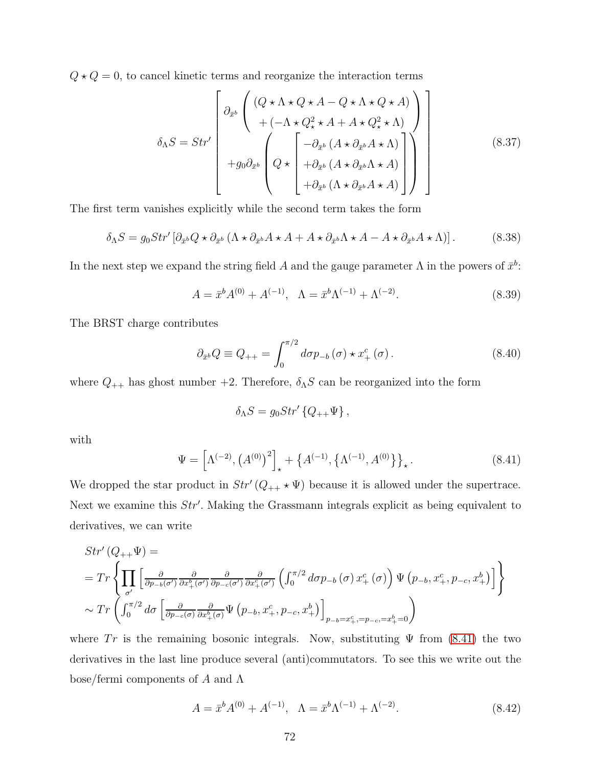$Q \star Q = 0$ , to cancel kinetic terms and reorganize the interaction terms

$$
\delta_{\Lambda}S = Str' \left[ \begin{array}{c} \left( (Q \star \Lambda \star Q \star A - Q \star \Lambda \star Q \star A) \right) \\ + \left( -\Lambda \star Q_{\star}^{2} \star A + A \star Q_{\star}^{2} \star \Lambda \right) \\ + g_{0} \partial_{\bar{x}^{b}} \left( Q \star \left[ -\partial_{\bar{x}^{b}} \left( A \star \partial_{\bar{x}^{b}} A \star \Lambda \right) \right] \\ + g_{0} \partial_{\bar{x}^{b}} \left( Q \star \left[ +\partial_{\bar{x}^{b}} \left( A \star \partial_{\bar{x}^{b}} \Lambda \star A \right) \right] \right) \\ + \partial_{\bar{x}^{b}} \left( \Lambda \star \partial_{\bar{x}^{b}} A \star A \right) \right] \end{array} \right] \tag{8.37}
$$

The first term vanishes explicitly while the second term takes the form

$$
\delta_{\Lambda}S = g_0 Str' \left[ \partial_{\bar{x}^b} Q \star \partial_{\bar{x}^b} \left( \Lambda \star \partial_{\bar{x}^b} A \star A + A \star \partial_{\bar{x}^b} \Lambda \star A - A \star \partial_{\bar{x}^b} A \star \Lambda \right) \right]. \tag{8.38}
$$

In the next step we expand the string field A and the gauge parameter  $\Lambda$  in the powers of  $\bar{x}^b$ :

$$
A = \bar{x}^{b} A^{(0)} + A^{(-1)}, \quad \Lambda = \bar{x}^{b} \Lambda^{(-1)} + \Lambda^{(-2)}.
$$
\n(8.39)

The BRST charge contributes

$$
\partial_{\bar{x}^b} Q \equiv Q_{++} = \int_0^{\pi/2} d\sigma p_{-b}(\sigma) \star x^c_+(\sigma). \tag{8.40}
$$

where  $Q_{++}$  has ghost number +2. Therefore,  $\delta_{\Lambda}S$  can be reorganized into the form

$$
\delta_{\Lambda}S = g_0 Str' \left\{Q_{++}\Psi\right\},\,
$$

with

<span id="page-71-0"></span>
$$
\Psi = \left[ \Lambda^{(-2)}, \left( A^{(0)} \right)^2 \right]_{\star} + \left\{ A^{(-1)}, \left\{ \Lambda^{(-1)}, A^{(0)} \right\} \right\}_{\star}.
$$
\n(8.41)

We dropped the star product in  $Str'(Q_{++} \star \Psi)$  because it is allowed under the supertrace. Next we examine this  $Str'$ . Making the Grassmann integrals explicit as being equivalent to derivatives, we can write

$$
Str'(Q_{++}\Psi) =
$$
\n
$$
= Tr \left\{ \prod_{\sigma'} \left[ \frac{\partial}{\partial p_{-b}(\sigma')} \frac{\partial}{\partial x_{+}^{b}(\sigma')} \frac{\partial}{\partial p_{-c}(\sigma')} \frac{\partial}{\partial x_{+}^{c}(\sigma')} \left( \int_{0}^{\pi/2} d\sigma p_{-b}(\sigma) x_{+}^{c}(\sigma) \right) \Psi (p_{-b}, x_{+}^{c}, p_{-c}, x_{+}^{b}) \right] \right\}
$$
\n
$$
\sim Tr \left( \int_{0}^{\pi/2} d\sigma \left[ \frac{\partial}{\partial p_{-c}(\sigma)} \frac{\partial}{\partial x_{+}^{b}(\sigma)} \Psi (p_{-b}, x_{+}^{c}, p_{-c}, x_{+}^{b}) \right]_{p_{-b} = x_{+}^{c}, = p_{-c}, = x_{+}^{b} = 0} \right)
$$

where Tr is the remaining bosonic integrals. Now, substituting  $\Psi$  from [\(8.41\)](#page-71-0) the two derivatives in the last line produce several (anti)commutators. To see this we write out the bose/fermi components of A and  $\Lambda$ 

$$
A = \bar{x}^{b} A^{(0)} + A^{(-1)}, \quad \Lambda = \bar{x}^{b} \Lambda^{(-1)} + \Lambda^{(-2)}.
$$
\n(8.42)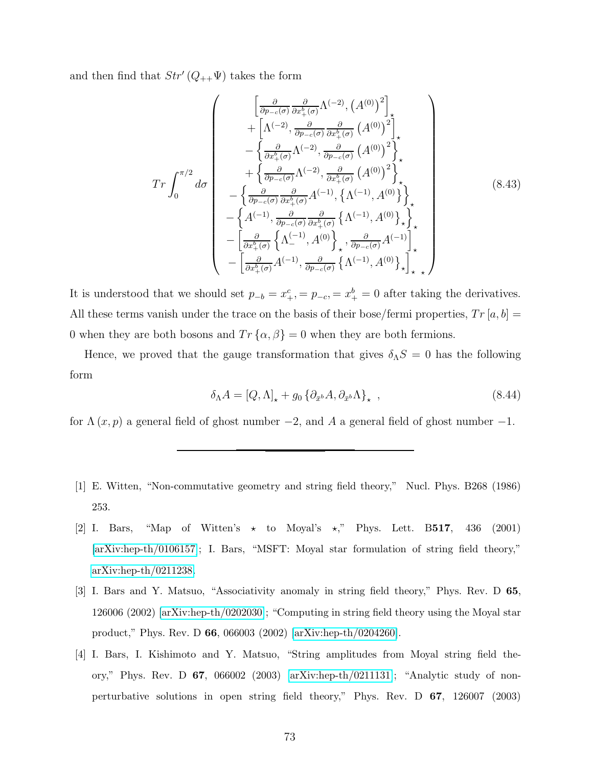and then find that  $Str'(Q_{++}\Psi)$  takes the form

$$
Tr \int_{0}^{\pi/2} d\sigma \begin{pmatrix} \left[ \frac{\partial}{\partial p_{-c}(\sigma)} \frac{\partial}{\partial x_{+}^{b}(\sigma)} \Lambda^{(-2)}, \left( A^{(0)} \right)^{2} \right]_{\star} \\ + \left[ \Lambda^{(-2)}, \frac{\partial}{\partial p_{-c}(\sigma)} \frac{\partial}{\partial x_{+}^{b}(\sigma)} \left( A^{(0)} \right)^{2} \right]_{\star} \\ - \left\{ \frac{\partial}{\partial x_{+}^{b}(\sigma)} \Lambda^{(-2)}, \frac{\partial}{\partial p_{-c}(\sigma)} \left( A^{(0)} \right)^{2} \right\}_{\star} \\ + \left\{ \frac{\partial}{\partial p_{-c}(\sigma)} \Lambda^{(-2)}, \frac{\partial}{\partial x_{+}^{b}(\sigma)} \left( A^{(0)} \right)^{2} \right\}_{\star} \\ - \left\{ \frac{\partial}{\partial p_{-c}(\sigma)} \frac{\partial}{\partial x_{+}^{b}(\sigma)} A^{(-1)}, \left\{ \Lambda^{(-1)}, A^{(0)} \right\}_{\star} \right\}_{\star} \\ - \left\{ A^{(-1)}, \frac{\partial}{\partial p_{-c}(\sigma)} \frac{\partial}{\partial x_{+}^{b}(\sigma)} \left\{ \Lambda^{(-1)}, A^{(0)} \right\}_{\star} \right\}_{\star} \\ - \left[ \frac{\partial}{\partial x_{+}^{b}(\sigma)} \left\{ \Lambda_{-}^{(-1)}, A^{(0)} \right\}_{\star}, \frac{\partial}{\partial p_{-c}(\sigma)} A^{(-1)} \right]_{\star}^{*} \\ - \left[ \frac{\partial}{\partial x_{+}^{b}(\sigma)} A^{(-1)}, \frac{\partial}{\partial p_{-c}(\sigma)} \left\{ \Lambda^{(-1)}, A^{(0)} \right\}_{\star} \right]_{\star}^{*} \end{pmatrix} \tag{8.43}
$$

It is understood that we should set  $p_{-b} = x_{+}^c = p_{-c} = x_{+}^b = 0$  after taking the derivatives. All these terms vanish under the trace on the basis of their bose/fermi properties,  $Tr[a, b] =$ 0 when they are both bosons and  $Tr\{\alpha, \beta\} = 0$  when they are both fermions.

Hence, we proved that the gauge transformation that gives  $\delta_{\Lambda}S = 0$  has the following form

$$
\delta_{\Lambda} A = [Q, \Lambda]_{\star} + g_0 \left\{ \partial_{\bar{x}^b} A, \partial_{\bar{x}^b} \Lambda \right\}_{\star} , \qquad (8.44)
$$

for  $\Lambda(x, p)$  a general field of ghost number  $-2$ , and A a general field of ghost number  $-1$ .

- [1] E. Witten, "Non-commutative geometry and string field theory," Nucl. Phys. B268 (1986) 253.
- [2] I. Bars, "Map of Witten's  $\star$  to Moyal's  $\star$ ," Phys. Lett. B517, 436 (2001) [\[arXiv:hep-th/0106157\]](http://arxiv.org/abs/hep-th/0106157); I. Bars, "MSFT: Moyal star formulation of string field theory," [arXiv:hep-th/0211238.](http://arxiv.org/abs/hep-th/0211238)
- [3] I. Bars and Y. Matsuo, "Associativity anomaly in string field theory," Phys. Rev. D 65, 126006 (2002) [\[arXiv:hep-th/0202030\]](http://arxiv.org/abs/hep-th/0202030); "Computing in string field theory using the Moyal star product," Phys. Rev. D 66, 066003 (2002) [\[arXiv:hep-th/0204260\]](http://arxiv.org/abs/hep-th/0204260).
- [4] I. Bars, I. Kishimoto and Y. Matsuo, "String amplitudes from Moyal string field theory," Phys. Rev. D 67, 066002 (2003) [\[arXiv:hep-th/0211131\]](http://arxiv.org/abs/hep-th/0211131); "Analytic study of nonperturbative solutions in open string field theory," Phys. Rev. D 67, 126007 (2003)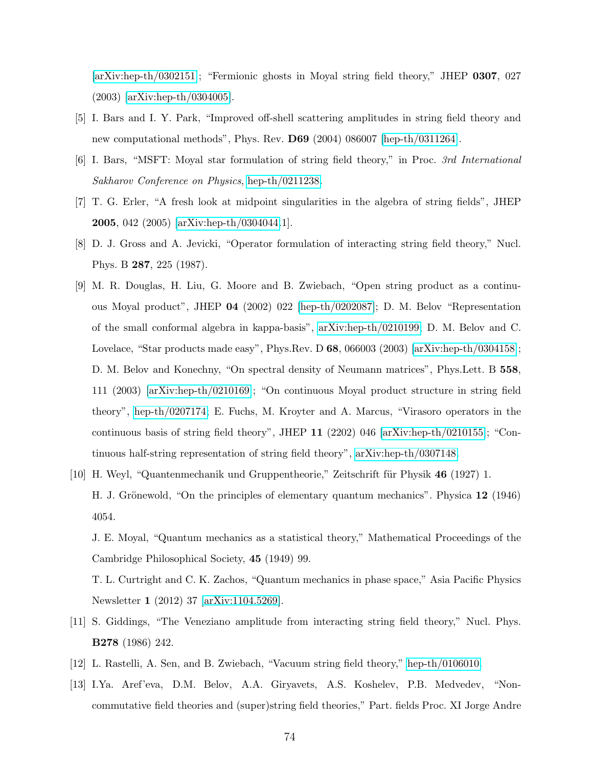[\[arXiv:hep-th/0302151\]](http://arxiv.org/abs/hep-th/0302151); "Fermionic ghosts in Moyal string field theory," JHEP 0307, 027 (2003) [\[arXiv:hep-th/0304005\]](http://arxiv.org/abs/hep-th/0304005).

- [5] I. Bars and I. Y. Park, "Improved off-shell scattering amplitudes in string field theory and new computational methods", Phys. Rev. D69 (2004) 086007 [\[hep-th/0311264\]](http://arxiv.org/abs/hep-th/0311264).
- [6] I. Bars, "MSFT: Moyal star formulation of string field theory," in Proc. 3rd International Sakharov Conference on Physics, [hep-th/0211238.](http://arxiv.org/abs/hep-th/0211238)
- [7] T. G. Erler, "A fresh look at midpoint singularities in the algebra of string fields", JHEP 2005, 042 (2005) [\[arXiv:hep-th/0304044.](http://arxiv.org/abs/hep-th/0304044)1].
- [8] D. J. Gross and A. Jevicki, "Operator formulation of interacting string field theory," Nucl. Phys. B 287, 225 (1987).
- [9] M. R. Douglas, H. Liu, G. Moore and B. Zwiebach, "Open string product as a continuous Moyal product", JHEP 04 (2002) 022 [\[hep-th/0202087\]](http://arxiv.org/abs/hep-th/0202087); D. M. Belov "Representation of the small conformal algebra in kappa-basis", [arXiv:hep-th/0210199;](http://arxiv.org/abs/hep-th/0210199) D. M. Belov and C. Lovelace, "Star products made easy", Phys.Rev. D 68, 066003 (2003) [\[arXiv:hep-th/0304158\]](http://arxiv.org/abs/hep-th/0304158); D. M. Belov and Konechny, "On spectral density of Neumann matrices", Phys.Lett. B 558, 111 (2003) [\[arXiv:hep-th/0210169\]](http://arxiv.org/abs/hep-th/0210169); "On continuous Moyal product structure in string field theory", [hep-th/0207174;](http://arxiv.org/abs/hep-th/0207174) E. Fuchs, M. Kroyter and A. Marcus, "Virasoro operators in the continuous basis of string field theory", JHEP 11 (2202) 046 [\[arXiv:hep-th/0210155\]](http://arxiv.org/abs/hep-th/0210155); "Continuous half-string representation of string field theory", [arXiv:hep-th/0307148.](http://arxiv.org/abs/hep-th/0307148)
- [10] H. Weyl, "Quantenmechanik und Gruppentheorie," Zeitschrift für Physik 46 (1927) 1. H. J. Grönewold, "On the principles of elementary quantum mechanics". Physica 12 (1946) 4054.

J. E. Moyal, "Quantum mechanics as a statistical theory," Mathematical Proceedings of the Cambridge Philosophical Society, 45 (1949) 99.

T. L. Curtright and C. K. Zachos, "Quantum mechanics in phase space," Asia Pacific Physics Newsletter 1 (2012) 37 [\[arXiv:1104.5269\]](http://arxiv.org/abs/1104.5269).

- [11] S. Giddings, "The Veneziano amplitude from interacting string field theory," Nucl. Phys. B278 (1986) 242.
- [12] L. Rastelli, A. Sen, and B. Zwiebach, "Vacuum string field theory," [hep-th/0106010.](http://arxiv.org/abs/hep-th/0106010)
- [13] I.Ya. Aref'eva, D.M. Belov, A.A. Giryavets, A.S. Koshelev, P.B. Medvedev, "Noncommutative field theories and (super)string field theories," Part. fields Proc. XI Jorge Andre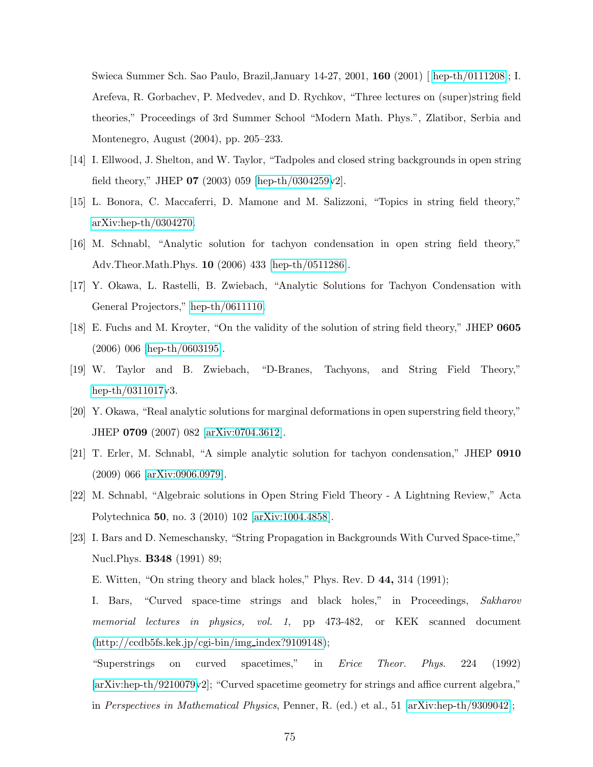Swieca Summer Sch. Sao Paulo, Brazil,January 14-27, 2001, 160 (2001)[ [hep-th/0111208\]](http://arxiv.org/abs/hep-th/0111208); I. Arefeva, R. Gorbachev, P. Medvedev, and D. Rychkov, "Three lectures on (super)string field theories," Proceedings of 3rd Summer School "Modern Math. Phys.", Zlatibor, Serbia and Montenegro, August (2004), pp. 205–233.

- [14] I. Ellwood, J. Shelton, and W. Taylor, "Tadpoles and closed string backgrounds in open string field theory," JHEP  $07$  (2003) 059 [\[hep-th/0304259v](http://arxiv.org/abs/hep-th/0304259)2].
- [15] L. Bonora, C. Maccaferri, D. Mamone and M. Salizzoni, "Topics in string field theory," [arXiv:hep-th/0304270.](http://arxiv.org/abs/hep-th/0304270)
- [16] M. Schnabl, "Analytic solution for tachyon condensation in open string field theory," Adv.Theor.Math.Phys. 10 (2006) 433 [\[hep-th/0511286\]](http://arxiv.org/abs/hep-th/0511286).
- [17] Y. Okawa, L. Rastelli, B. Zwiebach, "Analytic Solutions for Tachyon Condensation with General Projectors," [hep-th/0611110.](http://arxiv.org/abs/hep-th/0611110)
- [18] E. Fuchs and M. Kroyter, "On the validity of the solution of string field theory," JHEP 0605 (2006) 006 [\[hep-th/0603195\]](http://arxiv.org/abs/hep-th/0603195).
- [19] W. Taylor and B. Zwiebach, "D-Branes, Tachyons, and String Field Theory," [hep-th/0311017v](http://arxiv.org/abs/hep-th/0311017)3.
- [20] Y. Okawa, "Real analytic solutions for marginal deformations in open superstring field theory," JHEP 0709 (2007) 082 [\[arXiv:0704.3612\]](http://arxiv.org/abs/0704.3612).
- [21] T. Erler, M. Schnabl, "A simple analytic solution for tachyon condensation," JHEP 0910 (2009) 066 [\[arXiv:0906.0979\]](http://arxiv.org/abs/0906.0979).
- [22] M. Schnabl, "Algebraic solutions in Open String Field Theory A Lightning Review," Acta Polytechnica 50, no. 3 (2010) 102 [\[arXiv:1004.4858\]](http://arxiv.org/abs/1004.4858).
- [23] I. Bars and D. Nemeschansky, "String Propagation in Backgrounds With Curved Space-time," Nucl.Phys. B348 (1991) 89;
	- E. Witten, "On string theory and black holes," Phys. Rev. D 44, 314 (1991);

I. Bars, "Curved space-time strings and black holes," in Proceedings, Sakharov memorial lectures in physics, vol. 1, pp 473-482, or KEK scanned document  $(\text{http://ccdb5fs.kek.jp/cgi-bin/img_index?9109148});$ 

"Superstrings on curved spacetimes," in Erice Theor. Phys. 224 (1992) [\[arXiv:hep-th/9210079v](http://arxiv.org/abs/hep-th/9210079)2]; "Curved spacetime geometry for strings and affice current algebra," in Perspectives in Mathematical Physics, Penner, R. (ed.) et al., 51 [\[arXiv:hep-th/9309042\]](http://arxiv.org/abs/hep-th/9309042);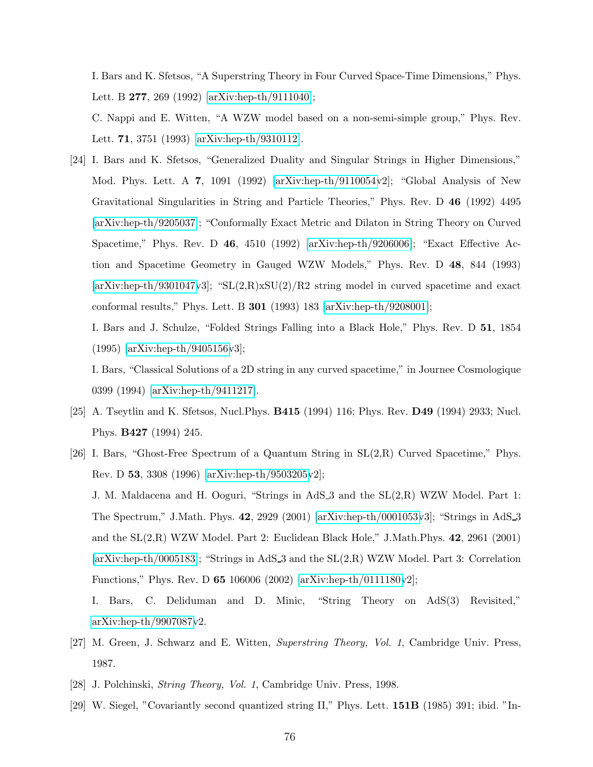I. Bars and K. Sfetsos, "A Superstring Theory in Four Curved Space-Time Dimensions," Phys. Lett. B 277, 269 (1992) [\[arXiv:hep-th/9111040\]](http://arxiv.org/abs/hep-th/9111040);

C. Nappi and E. Witten, "A WZW model based on a non-semi-simple group," Phys. Rev. Lett. 71, 3751 (1993) [\[arXiv:hep-th/9310112\]](http://arxiv.org/abs/hep-th/9310112).

[24] I. Bars and K. Sfetsos, "Generalized Duality and Singular Strings in Higher Dimensions," Mod. Phys. Lett. A 7, 1091 (1992) [\[arXiv:hep-th/9110054v](http://arxiv.org/abs/hep-th/9110054)2]; "Global Analysis of New Gravitational Singularities in String and Particle Theories," Phys. Rev. D 46 (1992) 4495 [\[arXiv:hep-th/9205037\]](http://arxiv.org/abs/hep-th/9205037); "Conformally Exact Metric and Dilaton in String Theory on Curved Spacetime," Phys. Rev. D 46, 4510 (1992) [\[arXiv:hep-th/9206006\]](http://arxiv.org/abs/hep-th/9206006); "Exact Effective Action and Spacetime Geometry in Gauged WZW Models," Phys. Rev. D 48, 844 (1993)  $[\text{arXiv:hep-th}/9301047\text{v3}]$ ; "SL $(2,\text{R})$ xSU $(2)/\text{R2}$  string model in curved spacetime and exact conformal results," Phys. Lett. B 301 (1993) 183 [\[arXiv:hep-th/9208001\]](http://arxiv.org/abs/hep-th/9208001);

I. Bars and J. Schulze, "Folded Strings Falling into a Black Hole," Phys. Rev. D 51, 1854 (1995) [\[arXiv:hep-th/9405156v](http://arxiv.org/abs/hep-th/9405156)3];

I. Bars, "Classical Solutions of a 2D string in any curved spacetime," in Journee Cosmologique 0399 (1994) [\[arXiv:hep-th/9411217\]](http://arxiv.org/abs/hep-th/9411217).

- [25] A. Tseytlin and K. Sfetsos, Nucl.Phys. B415 (1994) 116; Phys. Rev. D49 (1994) 2933; Nucl. Phys. B427 (1994) 245.
- [26] I. Bars, "Ghost-Free Spectrum of a Quantum String in SL(2,R) Curved Spacetime," Phys. Rev. D 53, 3308 (1996) [\[arXiv:hep-th/9503205v](http://arxiv.org/abs/hep-th/9503205)2];

J. M. Maldacena and H. Ooguri, "Strings in AdS 3 and the SL(2,R) WZW Model. Part 1: The Spectrum," J.Math. Phys. 42, 2929 (2001) [\[arXiv:hep-th/0001053v](http://arxiv.org/abs/hep-th/0001053)3]; "Strings in AdS 3 and the SL(2,R) WZW Model. Part 2: Euclidean Black Hole," J.Math.Phys. 42, 2961 (2001) [\[arXiv:hep-th/0005183\]](http://arxiv.org/abs/hep-th/0005183); "Strings in AdS 3 and the SL(2,R) WZW Model. Part 3: Correlation Functions," Phys. Rev. D 65 106006 (2002) [\[arXiv:hep-th/0111180v](http://arxiv.org/abs/hep-th/0111180)2];

I. Bars, C. Deliduman and D. Minic, "String Theory on AdS(3) Revisited," [arXiv:hep-th/9907087v](http://arxiv.org/abs/hep-th/9907087)2.

- [27] M. Green, J. Schwarz and E. Witten, Superstring Theory, Vol. 1, Cambridge Univ. Press, 1987.
- [28] J. Polchinski, String Theory, Vol. 1, Cambridge Univ. Press, 1998.
- [29] W. Siegel, "Covariantly second quantized string II," Phys. Lett. 151B (1985) 391; ibid. "In-